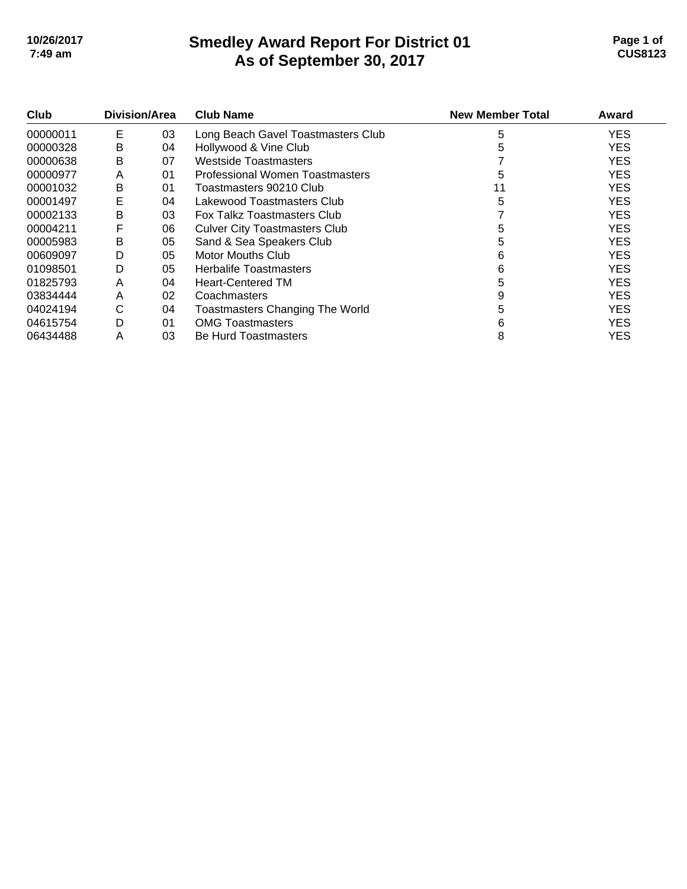# **Smedley Award Report For District 01 As of September 30, 2017 10/26/2017 Page 1 of 7:49 am CUS8123**

| Page 1 of      |  |
|----------------|--|
| <b>CUS8123</b> |  |

| Club     | Division/Area |    | <b>Club Name</b>                       | <b>New Member Total</b> | Award      |
|----------|---------------|----|----------------------------------------|-------------------------|------------|
| 00000011 | E             | 03 | Long Beach Gavel Toastmasters Club     | 5                       | <b>YES</b> |
| 00000328 | в             | 04 | Hollywood & Vine Club                  | 5                       | <b>YES</b> |
| 00000638 | B             | 07 | Westside Toastmasters                  |                         | <b>YES</b> |
| 00000977 | A             | 01 | Professional Women Toastmasters        | 5                       | <b>YES</b> |
| 00001032 | В             | 01 | Toastmasters 90210 Club                | 11                      | <b>YES</b> |
| 00001497 | E             | 04 | Lakewood Toastmasters Club             | 5                       | <b>YES</b> |
| 00002133 | в             | 03 | <b>Fox Talkz Toastmasters Club</b>     |                         | <b>YES</b> |
| 00004211 | F             | 06 | <b>Culver City Toastmasters Club</b>   | 5                       | <b>YES</b> |
| 00005983 | в             | 05 | Sand & Sea Speakers Club               |                         | <b>YES</b> |
| 00609097 | D             | 05 | Motor Mouths Club                      | 6                       | <b>YES</b> |
| 01098501 | D             | 05 | <b>Herbalife Toastmasters</b>          | 6                       | <b>YES</b> |
| 01825793 | A             | 04 | <b>Heart-Centered TM</b>               | 5                       | <b>YES</b> |
| 03834444 | A             | 02 | Coachmasters                           |                         | <b>YES</b> |
| 04024194 | С             | 04 | <b>Toastmasters Changing The World</b> |                         | <b>YES</b> |
| 04615754 | D             | 01 | <b>OMG Toastmasters</b>                | 6                       | <b>YES</b> |
| 06434488 | A             | 03 | <b>Be Hurd Toastmasters</b>            | 8                       | <b>YES</b> |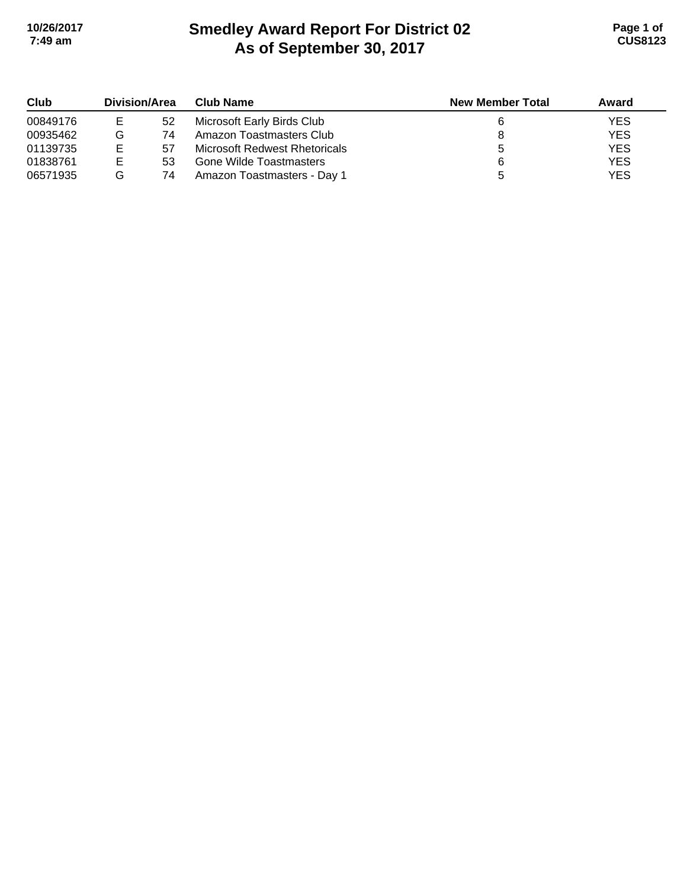# **Smedley Award Report For District 02 As of September 30, 2017 10/26/2017 Page 1 of 7:49 am CUS8123**

| Club     | Division/Area |    | Club Name                     | <b>New Member Total</b> | Award      |
|----------|---------------|----|-------------------------------|-------------------------|------------|
| 00849176 | Е             | 52 | Microsoft Early Birds Club    |                         | <b>YES</b> |
| 00935462 | G             | 74 | Amazon Toastmasters Club      |                         | <b>YES</b> |
| 01139735 | Е             | 57 | Microsoft Redwest Rhetoricals |                         | <b>YES</b> |
| 01838761 | Е             | 53 | Gone Wilde Toastmasters       |                         | <b>YES</b> |
| 06571935 | G             | 74 | Amazon Toastmasters - Day 1   |                         | <b>YES</b> |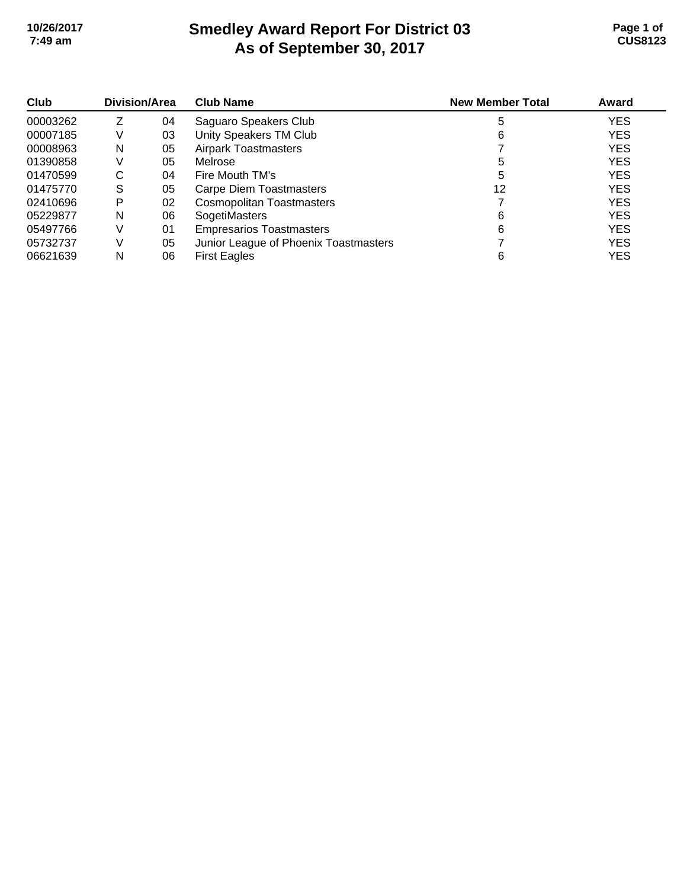# **Smedley Award Report For District 03 As of September 30, 2017 10/26/2017 Page 1 of 7:49 am CUS8123**

| Club     | Division/Area |    | <b>Club Name</b>                      | <b>New Member Total</b> | Award      |
|----------|---------------|----|---------------------------------------|-------------------------|------------|
| 00003262 |               | 04 | Saguaro Speakers Club                 | 5                       | <b>YES</b> |
| 00007185 | V             | 03 | Unity Speakers TM Club                | 6                       | <b>YES</b> |
| 00008963 | N             | 05 | <b>Airpark Toastmasters</b>           |                         | <b>YES</b> |
| 01390858 |               | 05 | Melrose                               |                         | <b>YES</b> |
| 01470599 | С             | 04 | Fire Mouth TM's                       |                         | <b>YES</b> |
| 01475770 | S             | 05 | Carpe Diem Toastmasters               | 12                      | <b>YES</b> |
| 02410696 | Р             | 02 | <b>Cosmopolitan Toastmasters</b>      |                         | <b>YES</b> |
| 05229877 | N             | 06 | SogetiMasters                         | 6                       | <b>YES</b> |
| 05497766 |               | 01 | <b>Empresarios Toastmasters</b>       | 6                       | <b>YES</b> |
| 05732737 |               | 05 | Junior League of Phoenix Toastmasters |                         | <b>YES</b> |
| 06621639 | N             | 06 | <b>First Eagles</b>                   | 6                       | <b>YES</b> |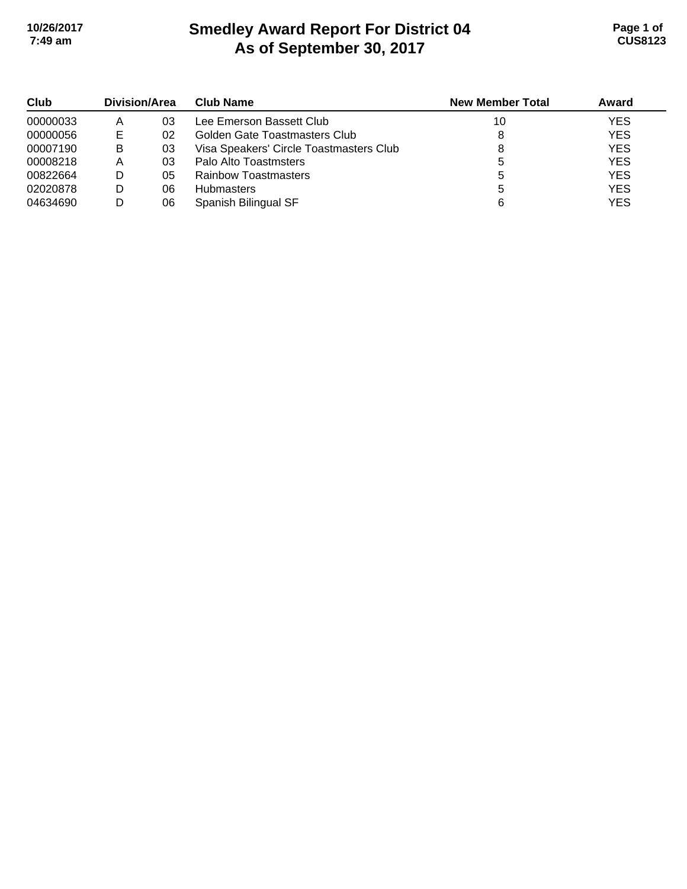# **Smedley Award Report For District 04 As of September 30, 2017 10/26/2017 Page 1 of 7:49 am CUS8123**

| Club     | Division/Area |    | <b>Club Name</b>                        | <b>New Member Total</b> | Award      |
|----------|---------------|----|-----------------------------------------|-------------------------|------------|
| 00000033 | Α             | 03 | Lee Emerson Bassett Club                | 10                      | <b>YES</b> |
| 00000056 |               | 02 | Golden Gate Toastmasters Club           | 8                       | <b>YES</b> |
| 00007190 | В             | 03 | Visa Speakers' Circle Toastmasters Club |                         | <b>YES</b> |
| 00008218 | Α             | 03 | Palo Alto Toastmsters                   |                         | <b>YES</b> |
| 00822664 | D             | 05 | Rainbow Toastmasters                    | b                       | <b>YES</b> |
| 02020878 | D             | 06 | <b>Hubmasters</b>                       |                         | <b>YES</b> |
| 04634690 | D             | 06 | Spanish Bilingual SF                    |                         | <b>YES</b> |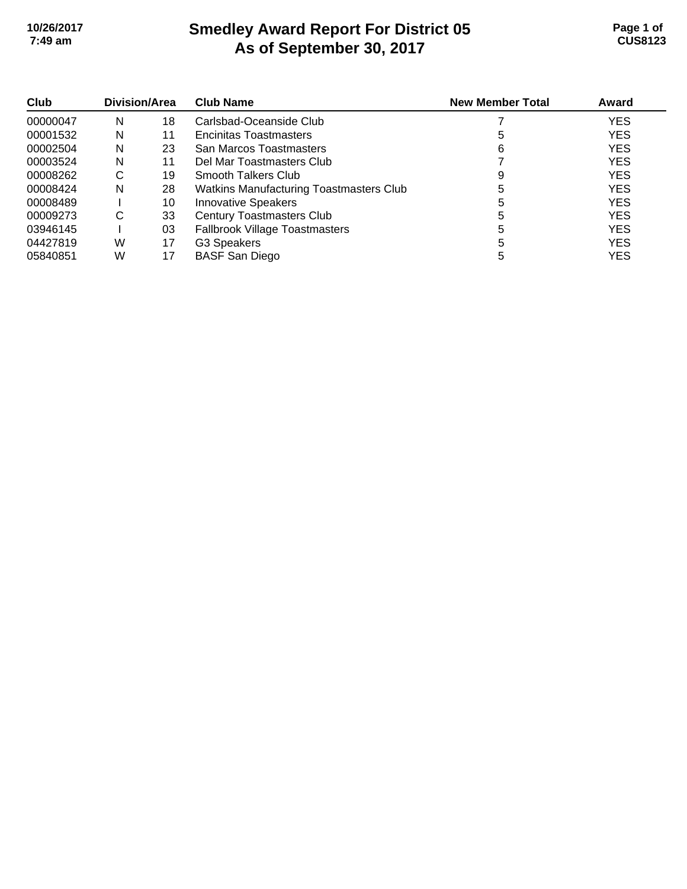# **Smedley Award Report For District 05 As of September 30, 2017 10/26/2017 Page 1 of 7:49 am CUS8123**

| Club<br>00000047 | Division/Area |    | <b>Club Name</b>                        | <b>New Member Total</b> | Award      |
|------------------|---------------|----|-----------------------------------------|-------------------------|------------|
|                  | N             | 18 | Carlsbad-Oceanside Club                 |                         | <b>YES</b> |
| 00001532         | N             | 11 | <b>Encinitas Toastmasters</b>           | 5                       | <b>YES</b> |
| 00002504         | N             | 23 | San Marcos Toastmasters                 | 6                       | <b>YES</b> |
| 00003524         | N             | 11 | Del Mar Toastmasters Club               |                         | <b>YES</b> |
| 00008262         | С             | 19 | Smooth Talkers Club                     |                         | <b>YES</b> |
| 00008424         | N             | 28 | Watkins Manufacturing Toastmasters Club |                         | <b>YES</b> |
| 00008489         |               | 10 | <b>Innovative Speakers</b>              |                         | <b>YES</b> |
| 00009273         | C             | 33 | <b>Century Toastmasters Club</b>        | 5                       | <b>YES</b> |
| 03946145         |               | 03 | <b>Fallbrook Village Toastmasters</b>   | 5                       | <b>YES</b> |
| 04427819         | W             | 17 | G3 Speakers                             | 5                       | <b>YES</b> |
| 05840851         | W             | 17 | <b>BASF San Diego</b>                   |                         | <b>YES</b> |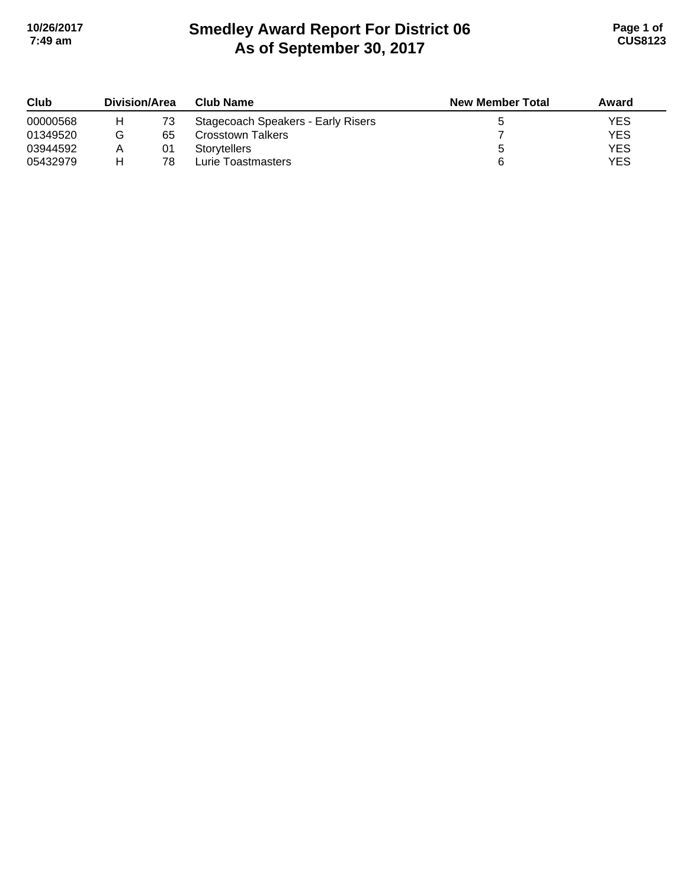# **Smedley Award Report For District 06 As of September 30, 2017 10/26/2017 Page 1 of 7:49 am CUS8123**

| Club     | <b>Division/Area</b> |    | <b>Club Name</b>                   | <b>New Member Total</b> | Award |
|----------|----------------------|----|------------------------------------|-------------------------|-------|
| 00000568 | H.                   | 73 | Stagecoach Speakers - Early Risers |                         | YES   |
| 01349520 |                      | 65 | Crosstown Talkers                  |                         | YES   |
| 03944592 |                      | 01 | <b>Storytellers</b>                |                         | YES   |
| 05432979 |                      | 78 | Lurie Toastmasters                 | 6                       | YES   |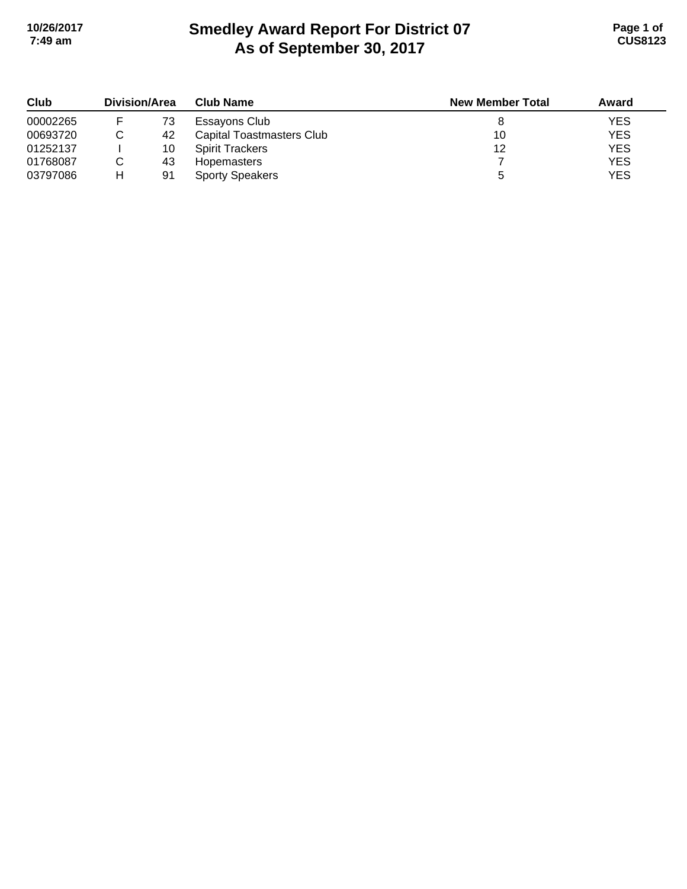# **Smedley Award Report For District 07 As of September 30, 2017 10/26/2017 Page 1 of 7:49 am CUS8123**

| Club     | <b>Division/Area</b> |    | <b>Club Name</b>          | <b>New Member Total</b> | Award      |
|----------|----------------------|----|---------------------------|-------------------------|------------|
| 00002265 |                      | 73 | Essayons Club             |                         | <b>YES</b> |
| 00693720 |                      | 42 | Capital Toastmasters Club | 10                      | <b>YES</b> |
| 01252137 |                      | 10 | <b>Spirit Trackers</b>    | 12                      | <b>YES</b> |
| 01768087 |                      | 43 | <b>Hopemasters</b>        |                         | <b>YES</b> |
| 03797086 | н                    | 91 | <b>Sporty Speakers</b>    |                         | <b>YES</b> |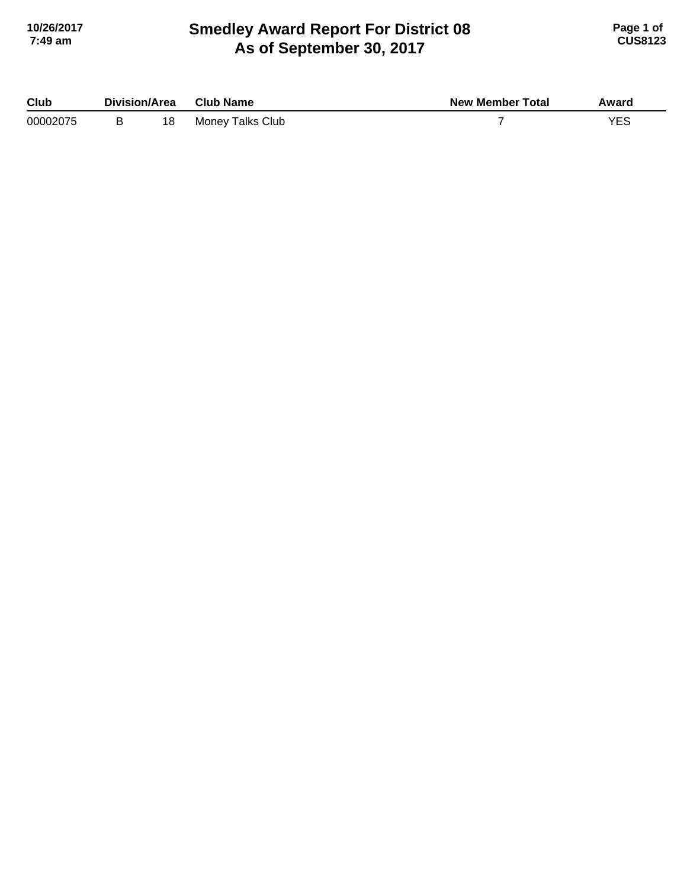## **Smedley Award Report For District 08 As of September 30, 2017 10/26/2017 Page 1 of 7:49 am CUS8123**

| Club     | Division/Area |    | <b>Club Name</b>        | <b>New Member Total</b> | Award |
|----------|---------------|----|-------------------------|-------------------------|-------|
| 00002075 |               | 18 | <b>Money Talks Club</b> |                         | VEC   |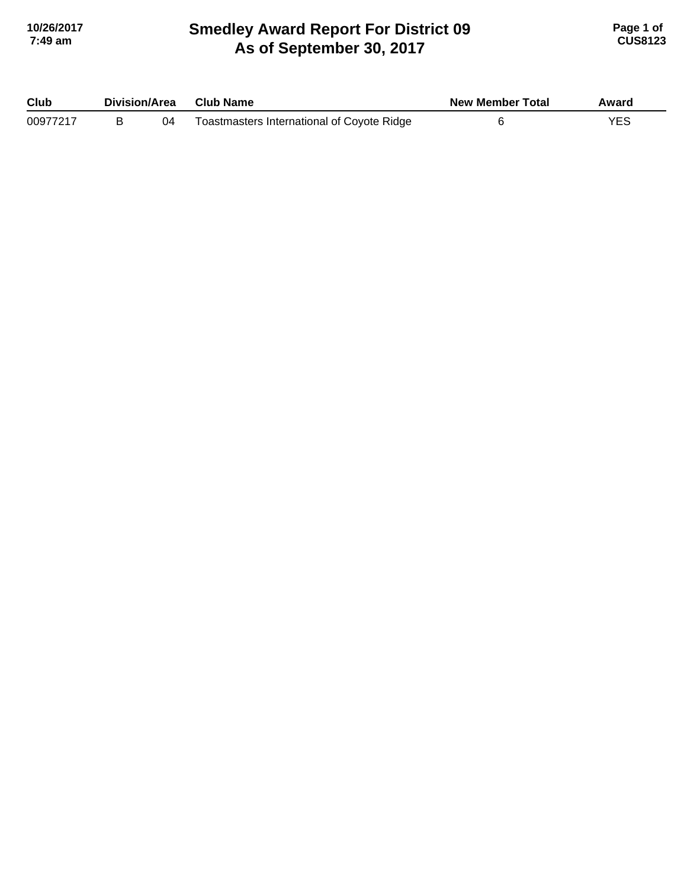#### **Smedley Award Report For District 09 As of September 30, 2017 10/26/2017 Page 1 of 7:49 am CUS8123**

| Club     | Division/Area |    | <b>Club Name</b>                           | <b>New Member Total</b> | Award |
|----------|---------------|----|--------------------------------------------|-------------------------|-------|
| 00977217 |               | 04 | Toastmasters International of Coyote Ridge |                         |       |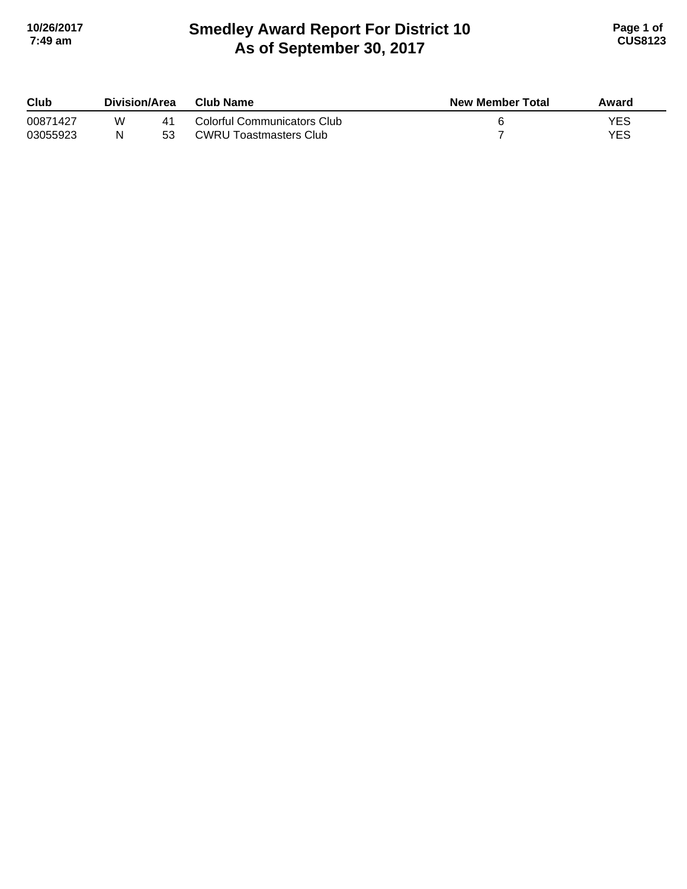## **Smedley Award Report For District 10 As of September 30, 2017 10/26/2017 Page 1 of 7:49 am CUS8123**

| Club     | <b>Division/Area</b> |    | Club Name                   | <b>New Member Total</b> | Award |
|----------|----------------------|----|-----------------------------|-------------------------|-------|
| 00871427 | W                    | 41 | Colorful Communicators Club |                         | YES   |
| 03055923 |                      | 53 | CWRU Toastmasters Club      |                         | YES   |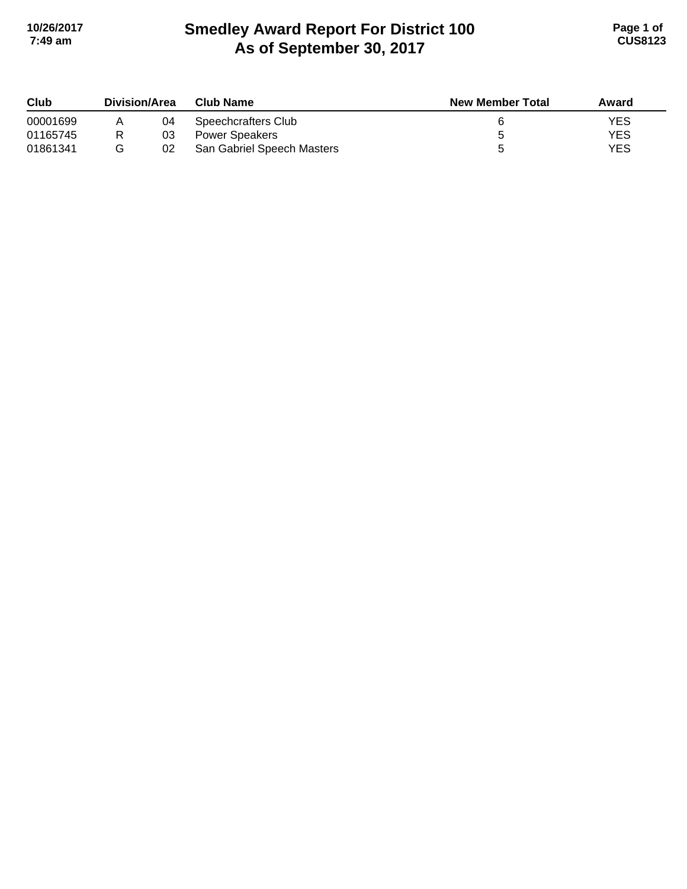# **Smedley Award Report For District 100 As of September 30, 2017 10/26/2017 Page 1 of 7:49 am CUS8123**

| Club     | <b>Division/Area</b> |    | <b>Club Name</b>           | <b>New Member Total</b> | Award |
|----------|----------------------|----|----------------------------|-------------------------|-------|
| 00001699 |                      | 04 | Speechcrafters Club        |                         | YES   |
| 01165745 |                      | 03 | Power Speakers             |                         | YES   |
| 01861341 |                      | 02 | San Gabriel Speech Masters |                         | YES   |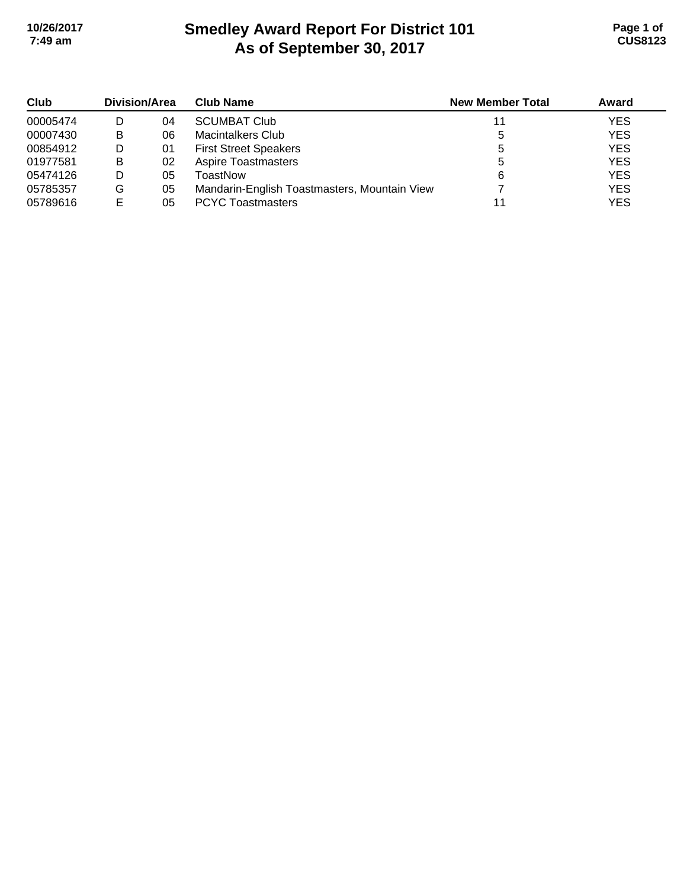# **Smedley Award Report For District 101 As of September 30, 2017 10/26/2017 Page 1 of 7:49 am CUS8123**

| Club     | Division/Area |    | <b>Club Name</b>                             | <b>New Member Total</b> | Award      |
|----------|---------------|----|----------------------------------------------|-------------------------|------------|
| 00005474 |               | 04 | <b>SCUMBAT Club</b>                          |                         | <b>YES</b> |
| 00007430 | B             | 06 | Macintalkers Club                            | 5                       | <b>YES</b> |
| 00854912 |               | 01 | <b>First Street Speakers</b>                 |                         | <b>YES</b> |
| 01977581 | B             | 02 | <b>Aspire Toastmasters</b>                   |                         | <b>YES</b> |
| 05474126 |               | 05 | ToastNow                                     | 6                       | <b>YES</b> |
| 05785357 | G             | 05 | Mandarin-English Toastmasters, Mountain View |                         | <b>YES</b> |
| 05789616 | Е             | 05 | <b>PCYC Toastmasters</b>                     |                         | <b>YES</b> |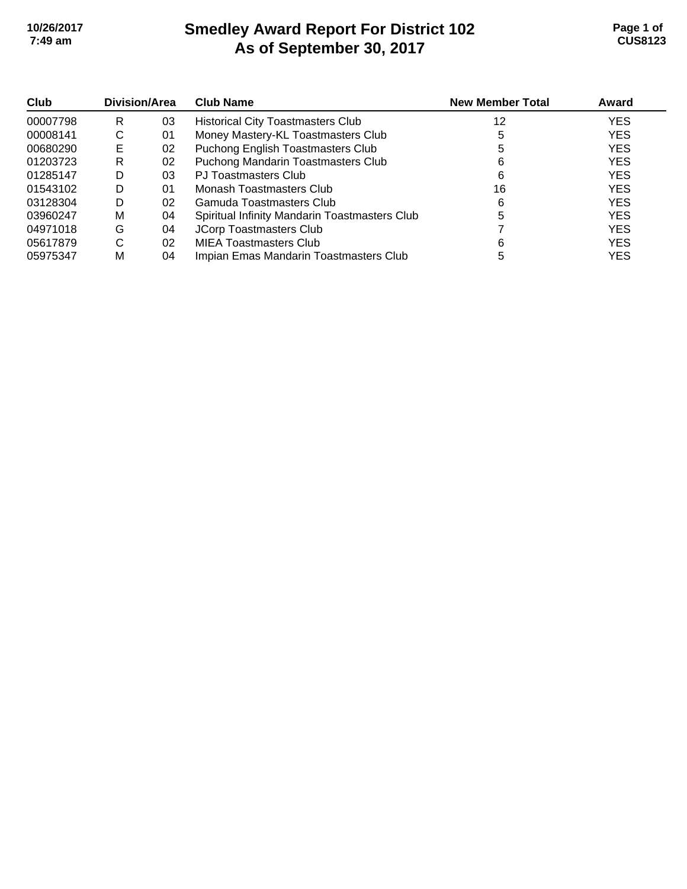# **Smedley Award Report For District 102 As of September 30, 2017 10/26/2017 Page 1 of 7:49 am CUS8123**

| Club     | Division/Area |    | <b>Club Name</b>                              | <b>New Member Total</b> | Award      |
|----------|---------------|----|-----------------------------------------------|-------------------------|------------|
| 00007798 | R             | 03 | <b>Historical City Toastmasters Club</b>      | 12                      | <b>YES</b> |
| 00008141 | С             | 01 | Money Mastery-KL Toastmasters Club            |                         | <b>YES</b> |
| 00680290 | Е             | 02 | Puchong English Toastmasters Club             |                         | <b>YES</b> |
| 01203723 | R             | 02 | Puchong Mandarin Toastmasters Club            | 6                       | <b>YES</b> |
| 01285147 | D             | 03 | PJ Toastmasters Club                          | 6                       | <b>YES</b> |
| 01543102 | D             | 01 | Monash Toastmasters Club                      | 16                      | <b>YES</b> |
| 03128304 | D             | 02 | Gamuda Toastmasters Club                      | 6                       | <b>YES</b> |
| 03960247 | м             | 04 | Spiritual Infinity Mandarin Toastmasters Club |                         | <b>YES</b> |
| 04971018 | G             | 04 | <b>JCorp Toastmasters Club</b>                |                         | <b>YES</b> |
| 05617879 | С             | 02 | <b>MIEA Toastmasters Club</b>                 | 6                       | <b>YES</b> |
| 05975347 | М             | 04 | Impian Emas Mandarin Toastmasters Club        |                         | <b>YES</b> |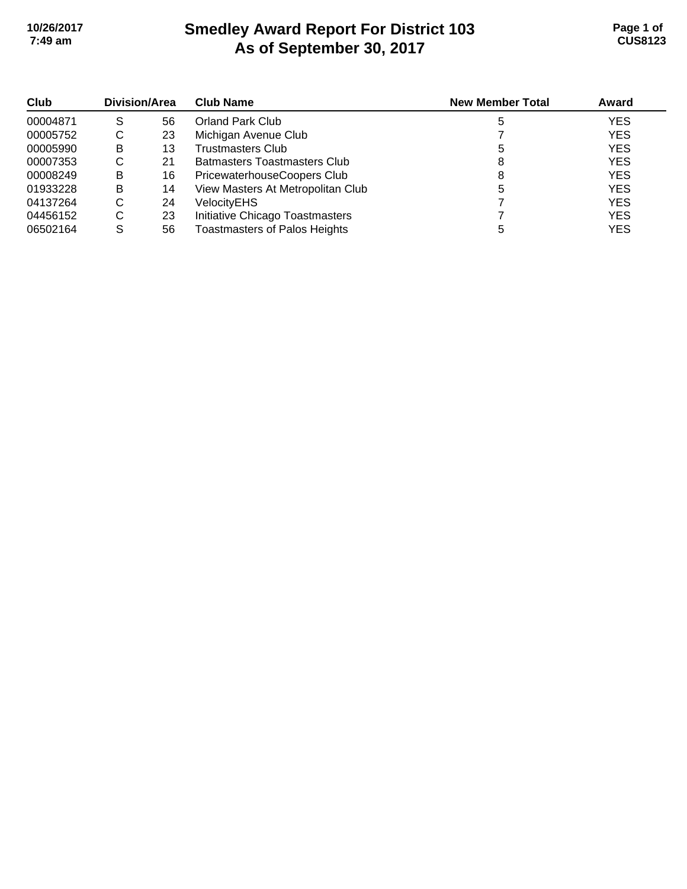# **Smedley Award Report For District 103 As of September 30, 2017 10/26/2017 Page 1 of 7:49 am CUS8123**

| <b>Club</b><br>00004871 | Division/Area |    | <b>Club Name</b>                     | <b>New Member Total</b> | Award      |
|-------------------------|---------------|----|--------------------------------------|-------------------------|------------|
|                         | S             | 56 | <b>Orland Park Club</b>              |                         | <b>YES</b> |
| 00005752                | C             | 23 | Michigan Avenue Club                 |                         | <b>YES</b> |
| 00005990                | B             | 13 | <b>Trustmasters Club</b>             |                         | <b>YES</b> |
| 00007353                | С             | 21 | <b>Batmasters Toastmasters Club</b>  |                         | <b>YES</b> |
| 00008249                | B             | 16 | PricewaterhouseCoopers Club          | 8                       | <b>YES</b> |
| 01933228                | B             | 14 | View Masters At Metropolitan Club    |                         | <b>YES</b> |
| 04137264                | C             | 24 | VelocityEHS                          |                         | <b>YES</b> |
| 04456152                | C             | 23 | Initiative Chicago Toastmasters      |                         | <b>YES</b> |
| 06502164                | S             | 56 | <b>Toastmasters of Palos Heights</b> |                         | YES        |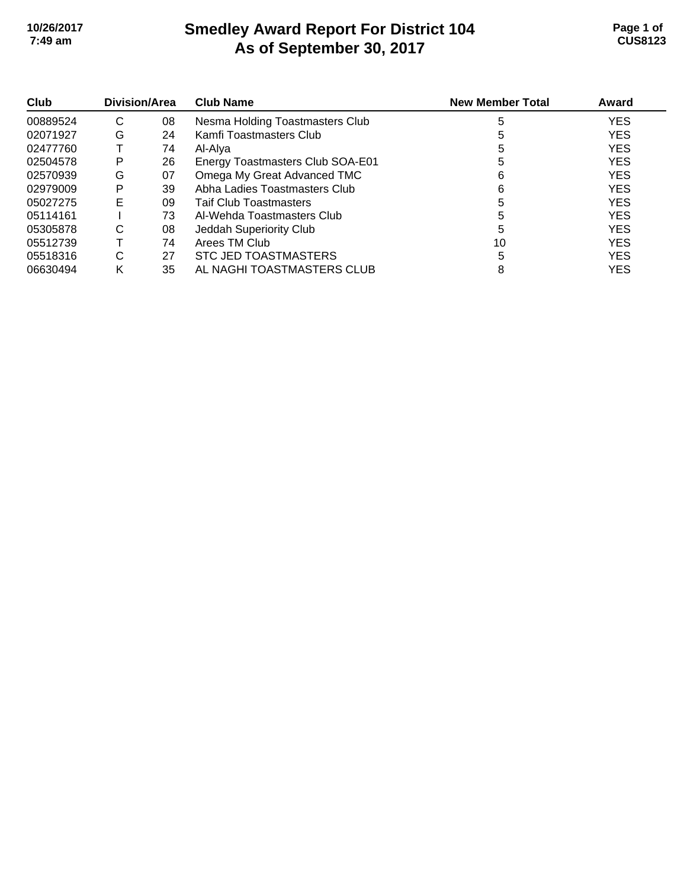#### **Smedley Award Report For District 104 As of September 30, 2017 10/26/2017 Page 1 of 7:49 am CUS8123**

| Club     | Division/Area |    | <b>Club Name</b>                 | <b>New Member Total</b> | Award      |
|----------|---------------|----|----------------------------------|-------------------------|------------|
| 00889524 | С             | 08 | Nesma Holding Toastmasters Club  | 5                       | <b>YES</b> |
| 02071927 | G             | 24 | Kamfi Toastmasters Club          | 5                       | <b>YES</b> |
| 02477760 |               | 74 | Al-Alva                          |                         | <b>YES</b> |
| 02504578 | Р             | 26 | Energy Toastmasters Club SOA-E01 | 5                       | <b>YES</b> |
| 02570939 | G             | 07 | Omega My Great Advanced TMC      | 6                       | <b>YES</b> |
| 02979009 | P             | 39 | Abha Ladies Toastmasters Club    | 6                       | <b>YES</b> |
| 05027275 | Е             | 09 | <b>Taif Club Toastmasters</b>    |                         | <b>YES</b> |
| 05114161 |               | 73 | Al-Wehda Toastmasters Club       | 5                       | <b>YES</b> |
| 05305878 | С             | 08 | Jeddah Superiority Club          | 5                       | <b>YES</b> |
| 05512739 |               | 74 | Arees TM Club                    | 10                      | <b>YES</b> |
| 05518316 | С             | 27 | <b>STC JED TOASTMASTERS</b>      |                         | <b>YES</b> |
| 06630494 | κ             | 35 | AL NAGHI TOASTMASTERS CLUB       | 8                       | <b>YES</b> |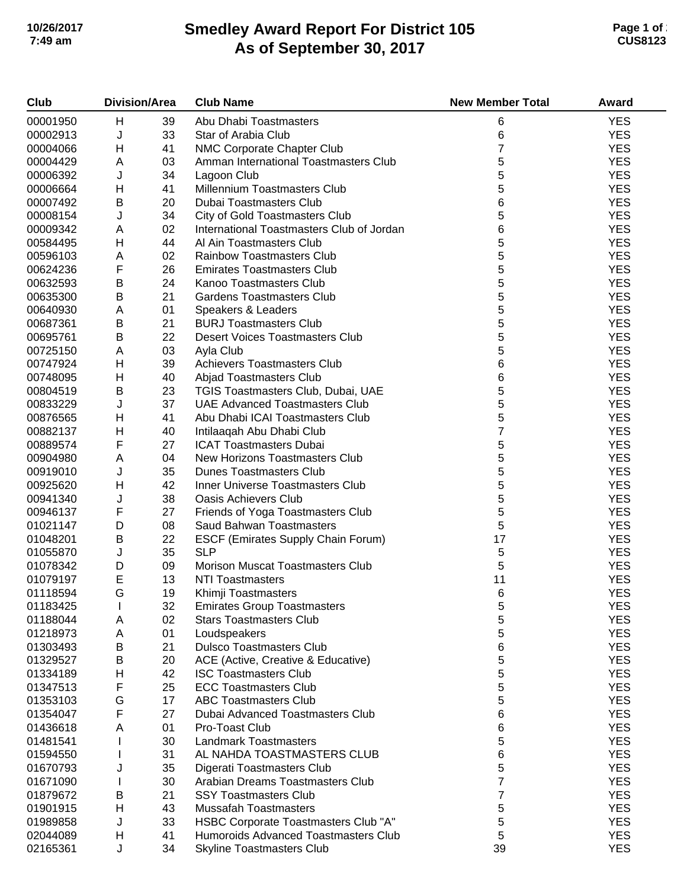# **Smedley Award Report For District 105 As of September 30, 2017 10/26/2017 Page 1 of 2 7:49 am CUS8123**

| Club     | <b>Division/Area</b> |    | <b>Club Name</b>                          | <b>New Member Total</b> | Award      |
|----------|----------------------|----|-------------------------------------------|-------------------------|------------|
| 00001950 | Н                    | 39 | Abu Dhabi Toastmasters                    | 6                       | <b>YES</b> |
| 00002913 | J                    | 33 | Star of Arabia Club                       | 6                       | <b>YES</b> |
| 00004066 | Н                    | 41 | NMC Corporate Chapter Club                | $\overline{7}$          | <b>YES</b> |
| 00004429 | Α                    | 03 | Amman International Toastmasters Club     | 5                       | <b>YES</b> |
| 00006392 | J                    | 34 | Lagoon Club                               | 5                       | <b>YES</b> |
| 00006664 | н                    | 41 | Millennium Toastmasters Club              | 5                       | <b>YES</b> |
| 00007492 | B                    | 20 | Dubai Toastmasters Club                   | 6                       | <b>YES</b> |
| 00008154 | J                    | 34 | City of Gold Toastmasters Club            | 5                       | <b>YES</b> |
| 00009342 | A                    | 02 | International Toastmasters Club of Jordan | 6                       | <b>YES</b> |
| 00584495 | Н                    | 44 | Al Ain Toastmasters Club                  | 5                       | <b>YES</b> |
| 00596103 | Α                    | 02 | <b>Rainbow Toastmasters Club</b>          | 5                       | <b>YES</b> |
| 00624236 | F                    | 26 | <b>Emirates Toastmasters Club</b>         | 5                       | <b>YES</b> |
| 00632593 | $\sf B$              | 24 | Kanoo Toastmasters Club                   | 5                       | <b>YES</b> |
| 00635300 | $\sf B$              | 21 | <b>Gardens Toastmasters Club</b>          | 5                       | <b>YES</b> |
| 00640930 | A                    | 01 | Speakers & Leaders                        | 5                       | <b>YES</b> |
| 00687361 | $\sf B$              | 21 | <b>BURJ Toastmasters Club</b>             | 5                       | <b>YES</b> |
|          | $\sf B$              | 22 | <b>Desert Voices Toastmasters Club</b>    | 5                       | <b>YES</b> |
| 00695761 |                      |    |                                           |                         | <b>YES</b> |
| 00725150 | Α                    | 03 | Ayla Club                                 | 5                       |            |
| 00747924 | H                    | 39 | <b>Achievers Toastmasters Club</b>        | 6                       | <b>YES</b> |
| 00748095 | H                    | 40 | Abjad Toastmasters Club                   | 6                       | <b>YES</b> |
| 00804519 | B                    | 23 | TGIS Toastmasters Club, Dubai, UAE        | 5                       | <b>YES</b> |
| 00833229 | J                    | 37 | <b>UAE Advanced Toastmasters Club</b>     | 5                       | <b>YES</b> |
| 00876565 | н                    | 41 | Abu Dhabi ICAI Toastmasters Club          | 5                       | <b>YES</b> |
| 00882137 | Н                    | 40 | Intilaaqah Abu Dhabi Club                 | $\overline{7}$          | <b>YES</b> |
| 00889574 | F                    | 27 | <b>ICAT Toastmasters Dubai</b>            | 5                       | <b>YES</b> |
| 00904980 | A                    | 04 | New Horizons Toastmasters Club            | 5                       | <b>YES</b> |
| 00919010 | J                    | 35 | <b>Dunes Toastmasters Club</b>            | 5                       | <b>YES</b> |
| 00925620 | H                    | 42 | Inner Universe Toastmasters Club          | 5                       | <b>YES</b> |
| 00941340 | J                    | 38 | <b>Oasis Achievers Club</b>               | 5                       | <b>YES</b> |
| 00946137 | F                    | 27 | Friends of Yoga Toastmasters Club         | 5                       | <b>YES</b> |
| 01021147 | D                    | 08 | Saud Bahwan Toastmasters                  | 5                       | <b>YES</b> |
| 01048201 | $\sf B$              | 22 | <b>ESCF (Emirates Supply Chain Forum)</b> | 17                      | <b>YES</b> |
| 01055870 | J                    | 35 | <b>SLP</b>                                | 5                       | <b>YES</b> |
| 01078342 | D                    | 09 | Morison Muscat Toastmasters Club          | 5                       | <b>YES</b> |
| 01079197 | $\mathsf E$          | 13 | <b>NTI Toastmasters</b>                   | 11                      | <b>YES</b> |
| 01118594 | G                    | 19 | Khimji Toastmasters                       | 6                       | <b>YES</b> |
| 01183425 |                      | 32 | <b>Emirates Group Toastmasters</b>        | 5                       | <b>YES</b> |
| 01188044 | Α                    | 02 | <b>Stars Toastmasters Club</b>            | 5                       | <b>YES</b> |
| 01218973 | Α                    | 01 | Loudspeakers                              | 5                       | <b>YES</b> |
| 01303493 | B                    | 21 | <b>Dulsco Toastmasters Club</b>           | 6                       | <b>YES</b> |
| 01329527 | B                    | 20 | ACE (Active, Creative & Educative)        | 5                       | <b>YES</b> |
| 01334189 | Н                    | 42 | <b>ISC Toastmasters Club</b>              | 5                       | <b>YES</b> |
| 01347513 | F                    | 25 | <b>ECC Toastmasters Club</b>              | 5                       | <b>YES</b> |
| 01353103 | G                    | 17 | <b>ABC Toastmasters Club</b>              | 5                       | <b>YES</b> |
| 01354047 | F                    | 27 | Dubai Advanced Toastmasters Club          | 6                       | <b>YES</b> |
| 01436618 | Α                    | 01 | Pro-Toast Club                            | 6                       | <b>YES</b> |
| 01481541 |                      | 30 | <b>Landmark Toastmasters</b>              | 5                       | <b>YES</b> |
| 01594550 |                      | 31 | AL NAHDA TOASTMASTERS CLUB                | 6                       | <b>YES</b> |
| 01670793 | J                    | 35 | Digerati Toastmasters Club                | 5                       | <b>YES</b> |
| 01671090 |                      | 30 | Arabian Dreams Toastmasters Club          | 7                       | <b>YES</b> |
| 01879672 | B                    | 21 | <b>SSY Toastmasters Club</b>              | 7                       | <b>YES</b> |
| 01901915 | Н                    | 43 | <b>Mussafah Toastmasters</b>              | 5                       | <b>YES</b> |
| 01989858 | J                    | 33 | HSBC Corporate Toastmasters Club "A"      | 5                       | <b>YES</b> |
| 02044089 | Н                    | 41 | Humoroids Advanced Toastmasters Club      | 5                       | <b>YES</b> |
| 02165361 | J                    | 34 | <b>Skyline Toastmasters Club</b>          | 39                      | <b>YES</b> |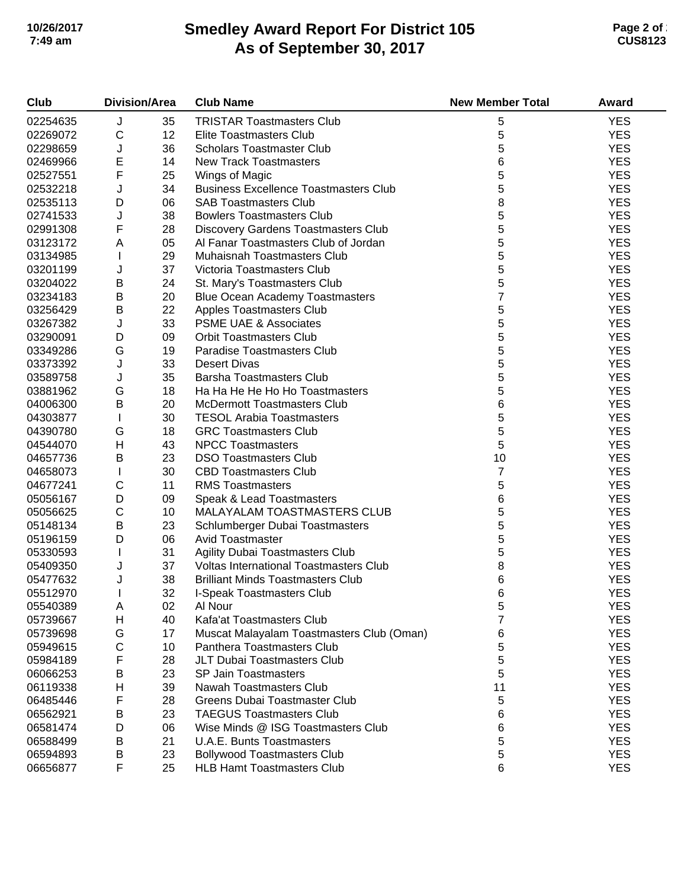## **Smedley Award Report For District 105 As of September 30, 2017 10/26/2017 Page 2 of 2 7:49 am CUS8123**

| Club     | <b>Division/Area</b>      |    | <b>Club Name</b>                                           | <b>New Member Total</b> | Award      |
|----------|---------------------------|----|------------------------------------------------------------|-------------------------|------------|
| 02254635 | J                         | 35 | <b>TRISTAR Toastmasters Club</b>                           | 5                       | <b>YES</b> |
| 02269072 | $\mathsf C$               | 12 | <b>Elite Toastmasters Club</b>                             | 5                       | <b>YES</b> |
| 02298659 | J                         | 36 | <b>Scholars Toastmaster Club</b>                           | 5                       | <b>YES</b> |
| 02469966 | E                         | 14 | <b>New Track Toastmasters</b>                              | 6                       | <b>YES</b> |
| 02527551 | F                         | 25 | Wings of Magic                                             | 5                       | <b>YES</b> |
| 02532218 | J                         | 34 | <b>Business Excellence Toastmasters Club</b>               | 5                       | <b>YES</b> |
| 02535113 | D                         | 06 | <b>SAB Toastmasters Club</b>                               | 8                       | <b>YES</b> |
| 02741533 | J                         | 38 | <b>Bowlers Toastmasters Club</b>                           | 5                       | <b>YES</b> |
| 02991308 | F                         | 28 | Discovery Gardens Toastmasters Club                        | 5                       | <b>YES</b> |
| 03123172 | $\boldsymbol{\mathsf{A}}$ | 05 | Al Fanar Toastmasters Club of Jordan                       | 5                       | <b>YES</b> |
| 03134985 | $\mathbf{I}$              | 29 | Muhaisnah Toastmasters Club                                | 5                       | <b>YES</b> |
| 03201199 | J                         | 37 | Victoria Toastmasters Club                                 | 5                       | <b>YES</b> |
| 03204022 | B                         | 24 | St. Mary's Toastmasters Club                               | 5                       | <b>YES</b> |
| 03234183 | $\sf B$                   | 20 | <b>Blue Ocean Academy Toastmasters</b>                     | $\overline{7}$          | <b>YES</b> |
| 03256429 | B                         | 22 | Apples Toastmasters Club                                   | 5                       | <b>YES</b> |
| 03267382 | J                         | 33 | <b>PSME UAE &amp; Associates</b>                           | 5                       | <b>YES</b> |
| 03290091 | D                         | 09 | <b>Orbit Toastmasters Club</b>                             | 5                       | <b>YES</b> |
| 03349286 | G                         | 19 | Paradise Toastmasters Club                                 | 5                       | <b>YES</b> |
| 03373392 | J                         | 33 | <b>Desert Divas</b>                                        | 5                       | <b>YES</b> |
| 03589758 | J                         | 35 | <b>Barsha Toastmasters Club</b>                            | 5                       | <b>YES</b> |
| 03881962 | G                         | 18 | Ha Ha He He Ho Ho Toastmasters                             | 5                       | <b>YES</b> |
| 04006300 | $\sf B$                   | 20 | <b>McDermott Toastmasters Club</b>                         | 6                       | <b>YES</b> |
| 04303877 | $\mathbf{I}$              | 30 | <b>TESOL Arabia Toastmasters</b>                           | 5                       | <b>YES</b> |
| 04390780 | G                         | 18 | <b>GRC Toastmasters Club</b>                               | 5                       | <b>YES</b> |
| 04544070 | H                         | 43 | <b>NPCC Toastmasters</b>                                   | 5                       | <b>YES</b> |
| 04657736 | B                         | 23 | <b>DSO Toastmasters Club</b>                               | 10                      | <b>YES</b> |
|          |                           | 30 | <b>CBD Toastmasters Club</b>                               | $\overline{7}$          | <b>YES</b> |
| 04658073 | $\mathbf{I}$<br>С         | 11 | <b>RMS Toastmasters</b>                                    | 5                       | <b>YES</b> |
| 04677241 | D                         |    |                                                            | 6                       | <b>YES</b> |
| 05056167 | С                         | 09 | Speak & Lead Toastmasters<br>MALAYALAM TOASTMASTERS CLUB   | 5                       | <b>YES</b> |
| 05056625 | $\sf B$                   | 10 |                                                            | 5                       | <b>YES</b> |
| 05148134 | D                         | 23 | Schlumberger Dubai Toastmasters<br><b>Avid Toastmaster</b> | 5                       |            |
| 05196159 |                           | 06 |                                                            |                         | <b>YES</b> |
| 05330593 | T                         | 31 | <b>Agility Dubai Toastmasters Club</b>                     | 5                       | <b>YES</b> |
| 05409350 | J                         | 37 | <b>Voltas International Toastmasters Club</b>              | 8                       | <b>YES</b> |
| 05477632 | J                         | 38 | <b>Brilliant Minds Toastmasters Club</b>                   | 6<br>6                  | <b>YES</b> |
| 05512970 |                           | 32 | I-Speak Toastmasters Club                                  |                         | <b>YES</b> |
| 05540389 | Α                         | 02 | Al Nour                                                    | 5                       | <b>YES</b> |
| 05739667 | H                         | 40 | Kafa'at Toastmasters Club                                  | 7                       | <b>YES</b> |
| 05739698 | G                         | 17 | Muscat Malayalam Toastmasters Club (Oman)                  | 6                       | <b>YES</b> |
| 05949615 | С                         | 10 | Panthera Toastmasters Club                                 | 5                       | <b>YES</b> |
| 05984189 | F                         | 28 | <b>JLT Dubai Toastmasters Club</b>                         | 5                       | <b>YES</b> |
| 06066253 | В                         | 23 | <b>SP Jain Toastmasters</b>                                | 5                       | <b>YES</b> |
| 06119338 | Н                         | 39 | Nawah Toastmasters Club                                    | 11                      | <b>YES</b> |
| 06485446 | F                         | 28 | Greens Dubai Toastmaster Club                              | 5                       | <b>YES</b> |
| 06562921 | В                         | 23 | <b>TAEGUS Toastmasters Club</b>                            | 6                       | <b>YES</b> |
| 06581474 | D                         | 06 | Wise Minds @ ISG Toastmasters Club                         | 6                       | <b>YES</b> |
| 06588499 | B                         | 21 | <b>U.A.E. Bunts Toastmasters</b>                           | 5                       | <b>YES</b> |
| 06594893 | B                         | 23 | <b>Bollywood Toastmasters Club</b>                         | 5                       | <b>YES</b> |
| 06656877 | F                         | 25 | <b>HLB Hamt Toastmasters Club</b>                          | 6                       | <b>YES</b> |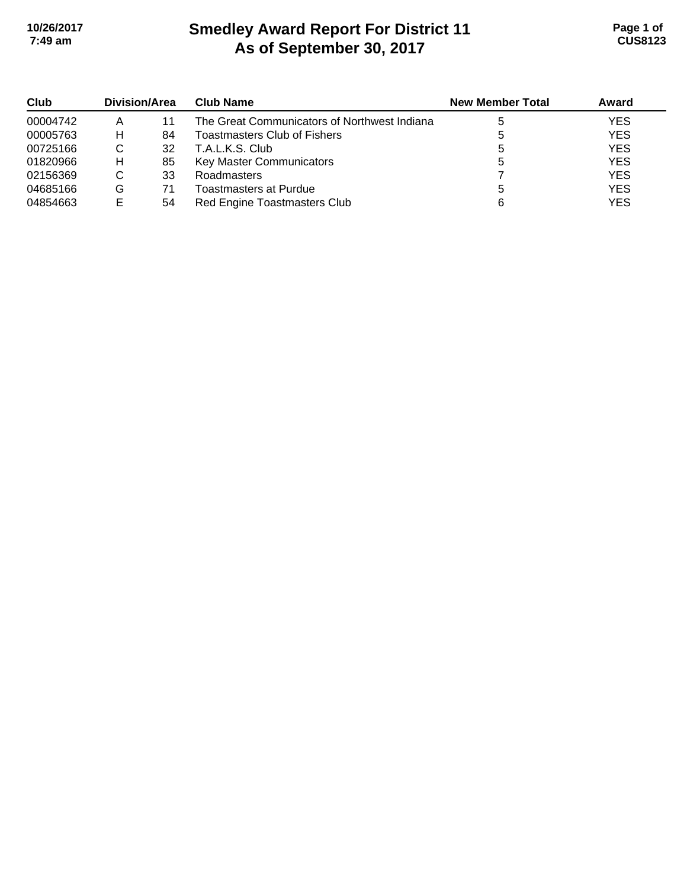# **Smedley Award Report For District 11 As of September 30, 2017 10/26/2017 Page 1 of 7:49 am CUS8123**

| Club     | Division/Area |    | <b>Club Name</b>                             | <b>New Member Total</b> | Award      |
|----------|---------------|----|----------------------------------------------|-------------------------|------------|
| 00004742 |               | 11 | The Great Communicators of Northwest Indiana |                         | <b>YES</b> |
| 00005763 | н             | 84 | Toastmasters Club of Fishers                 | 5                       | <b>YES</b> |
| 00725166 | С             | 32 | T.A.L.K.S. Club                              |                         | <b>YES</b> |
| 01820966 | н             | 85 | Key Master Communicators                     |                         | <b>YES</b> |
| 02156369 | С             | 33 | Roadmasters                                  |                         | <b>YES</b> |
| 04685166 | G             | 71 | Toastmasters at Purdue                       |                         | <b>YES</b> |
| 04854663 |               | 54 | Red Engine Toastmasters Club                 |                         | <b>YES</b> |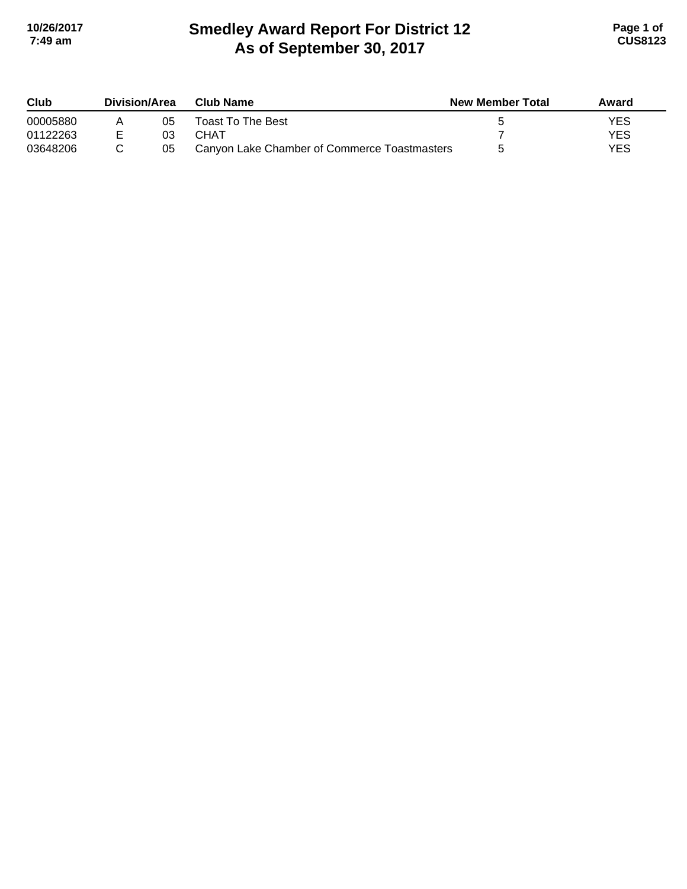# **Smedley Award Report For District 12 As of September 30, 2017 10/26/2017 Page 1 of 7:49 am CUS8123**

| Club     | Division/Area |    | Club Name                                    | <b>New Member Total</b> | Award      |
|----------|---------------|----|----------------------------------------------|-------------------------|------------|
| 00005880 |               | 05 | Toast To The Best                            |                         | YES        |
| 01122263 |               | 03 | СНАТ                                         |                         | <b>YES</b> |
| 03648206 |               | 05 | Canyon Lake Chamber of Commerce Toastmasters |                         | YES        |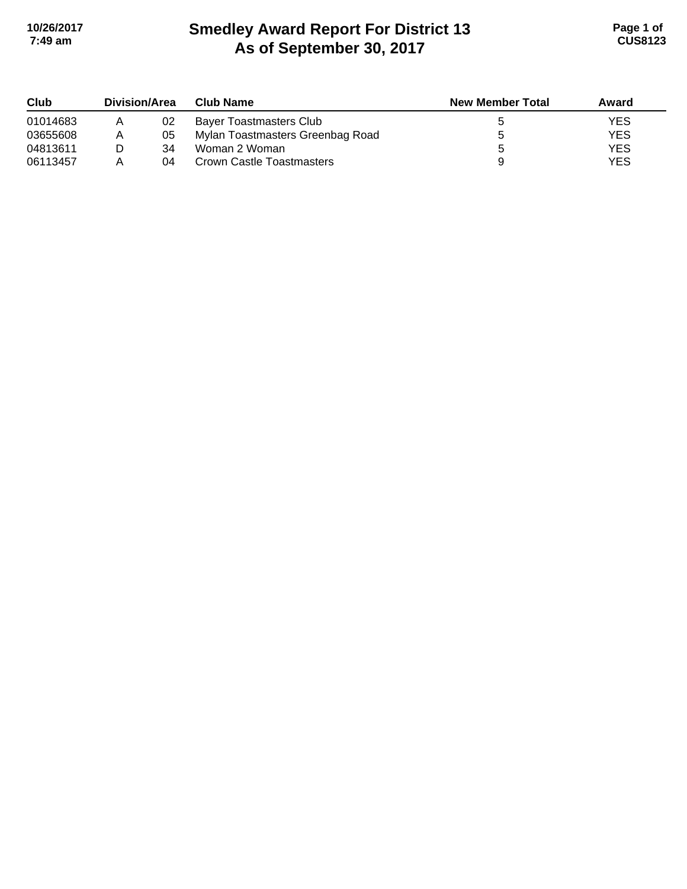# **Smedley Award Report For District 13 As of September 30, 2017 10/26/2017 Page 1 of 7:49 am CUS8123**

| Club     | Division/Area |    | <b>Club Name</b>                 | <b>New Member Total</b> | Award |
|----------|---------------|----|----------------------------------|-------------------------|-------|
| 01014683 |               | 02 | Bayer Toastmasters Club          |                         | YES   |
| 03655608 |               | 05 | Mylan Toastmasters Greenbag Road |                         | YES   |
| 04813611 |               | 34 | Woman 2 Woman                    |                         | YES   |
| 06113457 |               | 04 | Crown Castle Toastmasters        |                         | YES   |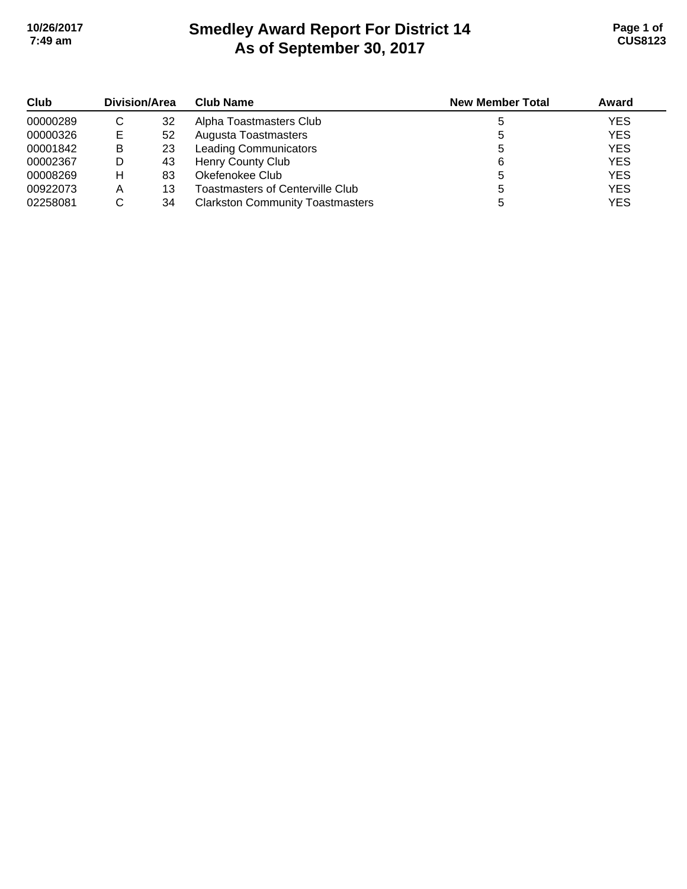# **Smedley Award Report For District 14 As of September 30, 2017 10/26/2017 Page 1 of 7:49 am CUS8123**

| Club     | Division/Area |    | <b>Club Name</b>                        | <b>New Member Total</b> | Award      |
|----------|---------------|----|-----------------------------------------|-------------------------|------------|
| 00000289 | C             | 32 | Alpha Toastmasters Club                 |                         | <b>YES</b> |
| 00000326 | Е             | 52 | Augusta Toastmasters                    |                         | <b>YES</b> |
| 00001842 | B             | 23 | <b>Leading Communicators</b>            |                         | <b>YES</b> |
| 00002367 | D             | 43 | Henry County Club                       |                         | <b>YES</b> |
| 00008269 | н             | 83 | Okefenokee Club                         |                         | <b>YES</b> |
| 00922073 | Α             | 13 | Toastmasters of Centerville Club        |                         | <b>YES</b> |
| 02258081 | С             | 34 | <b>Clarkston Community Toastmasters</b> |                         | <b>YES</b> |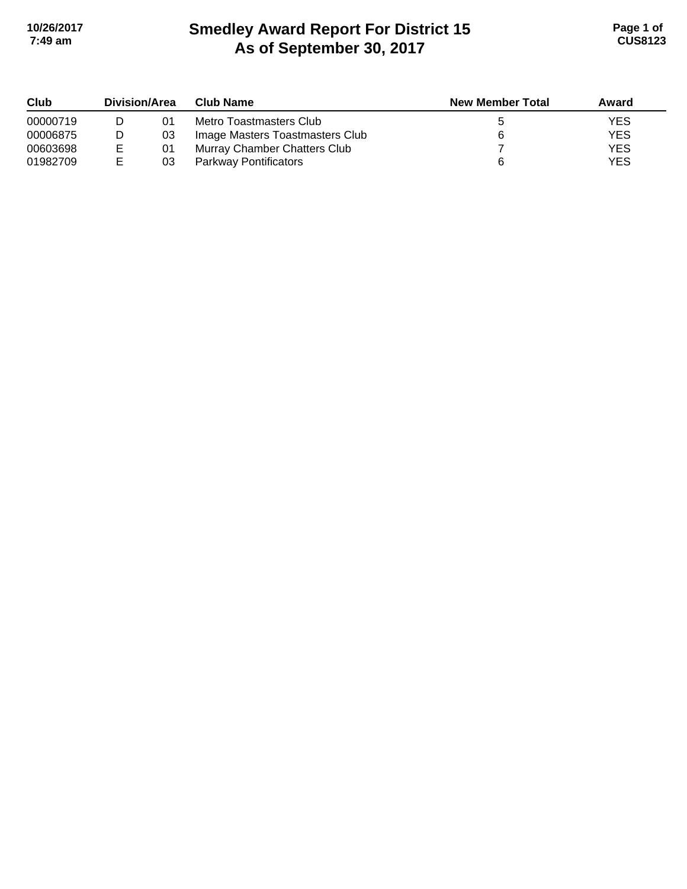# **Smedley Award Report For District 15 As of September 30, 2017 10/26/2017 Page 1 of 7:49 am CUS8123**

| Club     | <b>Division/Area</b> |    | <b>Club Name</b>                | <b>New Member Total</b> | Award |
|----------|----------------------|----|---------------------------------|-------------------------|-------|
| 00000719 |                      | 01 | Metro Toastmasters Club         |                         | YES   |
| 00006875 |                      | 03 | Image Masters Toastmasters Club |                         | YES   |
| 00603698 |                      | 01 | Murray Chamber Chatters Club    |                         | YES   |
| 01982709 | E                    | 03 | <b>Parkway Pontificators</b>    |                         | YES   |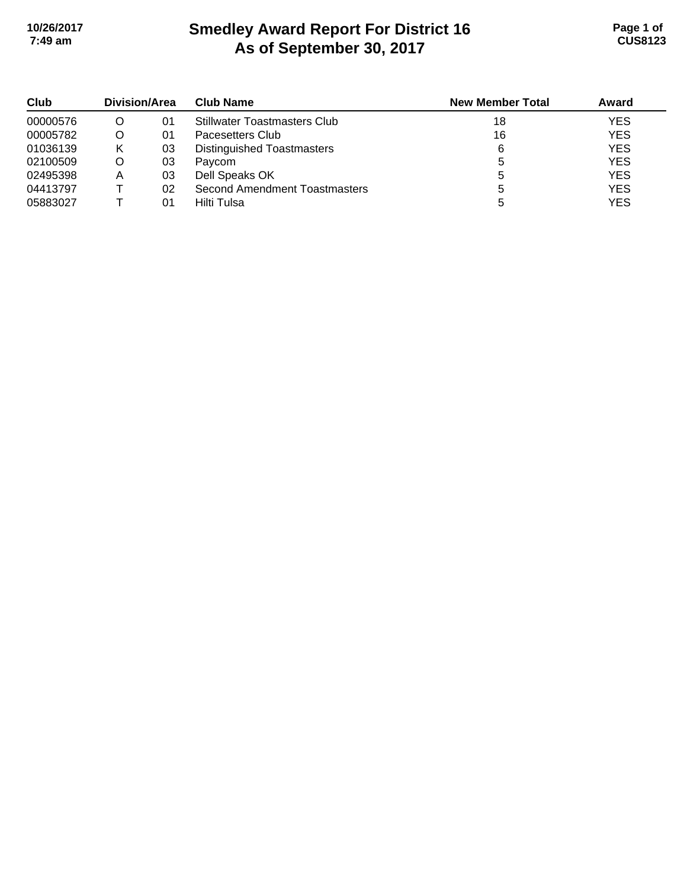# **Smedley Award Report For District 16 As of September 30, 2017 10/26/2017 Page 1 of 7:49 am CUS8123**

| Club     | Division/Area |    | <b>Club Name</b>                    | <b>New Member Total</b> | Award      |
|----------|---------------|----|-------------------------------------|-------------------------|------------|
| 00000576 | O             | 01 | <b>Stillwater Toastmasters Club</b> | 18                      | <b>YES</b> |
| 00005782 | O             | 01 | Pacesetters Club                    | 16                      | <b>YES</b> |
| 01036139 | κ             | 03 | Distinguished Toastmasters          | 6                       | <b>YES</b> |
| 02100509 | O             | 03 | Paycom                              |                         | <b>YES</b> |
| 02495398 | A             | 03 | Dell Speaks OK                      |                         | <b>YES</b> |
| 04413797 |               | 02 | Second Amendment Toastmasters       |                         | <b>YES</b> |
| 05883027 |               | 01 | Hilti Tulsa                         |                         | <b>YES</b> |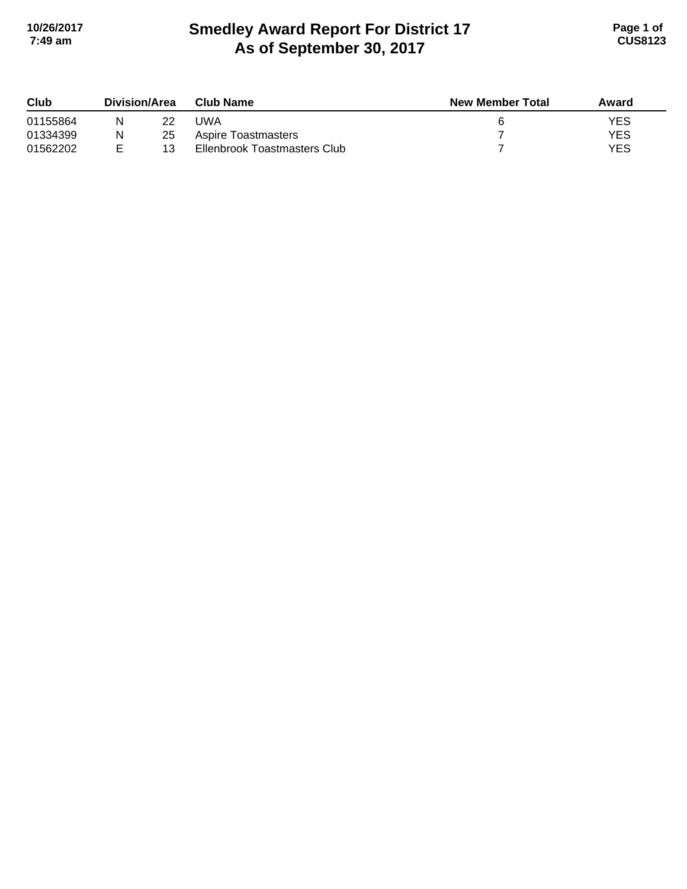# **Smedley Award Report For District 17 As of September 30, 2017 10/26/2017 Page 1 of 7:49 am CUS8123**

| Club     | Division/Area |    | <b>New Member Total</b><br>Club Name | Award |            |
|----------|---------------|----|--------------------------------------|-------|------------|
| 01155864 |               | 22 | UWA                                  |       | <b>YES</b> |
| 01334399 | Ν             | 25 | <b>Aspire Toastmasters</b>           |       | YES        |
| 01562202 |               | 13 | Ellenbrook Toastmasters Club         |       | YES        |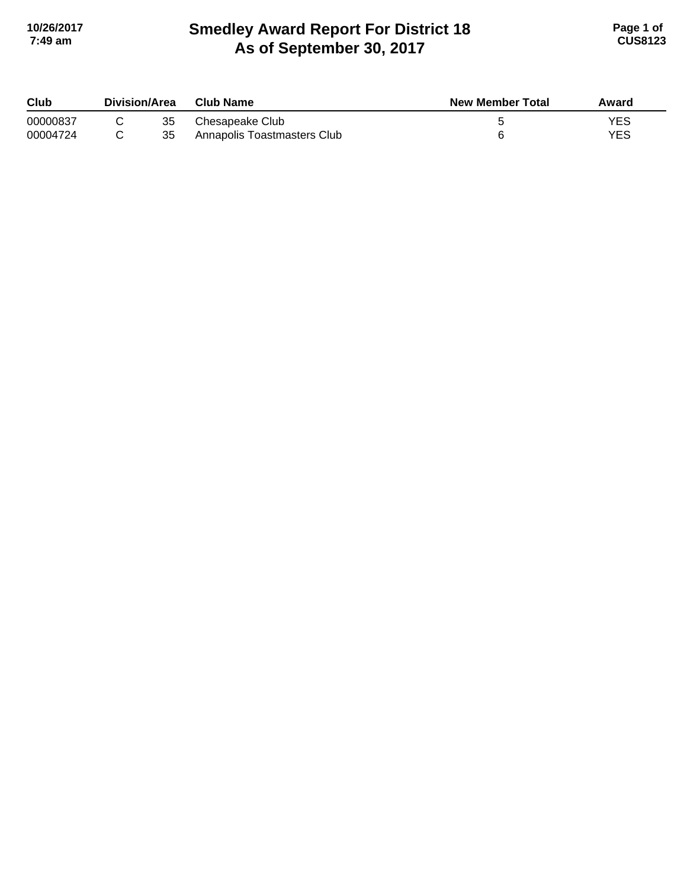# **Smedley Award Report For District 18 As of September 30, 2017 10/26/2017 Page 1 of 7:49 am CUS8123**

| Club     | Division/Area |    | Club Name                   | <b>New Member Total</b> | Award      |
|----------|---------------|----|-----------------------------|-------------------------|------------|
| 00000837 |               | 35 | Chesapeake Club             |                         | <b>YES</b> |
| 00004724 |               | 35 | Annapolis Toastmasters Club |                         | YES        |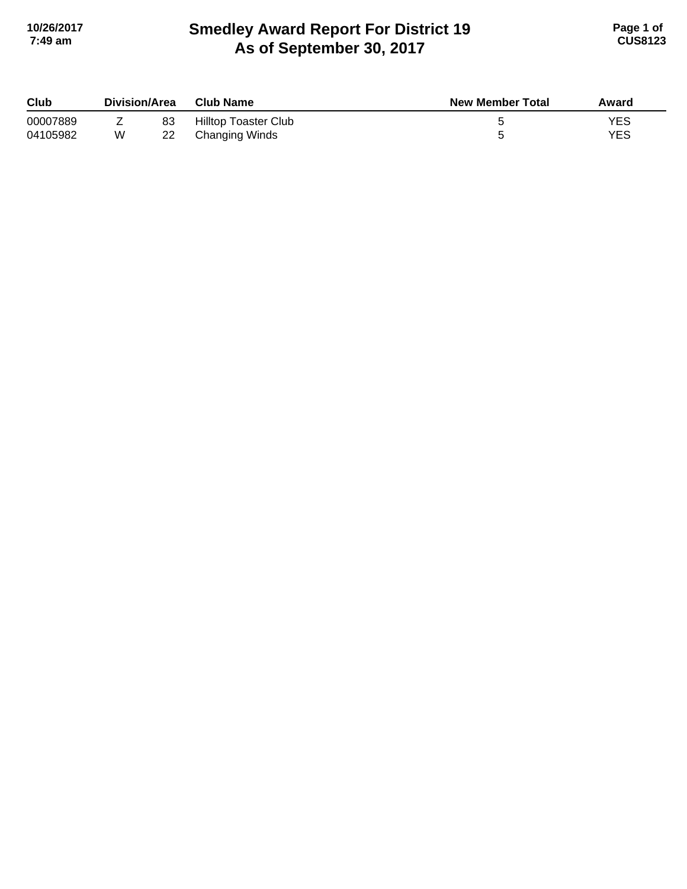# **Smedley Award Report For District 19 As of September 30, 2017 10/26/2017 Page 1 of 7:49 am CUS8123**

| Club     | Division/Area |    | <b>Club Name</b>     | <b>New Member Total</b> | Award |
|----------|---------------|----|----------------------|-------------------------|-------|
| 00007889 |               | 83 | Hilltop Toaster Club |                         | YES   |
| 04105982 | W             |    | Changing Winds       |                         | YES   |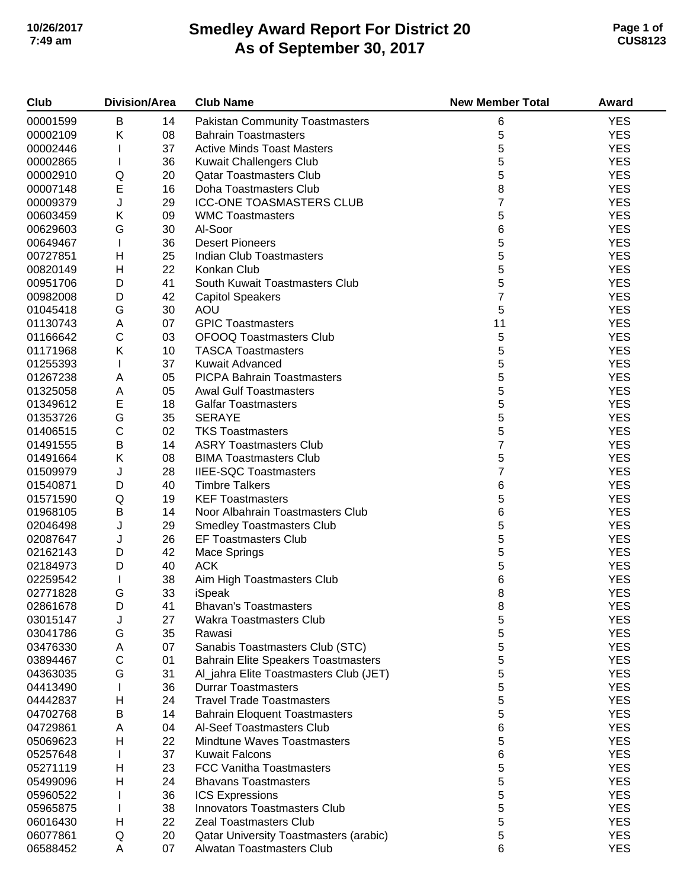# **Smedley Award Report For District 20 As of September 30, 2017 10/26/2017 Page 1 of 7:49 am CUS8123**

| Club     | <b>Division/Area</b> |    | <b>Club Name</b>                           | <b>New Member Total</b> | Award      |
|----------|----------------------|----|--------------------------------------------|-------------------------|------------|
| 00001599 | B                    | 14 | <b>Pakistan Community Toastmasters</b>     | 6                       | <b>YES</b> |
| 00002109 | Κ                    | 08 | <b>Bahrain Toastmasters</b>                | 5                       | <b>YES</b> |
| 00002446 | L                    | 37 | <b>Active Minds Toast Masters</b>          | 5                       | <b>YES</b> |
| 00002865 | T                    | 36 | Kuwait Challengers Club                    | 5                       | <b>YES</b> |
| 00002910 | Q                    | 20 | <b>Qatar Toastmasters Club</b>             | 5                       | <b>YES</b> |
| 00007148 | E                    | 16 | Doha Toastmasters Club                     | 8                       | <b>YES</b> |
| 00009379 | J                    | 29 | <b>ICC-ONE TOASMASTERS CLUB</b>            | $\overline{7}$          | <b>YES</b> |
| 00603459 | Κ                    | 09 | <b>WMC Toastmasters</b>                    | 5                       | <b>YES</b> |
| 00629603 | G                    | 30 | Al-Soor                                    | 6                       | <b>YES</b> |
| 00649467 | $\mathbf{I}$         | 36 | <b>Desert Pioneers</b>                     | 5                       | <b>YES</b> |
| 00727851 | H                    | 25 | <b>Indian Club Toastmasters</b>            | 5                       | <b>YES</b> |
| 00820149 | H                    | 22 | Konkan Club                                | 5                       | <b>YES</b> |
| 00951706 | D                    | 41 | South Kuwait Toastmasters Club             | 5                       | <b>YES</b> |
| 00982008 | D                    | 42 | <b>Capitol Speakers</b>                    | $\overline{7}$          | <b>YES</b> |
| 01045418 | G                    | 30 | AOU                                        | 5                       | <b>YES</b> |
| 01130743 | Α                    | 07 | <b>GPIC Toastmasters</b>                   | 11                      | <b>YES</b> |
| 01166642 | $\mathsf C$          |    | <b>OFOOQ Toastmasters Club</b>             | 5                       | <b>YES</b> |
|          | Κ                    | 03 | <b>TASCA Toastmasters</b>                  | 5                       | <b>YES</b> |
| 01171968 |                      | 10 |                                            | 5                       | <b>YES</b> |
| 01255393 | $\mathbf{I}$         | 37 | Kuwait Advanced                            |                         |            |
| 01267238 | Α                    | 05 | <b>PICPA Bahrain Toastmasters</b>          | 5                       | <b>YES</b> |
| 01325058 | A                    | 05 | <b>Awal Gulf Toastmasters</b>              | 5                       | <b>YES</b> |
| 01349612 | E                    | 18 | <b>Galfar Toastmasters</b>                 | 5                       | <b>YES</b> |
| 01353726 | G                    | 35 | <b>SERAYE</b>                              | 5                       | <b>YES</b> |
| 01406515 | $\mathsf C$          | 02 | <b>TKS Toastmasters</b>                    | 5                       | <b>YES</b> |
| 01491555 | B                    | 14 | <b>ASRY Toastmasters Club</b>              | $\overline{7}$          | <b>YES</b> |
| 01491664 | Κ                    | 08 | <b>BIMA Toastmasters Club</b>              | 5                       | <b>YES</b> |
| 01509979 | J                    | 28 | <b>IIEE-SQC Toastmasters</b>               | $\overline{7}$          | <b>YES</b> |
| 01540871 | D                    | 40 | <b>Timbre Talkers</b>                      | 6                       | <b>YES</b> |
| 01571590 | Q                    | 19 | <b>KEF Toastmasters</b>                    | 5                       | <b>YES</b> |
| 01968105 | $\sf B$              | 14 | Noor Albahrain Toastmasters Club           | 6                       | <b>YES</b> |
| 02046498 | J                    | 29 | <b>Smedley Toastmasters Club</b>           | 5                       | <b>YES</b> |
| 02087647 | J                    | 26 | <b>EF Toastmasters Club</b>                | 5                       | <b>YES</b> |
| 02162143 | D                    | 42 | Mace Springs                               | 5                       | <b>YES</b> |
| 02184973 | D                    | 40 | <b>ACK</b>                                 | $\sqrt{5}$              | <b>YES</b> |
| 02259542 | $\mathbf{I}$         | 38 | Aim High Toastmasters Club                 | 6                       | <b>YES</b> |
| 02771828 | G                    | 33 | iSpeak                                     | 8                       | <b>YES</b> |
| 02861678 | D                    | 41 | <b>Bhavan's Toastmasters</b>               | 8                       | <b>YES</b> |
| 03015147 | J                    | 27 | Wakra Toastmasters Club                    | 5                       | <b>YES</b> |
| 03041786 | G                    | 35 | Rawasi                                     | 5                       | <b>YES</b> |
| 03476330 | Α                    | 07 | Sanabis Toastmasters Club (STC)            | 5                       | <b>YES</b> |
| 03894467 | $\mathsf C$          | 01 | <b>Bahrain Elite Speakers Toastmasters</b> | 5                       | <b>YES</b> |
| 04363035 | G                    | 31 | Al_jahra Elite Toastmasters Club (JET)     | 5                       | <b>YES</b> |
| 04413490 |                      | 36 | <b>Durrar Toastmasters</b>                 | 5                       | <b>YES</b> |
| 04442837 | Н                    | 24 | <b>Travel Trade Toastmasters</b>           | 5                       | <b>YES</b> |
| 04702768 | Β                    | 14 | <b>Bahrain Eloquent Toastmasters</b>       | 5                       | <b>YES</b> |
| 04729861 | Α                    | 04 | Al-Seef Toastmasters Club                  | 6                       | <b>YES</b> |
| 05069623 | н                    | 22 | <b>Mindtune Waves Toastmasters</b>         | 5                       | <b>YES</b> |
| 05257648 |                      | 37 | <b>Kuwait Falcons</b>                      | 6                       | <b>YES</b> |
| 05271119 | Н                    | 23 | <b>FCC Vanitha Toastmasters</b>            | 5                       | <b>YES</b> |
| 05499096 | Н                    | 24 | <b>Bhavans Toastmasters</b>                | 5                       | <b>YES</b> |
| 05960522 |                      | 36 | <b>ICS Expressions</b>                     | 5                       | <b>YES</b> |
| 05965875 |                      | 38 | <b>Innovators Toastmasters Club</b>        | 5                       | <b>YES</b> |
| 06016430 | Н                    | 22 | <b>Zeal Toastmasters Club</b>              | 5                       | <b>YES</b> |
| 06077861 | Q                    | 20 | Qatar University Toastmasters (arabic)     | 5                       | <b>YES</b> |
| 06588452 | Α                    | 07 | Alwatan Toastmasters Club                  | 6                       | <b>YES</b> |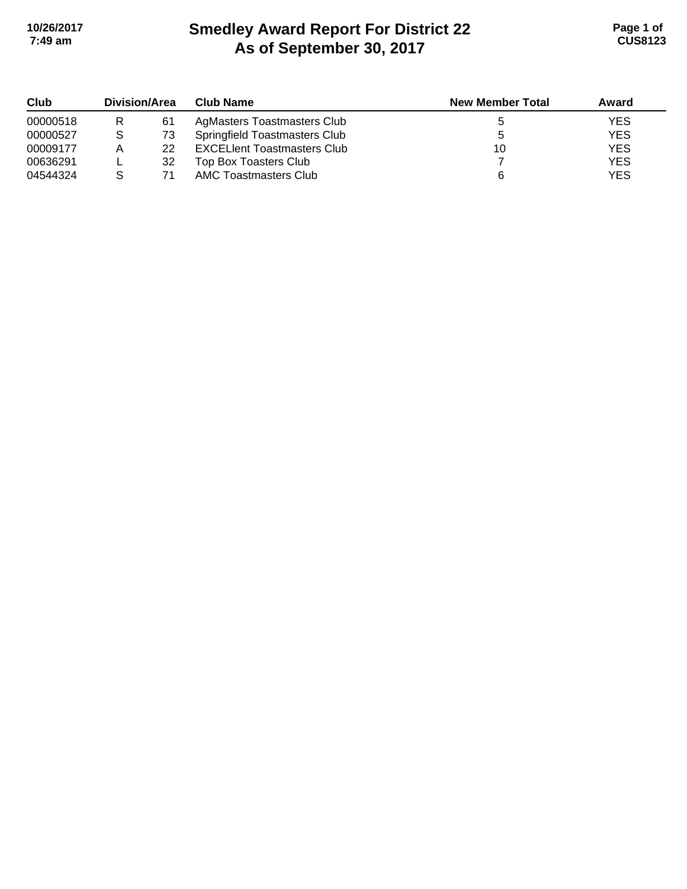# **Smedley Award Report For District 22 As of September 30, 2017 10/26/2017 Page 1 of 7:49 am CUS8123**

| Club     | Division/Area |    | Club Name                          | <b>New Member Total</b> | Award      |
|----------|---------------|----|------------------------------------|-------------------------|------------|
| 00000518 | R             | 61 | AgMasters Toastmasters Club        |                         | <b>YES</b> |
| 00000527 | S             | 73 | Springfield Toastmasters Club      |                         | <b>YES</b> |
| 00009177 | А             | 22 | <b>EXCELIent Toastmasters Club</b> | 10                      | <b>YES</b> |
| 00636291 |               | 32 | Top Box Toasters Club              |                         | <b>YES</b> |
| 04544324 |               | 71 | AMC Toastmasters Club              |                         | <b>YES</b> |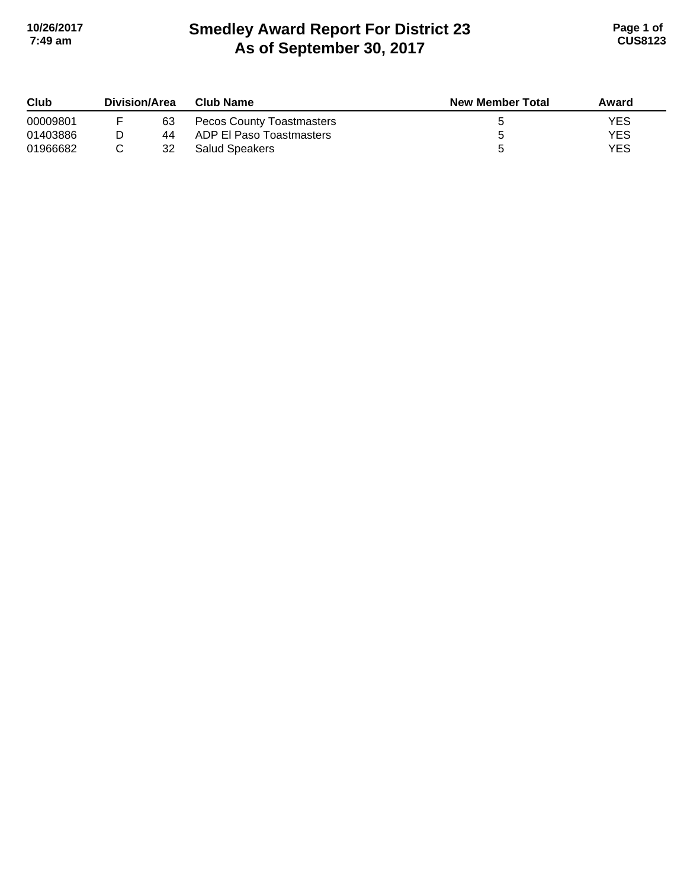# **Smedley Award Report For District 23 As of September 30, 2017 10/26/2017 Page 1 of 7:49 am CUS8123**

| Club     | <b>Division/Area</b> |    | <b>Club Name</b>                 | <b>New Member Total</b> | Award |
|----------|----------------------|----|----------------------------------|-------------------------|-------|
| 00009801 |                      | 63 | <b>Pecos County Toastmasters</b> |                         | YES   |
| 01403886 |                      | 44 | ADP El Paso Toastmasters         |                         | YES   |
| 01966682 |                      | 32 | <b>Salud Speakers</b>            |                         | YES   |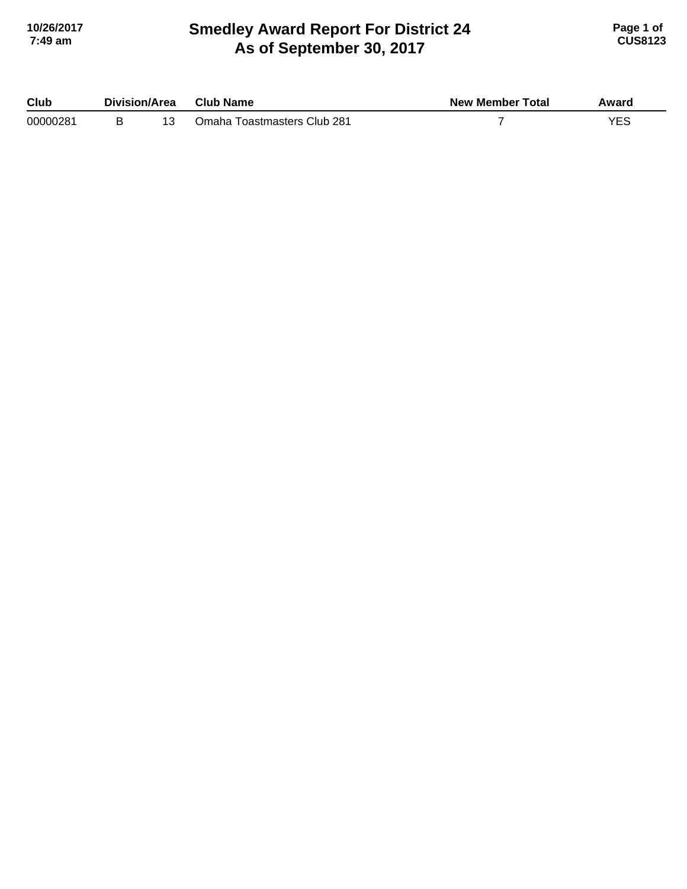#### **Smedley Award Report For District 24 As of September 30, 2017 10/26/2017 Page 1 of 7:49 am CUS8123**

| Club     | Division/Area |  | Club Name                   | <b>New Member Total</b> | Award |
|----------|---------------|--|-----------------------------|-------------------------|-------|
| 00000281 |               |  | Omaha Toastmasters Club 281 |                         | VEC.  |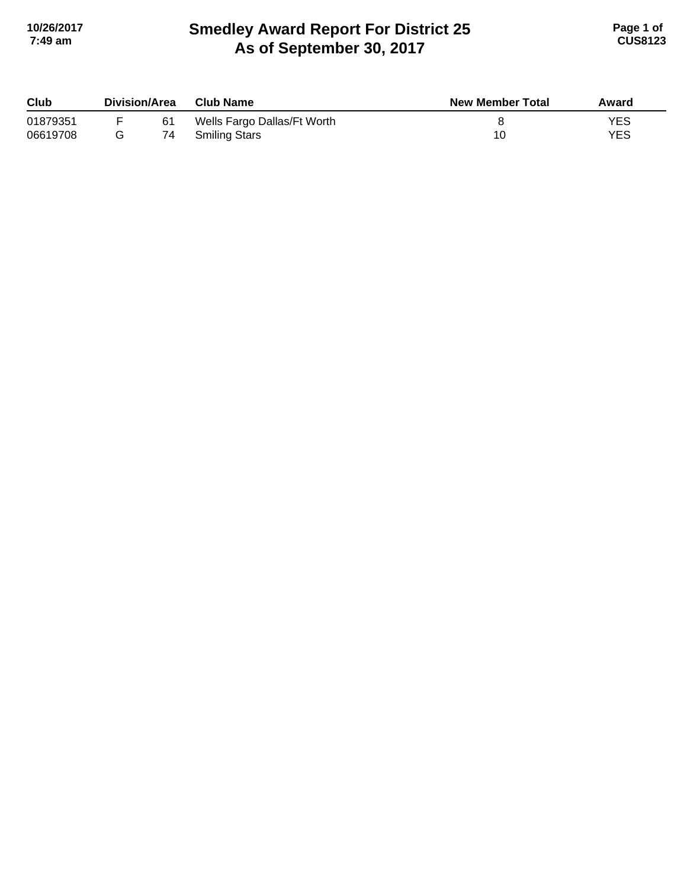## **Smedley Award Report For District 25 As of September 30, 2017 10/26/2017 Page 1 of 7:49 am CUS8123**

| Club     | Division/Area<br><b>Club Name</b> |    |                             | <b>New Member Total</b> | Award |
|----------|-----------------------------------|----|-----------------------------|-------------------------|-------|
| 01879351 |                                   | 61 | Wells Fargo Dallas/Ft Worth |                         | YES   |
| 06619708 |                                   | 74 | <b>Smiling Stars</b>        |                         | YES   |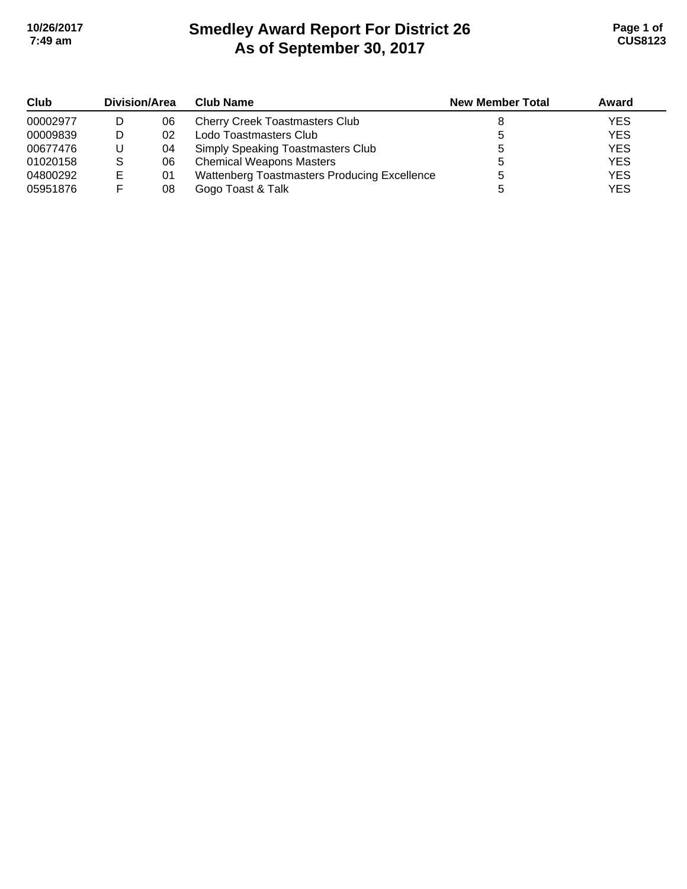# **Smedley Award Report For District 26 As of September 30, 2017 10/26/2017 Page 1 of 7:49 am CUS8123**

| Club     | Division/Area |    | <b>Club Name</b>                             | <b>New Member Total</b> | Award      |
|----------|---------------|----|----------------------------------------------|-------------------------|------------|
| 00002977 |               | 06 | <b>Cherry Creek Toastmasters Club</b>        |                         | <b>YES</b> |
| 00009839 |               | 02 | Lodo Toastmasters Club                       |                         | <b>YES</b> |
| 00677476 |               | 04 | Simply Speaking Toastmasters Club            |                         | <b>YES</b> |
| 01020158 |               | 06 | <b>Chemical Weapons Masters</b>              |                         | <b>YES</b> |
| 04800292 | Е             | 01 | Wattenberg Toastmasters Producing Excellence |                         | <b>YES</b> |
| 05951876 |               | 08 | Gogo Toast & Talk                            |                         | <b>YES</b> |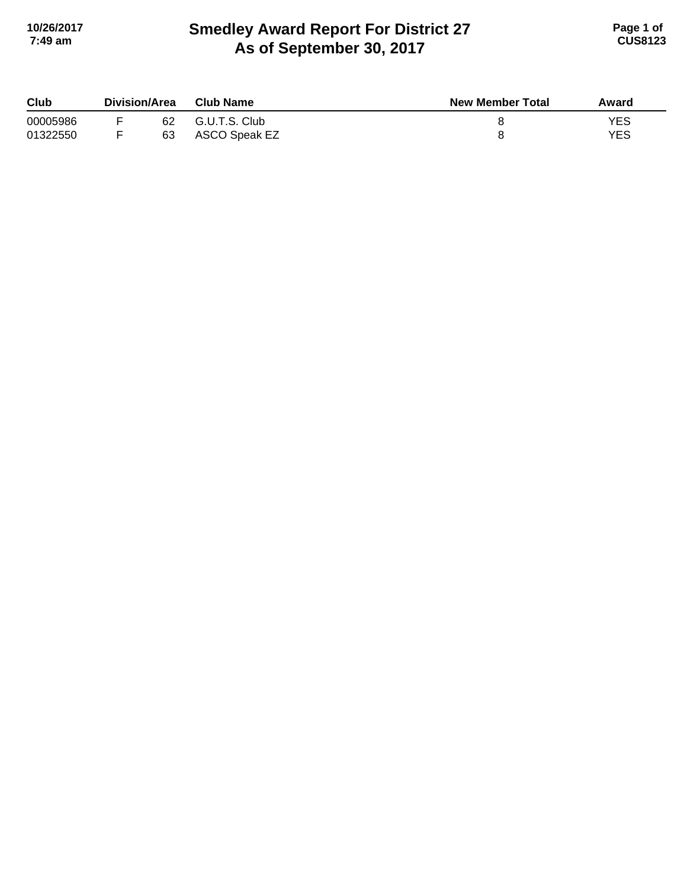## **Smedley Award Report For District 27 As of September 30, 2017 10/26/2017 Page 1 of 7:49 am CUS8123**

| Club     | Division/Area |    | <b>Club Name</b> | <b>New Member Total</b> | Award |
|----------|---------------|----|------------------|-------------------------|-------|
| 00005986 |               | 62 | G.U.T.S. Club    |                         | YES   |
| 01322550 |               | 63 | ASCO Speak EZ    |                         | YES   |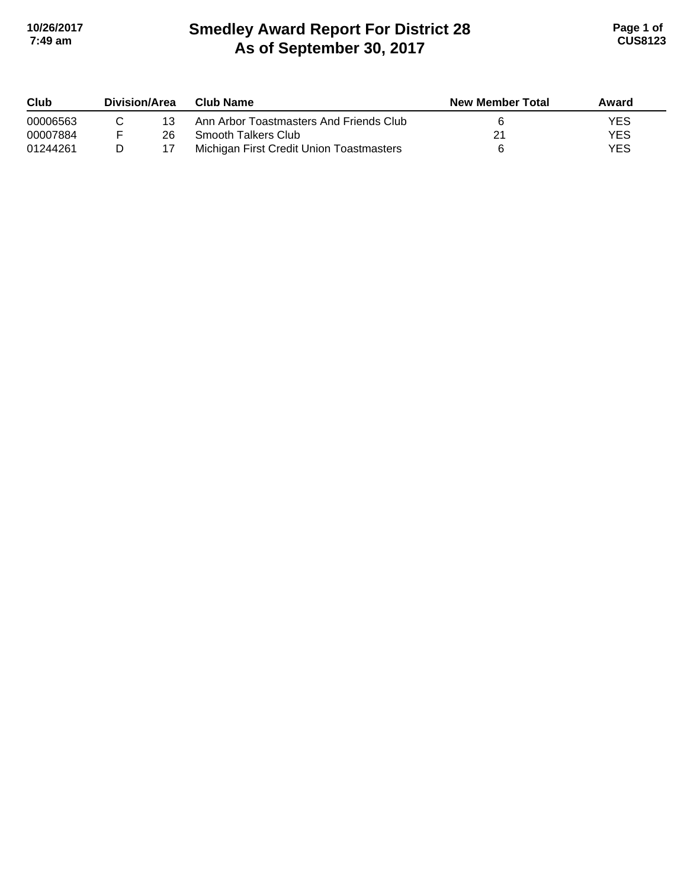# **Smedley Award Report For District 28 As of September 30, 2017 10/26/2017 Page 1 of 7:49 am CUS8123**

| Club     | <b>Division/Area</b> |    | Club Name                                | <b>New Member Total</b> | Award      |
|----------|----------------------|----|------------------------------------------|-------------------------|------------|
| 00006563 |                      | 13 | Ann Arbor Toastmasters And Friends Club  |                         | YES        |
| 00007884 |                      | 26 | Smooth Talkers Club                      |                         | <b>YES</b> |
| 01244261 | D                    |    | Michigan First Credit Union Toastmasters |                         | <b>YES</b> |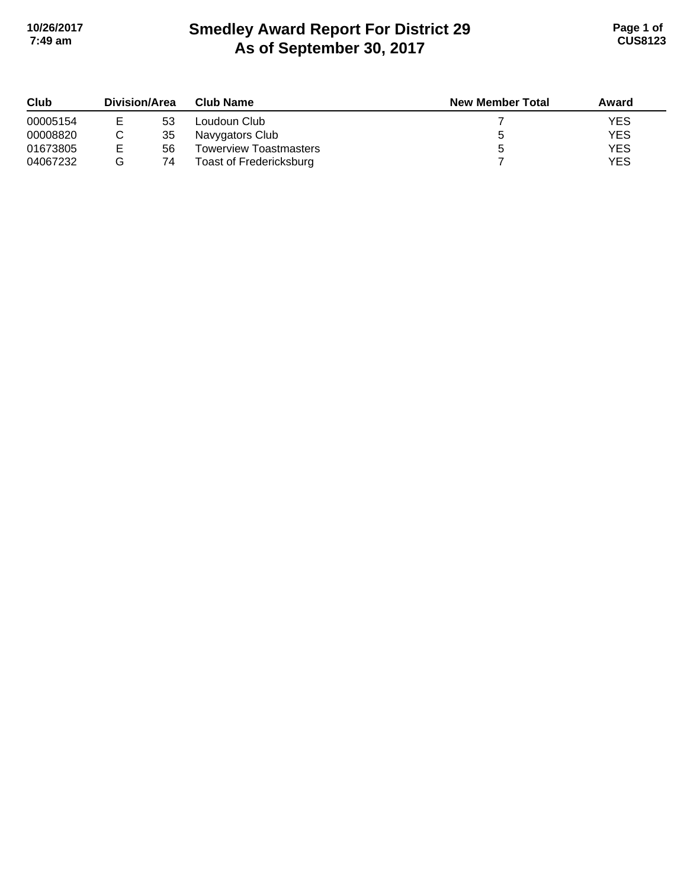# **Smedley Award Report For District 29 As of September 30, 2017 10/26/2017 Page 1 of 7:49 am CUS8123**

| Club     | Division/Area |    | <b>Club Name</b>        | <b>New Member Total</b> | Award      |
|----------|---------------|----|-------------------------|-------------------------|------------|
| 00005154 |               | 53 | Loudoun Club            |                         | <b>YES</b> |
| 00008820 |               | 35 | Navygators Club         |                         | <b>YES</b> |
| 01673805 | F             | 56 | Towerview Toastmasters  |                         | <b>YES</b> |
| 04067232 |               | 74 | Toast of Fredericksburg |                         | <b>YES</b> |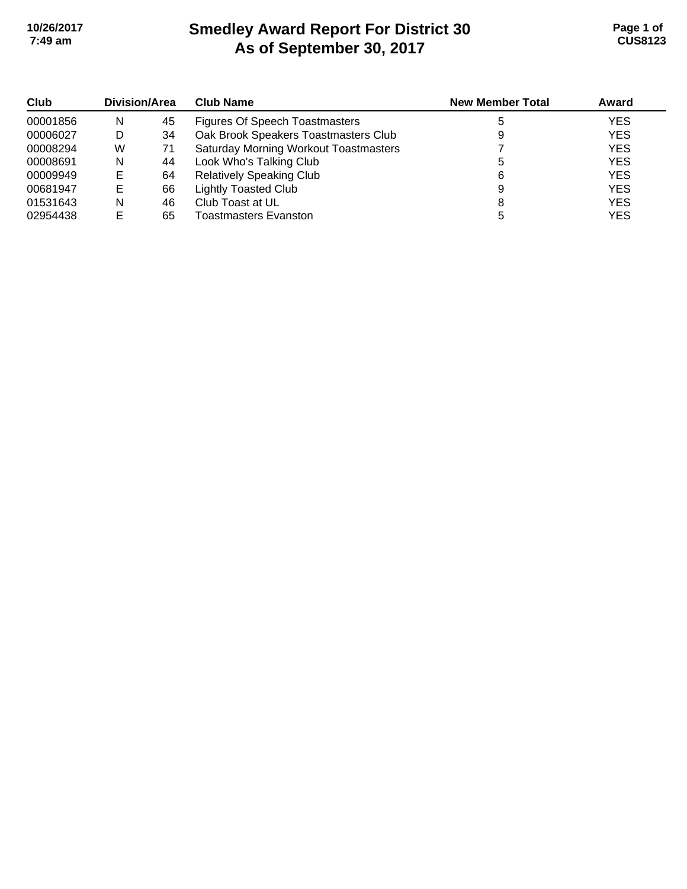# **Smedley Award Report For District 30 As of September 30, 2017 10/26/2017 Page 1 of 7:49 am CUS8123**

| Club     | Division/Area |    | <b>Club Name</b>                             | <b>New Member Total</b> | Award      |
|----------|---------------|----|----------------------------------------------|-------------------------|------------|
| 00001856 | N             | 45 | Figures Of Speech Toastmasters               |                         | <b>YES</b> |
| 00006027 | D             | 34 | Oak Brook Speakers Toastmasters Club         |                         | <b>YES</b> |
| 00008294 | W             | 71 | <b>Saturday Morning Workout Toastmasters</b> |                         | <b>YES</b> |
| 00008691 | N             | 44 | Look Who's Talking Club                      |                         | <b>YES</b> |
| 00009949 | Е             | 64 | <b>Relatively Speaking Club</b>              | 6                       | <b>YES</b> |
| 00681947 | E             | 66 | <b>Lightly Toasted Club</b>                  |                         | <b>YES</b> |
| 01531643 | N             | 46 | Club Toast at UL                             |                         | <b>YES</b> |
| 02954438 |               | 65 | Toastmasters Evanston                        |                         | <b>YES</b> |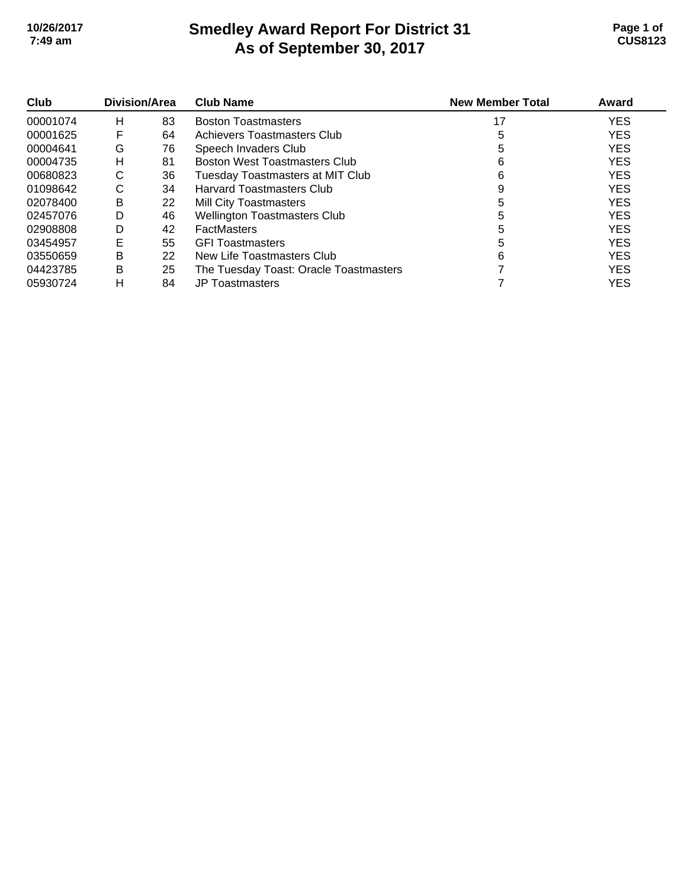### **Smedley Award Report For District 31 As of September 30, 2017 10/26/2017 Page 1 of 7:49 am CUS8123**

| Club     | Division/Area |    | <b>Club Name</b>                       | <b>New Member Total</b> | Award      |
|----------|---------------|----|----------------------------------------|-------------------------|------------|
| 00001074 | н             | 83 | <b>Boston Toastmasters</b>             | 17                      | <b>YES</b> |
| 00001625 | F             | 64 | Achievers Toastmasters Club            |                         | <b>YES</b> |
| 00004641 | G             | 76 | Speech Invaders Club                   |                         | <b>YES</b> |
| 00004735 | н             | 81 | <b>Boston West Toastmasters Club</b>   | 6                       | <b>YES</b> |
| 00680823 | C             | 36 | Tuesday Toastmasters at MIT Club       | 6                       | <b>YES</b> |
| 01098642 | С             | 34 | <b>Harvard Toastmasters Club</b>       | 9                       | <b>YES</b> |
| 02078400 | В             | 22 | <b>Mill City Toastmasters</b>          | 5                       | <b>YES</b> |
| 02457076 | D             | 46 | <b>Wellington Toastmasters Club</b>    |                         | <b>YES</b> |
| 02908808 | D             | 42 | <b>FactMasters</b>                     | 5                       | <b>YES</b> |
| 03454957 | Е             | 55 | <b>GFI Toastmasters</b>                | 5                       | <b>YES</b> |
| 03550659 | B             | 22 | New Life Toastmasters Club             | 6                       | <b>YES</b> |
| 04423785 | B             | 25 | The Tuesday Toast: Oracle Toastmasters |                         | <b>YES</b> |
| 05930724 | н             | 84 | <b>JP Toastmasters</b>                 |                         | <b>YES</b> |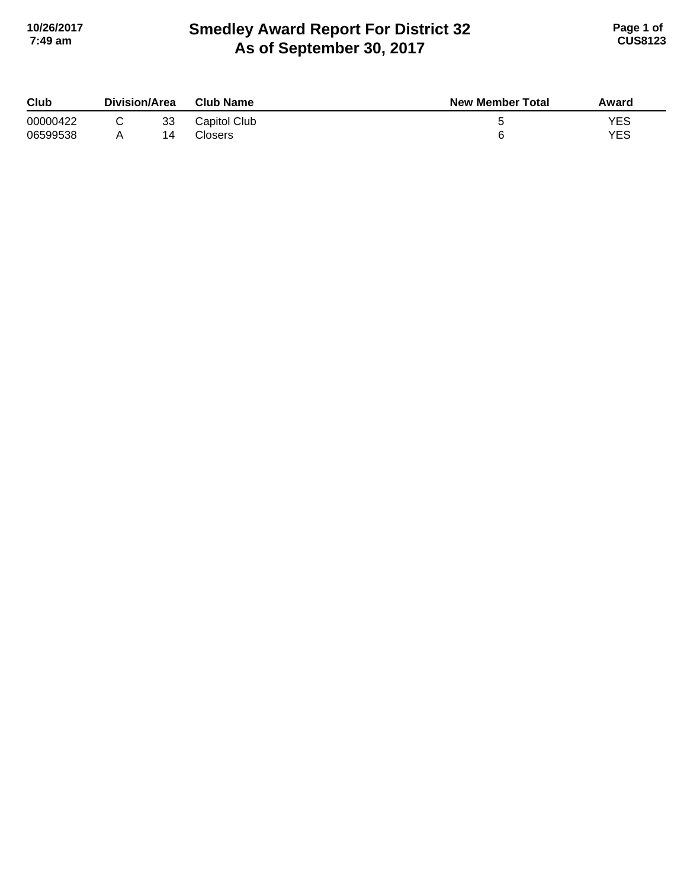## **Smedley Award Report For District 32 As of September 30, 2017 10/26/2017 Page 1 of 7:49 am CUS8123**

| Club                 | Division/Area |          | <b>Club Name</b>        | <b>New Member Total</b> | Award             |
|----------------------|---------------|----------|-------------------------|-------------------------|-------------------|
| 00000422<br>06599538 |               | 33<br>14 | Capitol Club<br>Closers |                         | <b>YES</b><br>YES |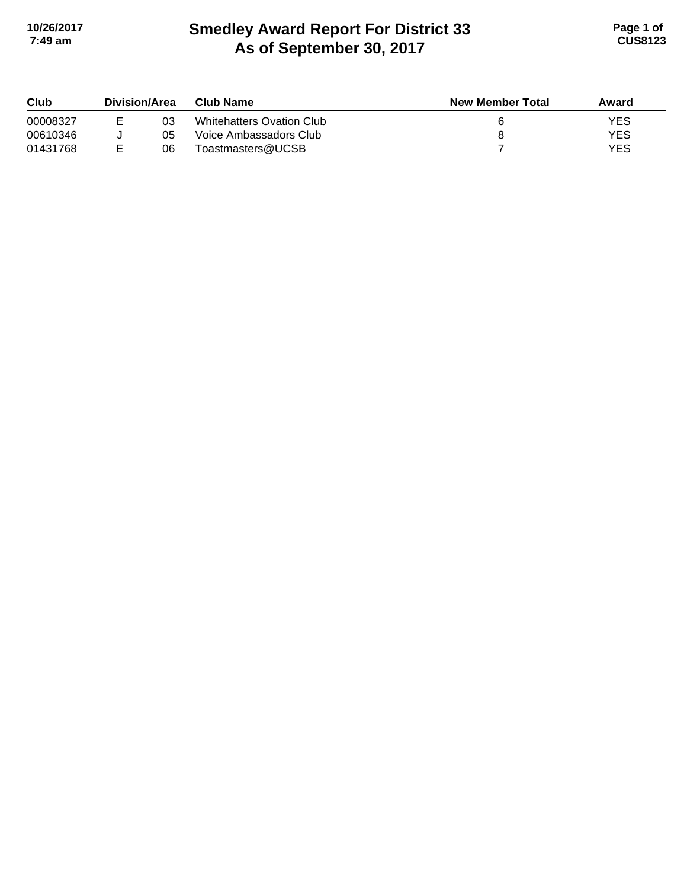# **Smedley Award Report For District 33 As of September 30, 2017 10/26/2017 Page 1 of 7:49 am CUS8123**

| Club<br>00008327 | Division/Area |    | Club Name                 | <b>New Member Total</b> | Award |
|------------------|---------------|----|---------------------------|-------------------------|-------|
|                  |               | 03 | Whitehatters Ovation Club |                         | YES   |
| 00610346         |               | 05 | Voice Ambassadors Club    |                         | YES   |
| 01431768         |               | 06 | Toastmasters@UCSB         |                         | YES   |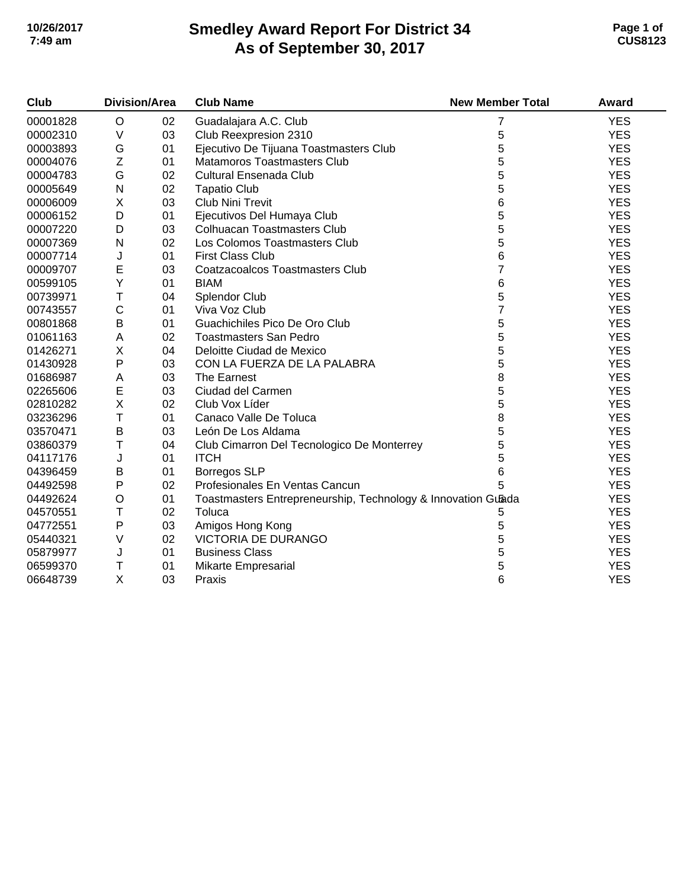### **Smedley Award Report For District 34 As of September 30, 2017 10/26/2017 Page 1 of 7:49 am CUS8123**

| Club     | <b>Division/Area</b>                                        |    | <b>Club Name</b>                                             | <b>New Member Total</b> | Award      |
|----------|-------------------------------------------------------------|----|--------------------------------------------------------------|-------------------------|------------|
| 00001828 | $\circ$                                                     | 02 | Guadalajara A.C. Club                                        | 7                       | <b>YES</b> |
| 00002310 | $\vee$                                                      | 03 | Club Reexpresion 2310                                        | 5                       | <b>YES</b> |
| 00003893 | G                                                           | 01 | Ejecutivo De Tijuana Toastmasters Club                       | 5                       | <b>YES</b> |
| 00004076 | $\mathsf{Z}% _{M_{1},M_{2}}^{\alpha,\beta}(\mathbb{R}^{2})$ | 01 | Matamoros Toastmasters Club                                  | 5                       | <b>YES</b> |
| 00004783 | G                                                           | 02 | <b>Cultural Ensenada Club</b>                                | 5                       | <b>YES</b> |
| 00005649 | $\mathsf{N}$                                                | 02 | <b>Tapatio Club</b>                                          | 5                       | <b>YES</b> |
| 00006009 | X                                                           | 03 | <b>Club Nini Trevit</b>                                      | 6                       | <b>YES</b> |
| 00006152 | D                                                           | 01 | Ejecutivos Del Humaya Club                                   | 5                       | <b>YES</b> |
| 00007220 | D                                                           | 03 | <b>Colhuacan Toastmasters Club</b>                           | 5                       | <b>YES</b> |
| 00007369 | N                                                           | 02 | Los Colomos Toastmasters Club                                | 5                       | <b>YES</b> |
| 00007714 | J                                                           | 01 | <b>First Class Club</b>                                      | 6                       | <b>YES</b> |
| 00009707 | E                                                           | 03 | Coatzacoalcos Toastmasters Club                              | 7                       | <b>YES</b> |
| 00599105 | Υ                                                           | 01 | <b>BIAM</b>                                                  | 6                       | <b>YES</b> |
| 00739971 | T                                                           | 04 | <b>Splendor Club</b>                                         | 5                       | <b>YES</b> |
| 00743557 | $\mathsf C$                                                 | 01 | Viva Voz Club                                                | $\overline{7}$          | <b>YES</b> |
| 00801868 | $\sf B$                                                     | 01 | Guachichiles Pico De Oro Club                                | 5                       | <b>YES</b> |
| 01061163 | A                                                           | 02 | <b>Toastmasters San Pedro</b>                                | 5                       | <b>YES</b> |
| 01426271 | X                                                           | 04 | Deloitte Ciudad de Mexico                                    | 5                       | <b>YES</b> |
| 01430928 | P                                                           | 03 | CON LA FUERZA DE LA PALABRA                                  | 5                       | <b>YES</b> |
| 01686987 | A                                                           | 03 | The Earnest                                                  | 8                       | <b>YES</b> |
| 02265606 | E                                                           | 03 | Ciudad del Carmen                                            | 5                       | <b>YES</b> |
| 02810282 | $\pmb{\times}$                                              | 02 | Club Vox Líder                                               | 5                       | <b>YES</b> |
| 03236296 | T                                                           | 01 | Canaco Valle De Toluca                                       | 8                       | <b>YES</b> |
| 03570471 | $\sf B$                                                     | 03 | León De Los Aldama                                           | 5                       | <b>YES</b> |
| 03860379 | T                                                           | 04 | Club Cimarron Del Tecnologico De Monterrey                   | 5                       | <b>YES</b> |
| 04117176 | J                                                           | 01 | <b>ITCH</b>                                                  | 5                       | <b>YES</b> |
| 04396459 | B                                                           | 01 | <b>Borregos SLP</b>                                          | 6                       | <b>YES</b> |
| 04492598 | P                                                           | 02 | Profesionales En Ventas Cancun                               | 5                       | <b>YES</b> |
| 04492624 | O                                                           | 01 | Toastmasters Entrepreneurship, Technology & Innovation Guada |                         | <b>YES</b> |
| 04570551 | T                                                           | 02 | Toluca                                                       | 5                       | <b>YES</b> |
| 04772551 | $\mathsf{P}$                                                | 03 | Amigos Hong Kong                                             | 5                       | <b>YES</b> |
| 05440321 | V                                                           | 02 | <b>VICTORIA DE DURANGO</b>                                   | 5                       | <b>YES</b> |
| 05879977 | J                                                           | 01 | <b>Business Class</b>                                        | 5                       | <b>YES</b> |
| 06599370 | Τ                                                           | 01 | Mikarte Empresarial                                          | 5                       | <b>YES</b> |
| 06648739 | X                                                           | 03 | Praxis                                                       | 6                       | <b>YES</b> |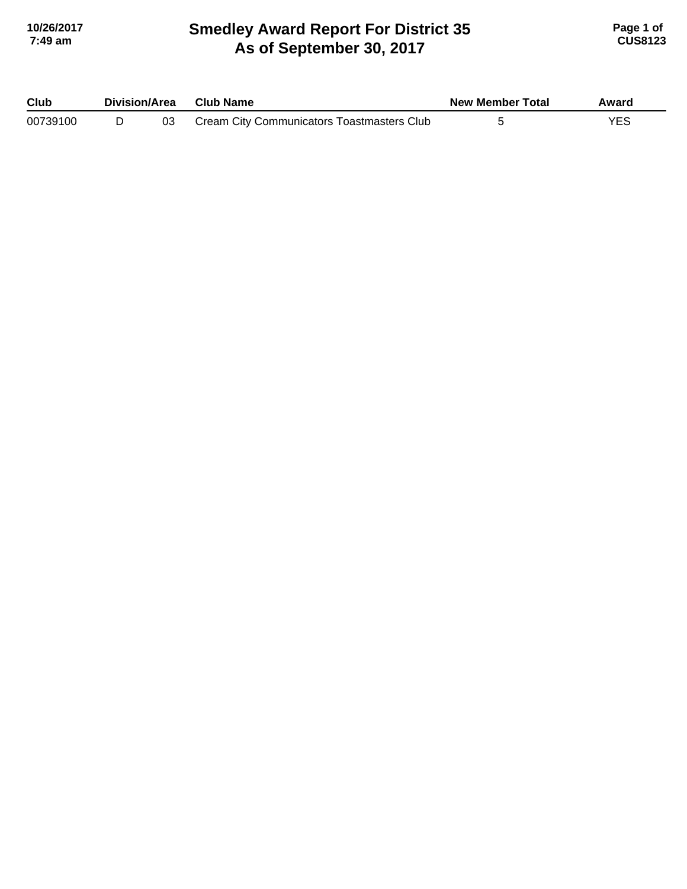### **Smedley Award Report For District 35 As of September 30, 2017 10/26/2017 Page 1 of 7:49 am CUS8123**

| Club     | Division/Area |  | <b>Club Name</b>                           | <b>New Member Total</b> | Award |
|----------|---------------|--|--------------------------------------------|-------------------------|-------|
| 00739100 |               |  | Cream City Communicators Toastmasters Club |                         |       |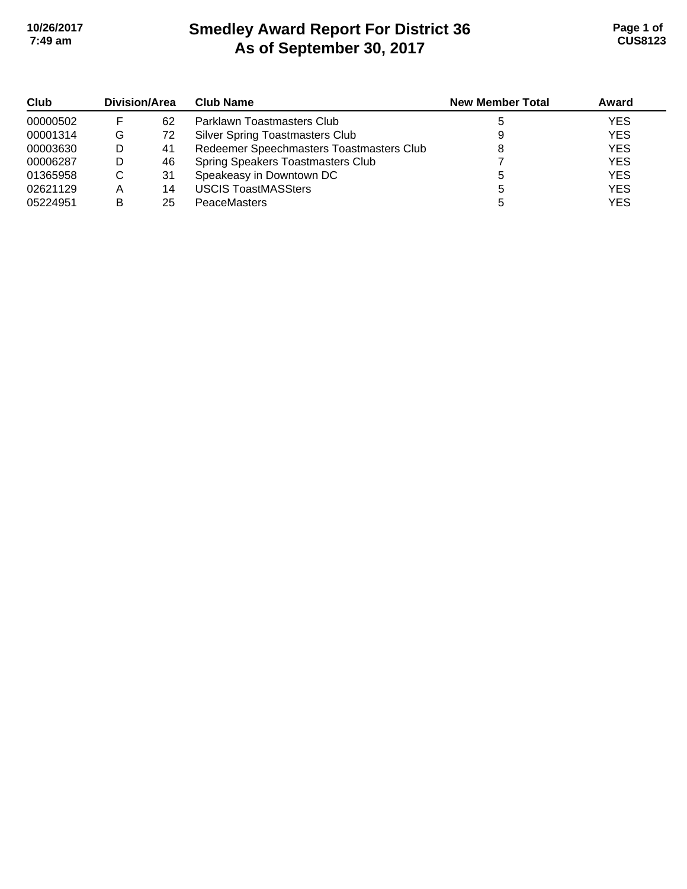# **Smedley Award Report For District 36 As of September 30, 2017 10/26/2017 Page 1 of 7:49 am CUS8123**

| Club     | Division/Area |    | <b>Club Name</b>                         | <b>New Member Total</b> | Award      |
|----------|---------------|----|------------------------------------------|-------------------------|------------|
| 00000502 |               | 62 | Parklawn Toastmasters Club               |                         | <b>YES</b> |
| 00001314 | G             | 72 | <b>Silver Spring Toastmasters Club</b>   |                         | <b>YES</b> |
| 00003630 | D             | 41 | Redeemer Speechmasters Toastmasters Club |                         | <b>YES</b> |
| 00006287 | D             | 46 | Spring Speakers Toastmasters Club        |                         | <b>YES</b> |
| 01365958 | C             | 31 | Speakeasy in Downtown DC                 |                         | <b>YES</b> |
| 02621129 | Α             | 14 | <b>USCIS ToastMASSters</b>               | b                       | <b>YES</b> |
| 05224951 | в             | 25 | <b>PeaceMasters</b>                      |                         | <b>YES</b> |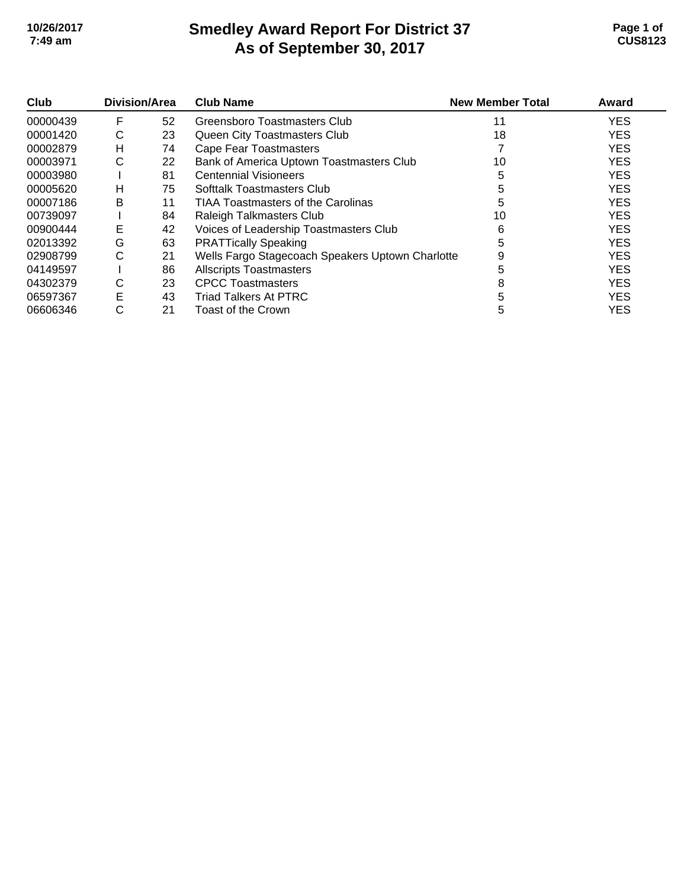# **Smedley Award Report For District 37 As of September 30, 2017 10/26/2017 Page 1 of 7:49 am CUS8123**

| Club     | Division/Area |    | <b>Club Name</b>                                 | <b>New Member Total</b> | Award      |
|----------|---------------|----|--------------------------------------------------|-------------------------|------------|
| 00000439 | F             | 52 | Greensboro Toastmasters Club                     | 11                      | <b>YES</b> |
| 00001420 | С             | 23 | Queen City Toastmasters Club                     | 18                      | <b>YES</b> |
| 00002879 | н             | 74 | <b>Cape Fear Toastmasters</b>                    |                         | <b>YES</b> |
| 00003971 | С             | 22 | Bank of America Uptown Toastmasters Club         | 10                      | <b>YES</b> |
| 00003980 |               | 81 | <b>Centennial Visioneers</b>                     | 5                       | <b>YES</b> |
| 00005620 | н             | 75 | Softtalk Toastmasters Club                       |                         | <b>YES</b> |
| 00007186 | В             | 11 | TIAA Toastmasters of the Carolinas               | 5                       | <b>YES</b> |
| 00739097 |               | 84 | Raleigh Talkmasters Club                         | 10                      | <b>YES</b> |
| 00900444 | Е             | 42 | Voices of Leadership Toastmasters Club           | 6                       | <b>YES</b> |
| 02013392 | G             | 63 | <b>PRATTically Speaking</b>                      | 5                       | <b>YES</b> |
| 02908799 | С             | 21 | Wells Fargo Stagecoach Speakers Uptown Charlotte | 9                       | <b>YES</b> |
| 04149597 |               | 86 | <b>Allscripts Toastmasters</b>                   |                         | <b>YES</b> |
| 04302379 | С             | 23 | <b>CPCC Toastmasters</b>                         |                         | <b>YES</b> |
| 06597367 | E             | 43 | <b>Triad Talkers At PTRC</b>                     |                         | <b>YES</b> |
| 06606346 | С             | 21 | Toast of the Crown                               | 5                       | <b>YES</b> |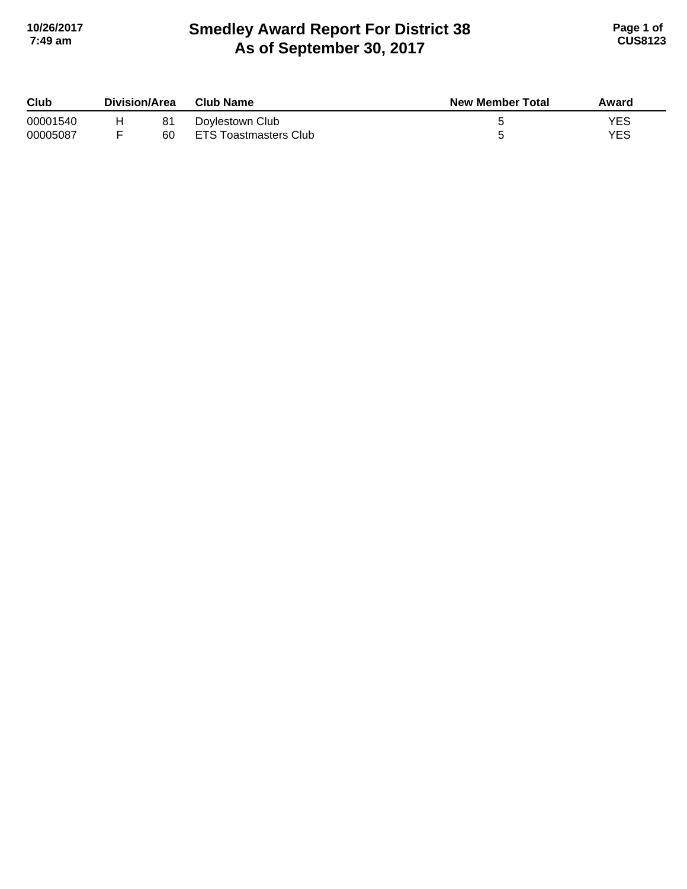## **Smedley Award Report For District 38 As of September 30, 2017 10/26/2017 Page 1 of 7:49 am CUS8123**

| Club     | Division/Area |    | Club Name             | <b>New Member Total</b> | Award |
|----------|---------------|----|-----------------------|-------------------------|-------|
| 00001540 |               |    | Doylestown Club       |                         | YES   |
| 00005087 |               | 60 | ETS Toastmasters Club |                         | YES   |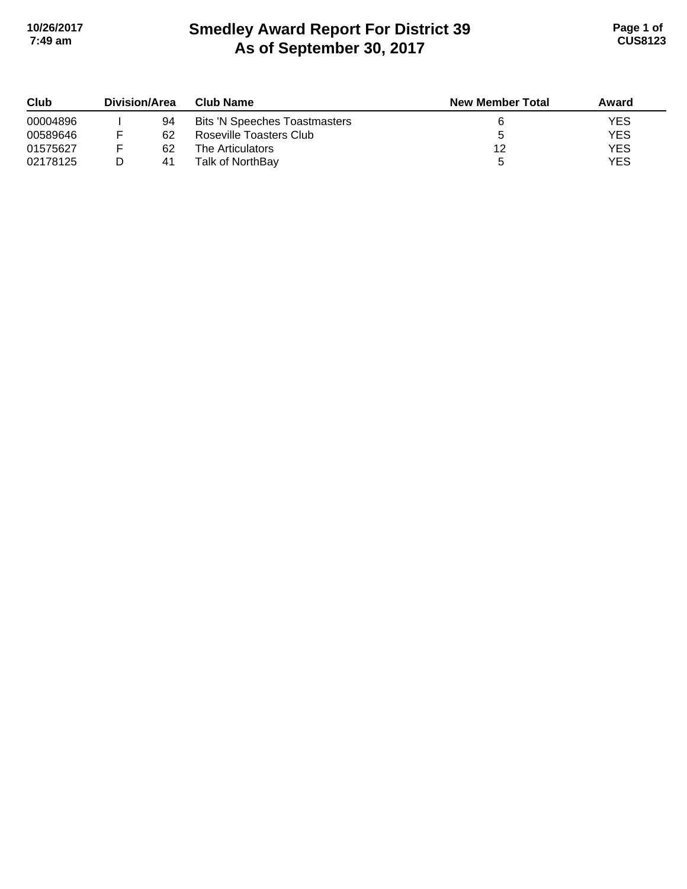# **Smedley Award Report For District 39 As of September 30, 2017 10/26/2017 Page 1 of 7:49 am CUS8123**

| Club<br>00004896 | <b>Division/Area</b> |    | <b>Club Name</b>                     | <b>New Member Total</b> | Award |
|------------------|----------------------|----|--------------------------------------|-------------------------|-------|
|                  |                      | 94 | <b>Bits 'N Speeches Toastmasters</b> |                         | YES   |
| 00589646         |                      | 62 | Roseville Toasters Club              |                         | YES   |
| 01575627         |                      | 62 | The Articulators                     | 12                      | YES   |
| 02178125         |                      | 41 | Talk of NorthBay                     |                         | YES   |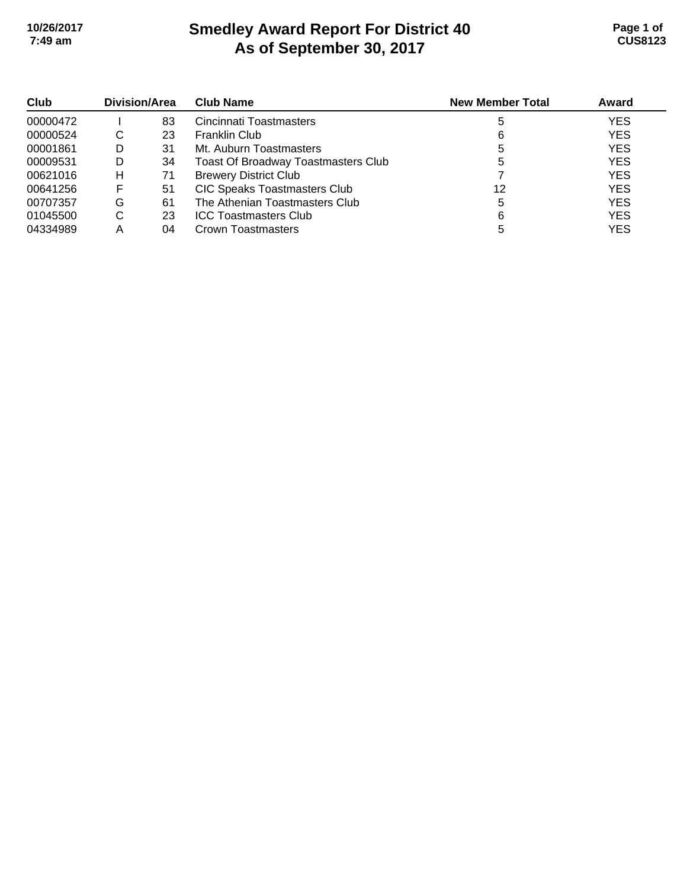# **Smedley Award Report For District 40 As of September 30, 2017 10/26/2017 Page 1 of 7:49 am CUS8123**

| Club<br>00000472 | Division/Area |    | <b>Club Name</b>                           | <b>New Member Total</b> | Award      |
|------------------|---------------|----|--------------------------------------------|-------------------------|------------|
|                  |               | 83 | Cincinnati Toastmasters                    |                         | <b>YES</b> |
| 00000524         | C             | 23 | <b>Franklin Club</b>                       | 6                       | <b>YES</b> |
| 00001861         | D             | 31 | Mt. Auburn Toastmasters                    |                         | <b>YES</b> |
| 00009531         | D             | 34 | <b>Toast Of Broadway Toastmasters Club</b> | 5                       | <b>YES</b> |
| 00621016         | н             | 71 | <b>Brewery District Club</b>               |                         | <b>YES</b> |
| 00641256         | F             | 51 | <b>CIC Speaks Toastmasters Club</b>        | 12                      | <b>YES</b> |
| 00707357         | G             | 61 | The Athenian Toastmasters Club             |                         | <b>YES</b> |
| 01045500         | C             | 23 | <b>ICC Toastmasters Club</b>               | 6                       | <b>YES</b> |
| 04334989         | Α             | 04 | Crown Toastmasters                         |                         | <b>YES</b> |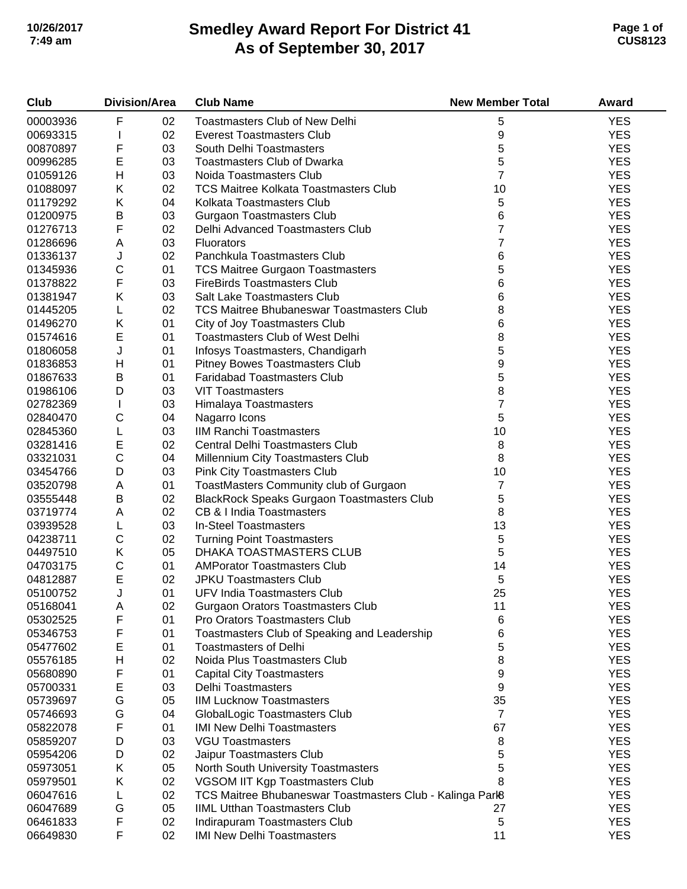# **Smedley Award Report For District 41 As of September 30, 2017 10/26/2017 Page 1 of 7:49 am CUS8123**

| <b>Club</b> |             | <b>Division/Area</b> | <b>Club Name</b>                                          | <b>New Member Total</b> | <b>Award</b> |
|-------------|-------------|----------------------|-----------------------------------------------------------|-------------------------|--------------|
| 00003936    | F           | 02                   | Toastmasters Club of New Delhi                            | 5                       | <b>YES</b>   |
| 00693315    |             | 02                   | <b>Everest Toastmasters Club</b>                          | 9                       | <b>YES</b>   |
| 00870897    | F           | 03                   | South Delhi Toastmasters                                  | 5                       | <b>YES</b>   |
| 00996285    | E           | 03                   | <b>Toastmasters Club of Dwarka</b>                        | 5                       | <b>YES</b>   |
| 01059126    | Н           | 03                   | Noida Toastmasters Club                                   | $\overline{7}$          | <b>YES</b>   |
| 01088097    | Κ           | 02                   | <b>TCS Maitree Kolkata Toastmasters Club</b>              | 10                      | <b>YES</b>   |
| 01179292    | Κ           | 04                   | Kolkata Toastmasters Club                                 | 5                       | <b>YES</b>   |
| 01200975    | B           | 03                   | <b>Gurgaon Toastmasters Club</b>                          | 6                       | <b>YES</b>   |
| 01276713    | F           | 02                   | Delhi Advanced Toastmasters Club                          | 7                       | <b>YES</b>   |
| 01286696    | Α           | 03                   | <b>Fluorators</b>                                         | 7                       | <b>YES</b>   |
| 01336137    | J           | 02                   | Panchkula Toastmasters Club                               | 6                       | <b>YES</b>   |
| 01345936    | $\mathsf C$ | 01                   | <b>TCS Maitree Gurgaon Toastmasters</b>                   | 5                       | <b>YES</b>   |
| 01378822    | F           | 03                   | <b>FireBirds Toastmasters Club</b>                        | 6                       | <b>YES</b>   |
| 01381947    | Κ           | 03                   | Salt Lake Toastmasters Club                               | 6                       | <b>YES</b>   |
| 01445205    | L           | 02                   | <b>TCS Maitree Bhubaneswar Toastmasters Club</b>          | 8                       | <b>YES</b>   |
| 01496270    | Κ           | 01                   | City of Joy Toastmasters Club                             | 6                       | <b>YES</b>   |
| 01574616    | $\mathsf E$ | 01                   | <b>Toastmasters Club of West Delhi</b>                    | 8                       | <b>YES</b>   |
| 01806058    | J           | 01                   | Infosys Toastmasters, Chandigarh                          | 5                       | <b>YES</b>   |
| 01836853    | H           | 01                   | Pitney Bowes Toastmasters Club                            | 9                       | <b>YES</b>   |
| 01867633    | Β           | 01                   | <b>Faridabad Toastmasters Club</b>                        | 5                       | <b>YES</b>   |
| 01986106    | D           | 03                   | <b>VIT Toastmasters</b>                                   | 8                       | <b>YES</b>   |
| 02782369    |             | 03                   |                                                           | 7                       | <b>YES</b>   |
| 02840470    | C           | 04                   | Himalaya Toastmasters                                     | 5                       | <b>YES</b>   |
|             |             | 03                   | Nagarro Icons<br><b>IIM Ranchi Toastmasters</b>           | 10                      | <b>YES</b>   |
| 02845360    | L           |                      |                                                           |                         |              |
| 03281416    | E           | 02                   | <b>Central Delhi Toastmasters Club</b>                    | 8                       | <b>YES</b>   |
| 03321031    | $\mathsf C$ | 04                   | Millennium City Toastmasters Club                         | 8                       | <b>YES</b>   |
| 03454766    | D           | 03                   | <b>Pink City Toastmasters Club</b>                        | 10                      | <b>YES</b>   |
| 03520798    | A           | 01                   | ToastMasters Community club of Gurgaon                    | 7                       | <b>YES</b>   |
| 03555448    | Β           | 02                   | <b>BlackRock Speaks Gurgaon Toastmasters Club</b>         | 5                       | <b>YES</b>   |
| 03719774    | Α           | 02                   | CB & I India Toastmasters                                 | 8                       | <b>YES</b>   |
| 03939528    | L           | 03                   | In-Steel Toastmasters                                     | 13                      | <b>YES</b>   |
| 04238711    | $\mathsf C$ | 02                   | <b>Turning Point Toastmasters</b>                         | 5                       | <b>YES</b>   |
| 04497510    | Κ           | 05                   | DHAKA TOASTMASTERS CLUB                                   | 5                       | <b>YES</b>   |
| 04703175    | $\mathsf C$ | 01                   | <b>AMPorator Toastmasters Club</b>                        | 14                      | <b>YES</b>   |
| 04812887    | E           | 02                   | <b>JPKU Toastmasters Club</b>                             | 5                       | <b>YES</b>   |
| 05100752    | J           | 01                   | <b>UFV India Toastmasters Club</b>                        | 25                      | <b>YES</b>   |
| 05168041    | Α           | 02                   | <b>Gurgaon Orators Toastmasters Club</b>                  | 11                      | <b>YES</b>   |
| 05302525    | F           | 01                   | Pro Orators Toastmasters Club                             | 6                       | <b>YES</b>   |
| 05346753    | F           | 01                   | Toastmasters Club of Speaking and Leadership              | 6                       | <b>YES</b>   |
| 05477602    | Ε           | 01                   | <b>Toastmasters of Delhi</b>                              | 5                       | <b>YES</b>   |
| 05576185    | Н           | 02                   | Noida Plus Toastmasters Club                              | 8                       | <b>YES</b>   |
| 05680890    | F           | 01                   | <b>Capital City Toastmasters</b>                          | 9                       | <b>YES</b>   |
| 05700331    | E           | 03                   | <b>Delhi Toastmasters</b>                                 | 9                       | <b>YES</b>   |
| 05739697    | G           | 05                   | <b>IIM Lucknow Toastmasters</b>                           | 35                      | <b>YES</b>   |
| 05746693    | G           | 04                   | GlobalLogic Toastmasters Club                             | $\overline{7}$          | <b>YES</b>   |
| 05822078    | F           | 01                   | <b>IMI New Delhi Toastmasters</b>                         | 67                      | <b>YES</b>   |
| 05859207    | D           | 03                   | <b>VGU Toastmasters</b>                                   | 8                       | <b>YES</b>   |
| 05954206    | D           | 02                   | Jaipur Toastmasters Club                                  | 5                       | <b>YES</b>   |
| 05973051    | Κ           | 05                   | North South University Toastmasters                       | 5                       | <b>YES</b>   |
| 05979501    | Κ           | 02                   | VGSOM IIT Kgp Toastmasters Club                           | 8                       | <b>YES</b>   |
| 06047616    | L           | 02                   | TCS Maitree Bhubaneswar Toastmasters Club - Kalinga Parl8 |                         | <b>YES</b>   |
| 06047689    | G           | 05                   | <b>IIML Utthan Toastmasters Club</b>                      | 27                      | <b>YES</b>   |
| 06461833    | F           | 02                   | Indirapuram Toastmasters Club                             | 5                       | <b>YES</b>   |
| 06649830    | F           | 02                   | <b>IMI New Delhi Toastmasters</b>                         | 11                      | <b>YES</b>   |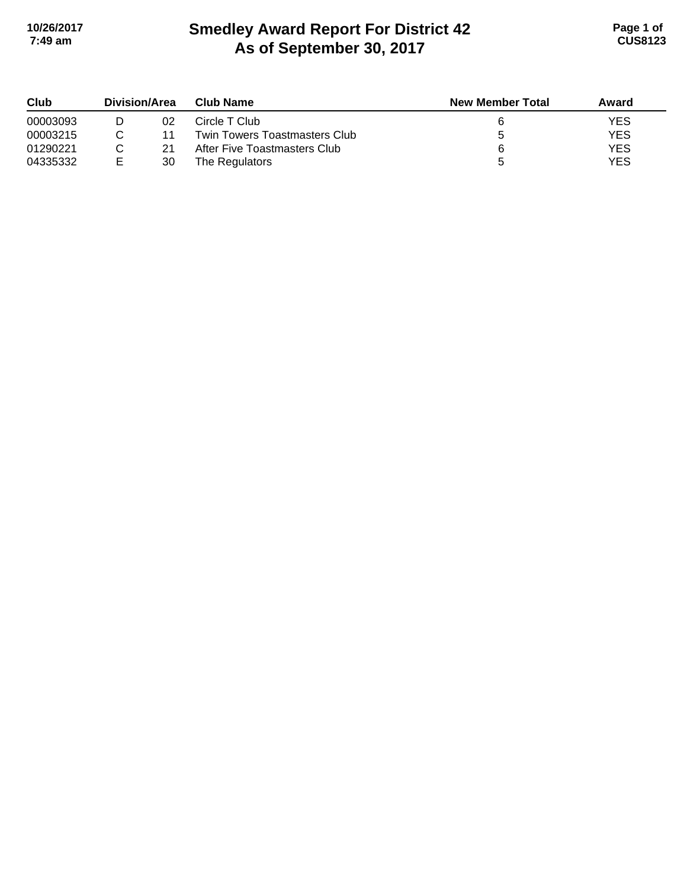# **Smedley Award Report For District 42 As of September 30, 2017 10/26/2017 Page 1 of 7:49 am CUS8123**

| Club     | Division/Area |    | <b>Club Name</b>              | <b>New Member Total</b> | Award |
|----------|---------------|----|-------------------------------|-------------------------|-------|
| 00003093 |               | 02 | Circle T Club                 |                         | YES   |
| 00003215 |               | 11 | Twin Towers Toastmasters Club |                         | YES   |
| 01290221 |               | 21 | After Five Toastmasters Club  |                         | YES   |
| 04335332 | E             | 30 | The Regulators                |                         | YES   |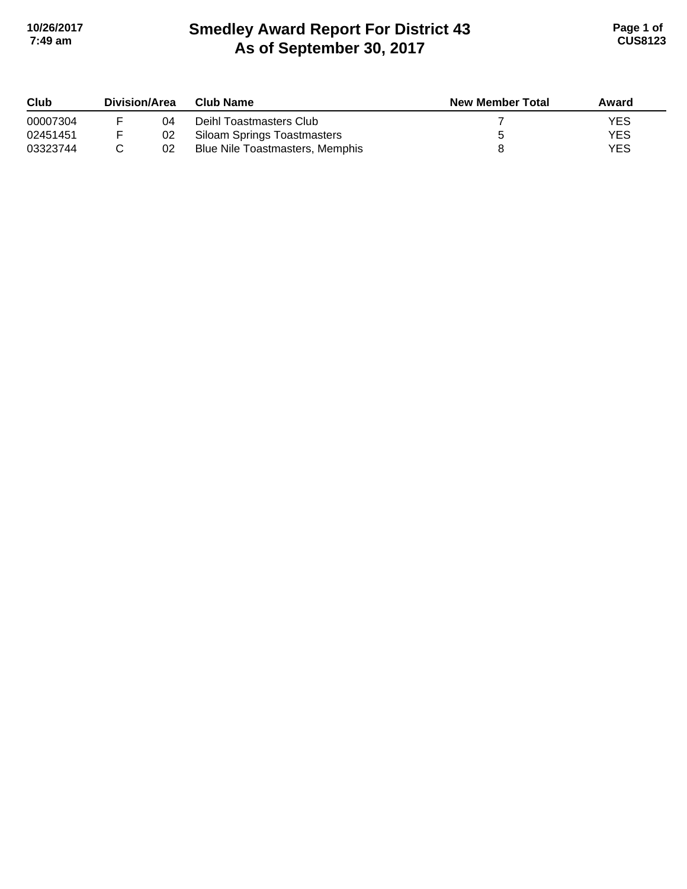# **Smedley Award Report For District 43 As of September 30, 2017 10/26/2017 Page 1 of 7:49 am CUS8123**

| Club<br>00007304 | Division/Area |    | Club Name                       | <b>New Member Total</b> | Award      |
|------------------|---------------|----|---------------------------------|-------------------------|------------|
|                  |               | 04 | Deihl Toastmasters Club         |                         | <b>YES</b> |
| 02451451         |               | 02 | Siloam Springs Toastmasters     |                         | <b>YES</b> |
| 03323744         |               | 02 | Blue Nile Toastmasters, Memphis |                         | <b>YES</b> |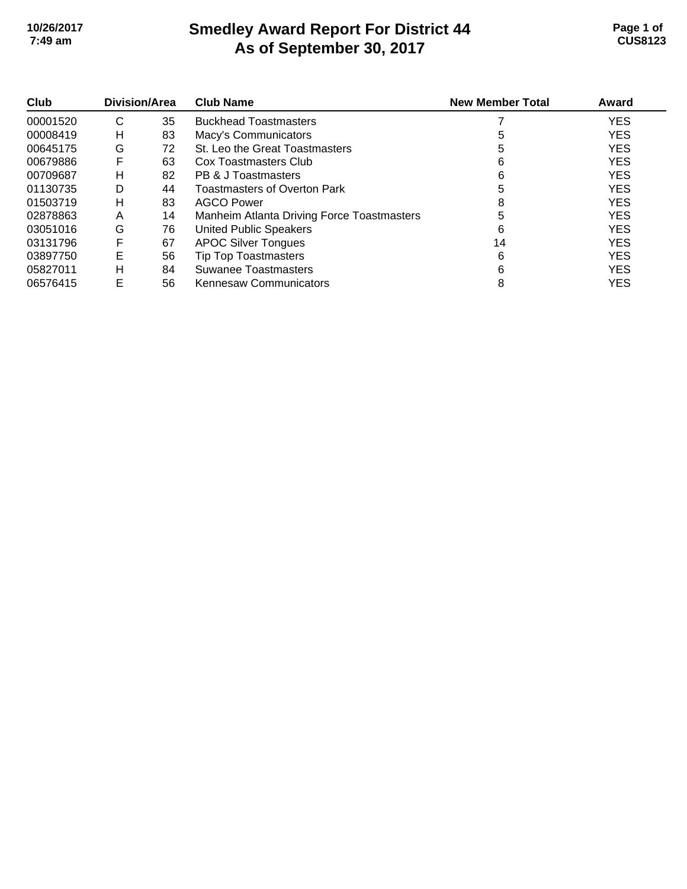### **Smedley Award Report For District 44 As of September 30, 2017 10/26/2017 Page 1 of 7:49 am CUS8123**

| Club     | Division/Area |    | <b>Club Name</b>                           | <b>New Member Total</b> | Award      |
|----------|---------------|----|--------------------------------------------|-------------------------|------------|
| 00001520 | C             | 35 | <b>Buckhead Toastmasters</b>               |                         | <b>YES</b> |
| 00008419 | н             | 83 | Macy's Communicators                       | 5                       | <b>YES</b> |
| 00645175 | G             | 72 | St. Leo the Great Toastmasters             | 5                       | <b>YES</b> |
| 00679886 | F             | 63 | Cox Toastmasters Club                      | 6                       | <b>YES</b> |
| 00709687 | н             | 82 | PB & J Toastmasters                        | 6                       | <b>YES</b> |
| 01130735 | D             | 44 | <b>Toastmasters of Overton Park</b>        | 5                       | <b>YES</b> |
| 01503719 | н             | 83 | <b>AGCO Power</b>                          | 8                       | <b>YES</b> |
| 02878863 | A             | 14 | Manheim Atlanta Driving Force Toastmasters | 5                       | <b>YES</b> |
| 03051016 | G             | 76 | <b>United Public Speakers</b>              | 6                       | <b>YES</b> |
| 03131796 | F             | 67 | <b>APOC Silver Tongues</b>                 | 14                      | <b>YES</b> |
| 03897750 | Е             | 56 | <b>Tip Top Toastmasters</b>                | 6                       | <b>YES</b> |
| 05827011 | н             | 84 | Suwanee Toastmasters                       | 6                       | <b>YES</b> |
| 06576415 | E             | 56 | <b>Kennesaw Communicators</b>              | 8                       | <b>YES</b> |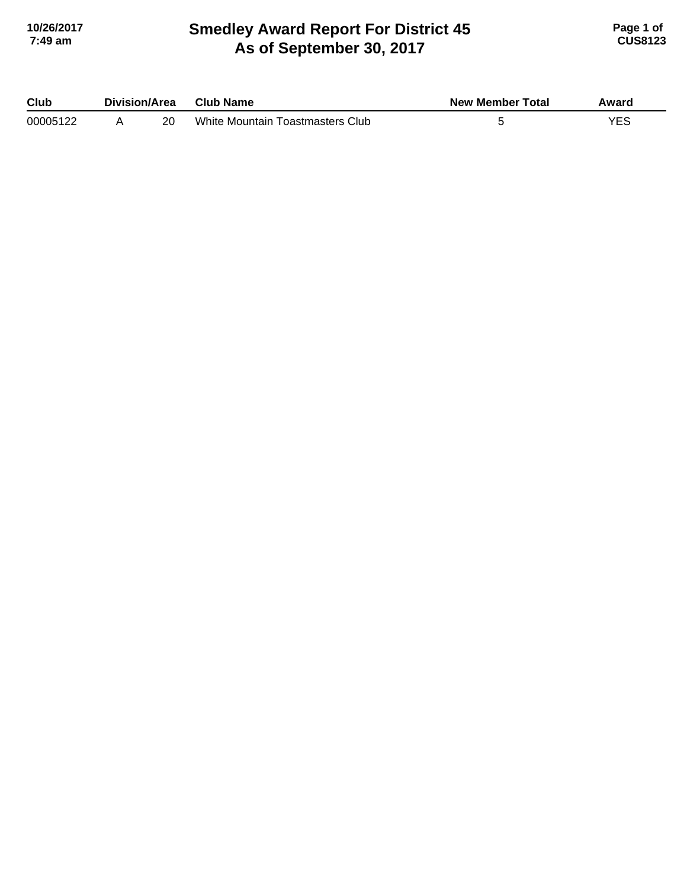### **Smedley Award Report For District 45 As of September 30, 2017 10/26/2017 Page 1 of 7:49 am CUS8123**

| Club     | Division/Area |    | <b>Club Name</b>                 | <b>New Member Total</b> | Award |
|----------|---------------|----|----------------------------------|-------------------------|-------|
| 00005122 |               | 20 | White Mountain Toastmasters Club |                         | YES   |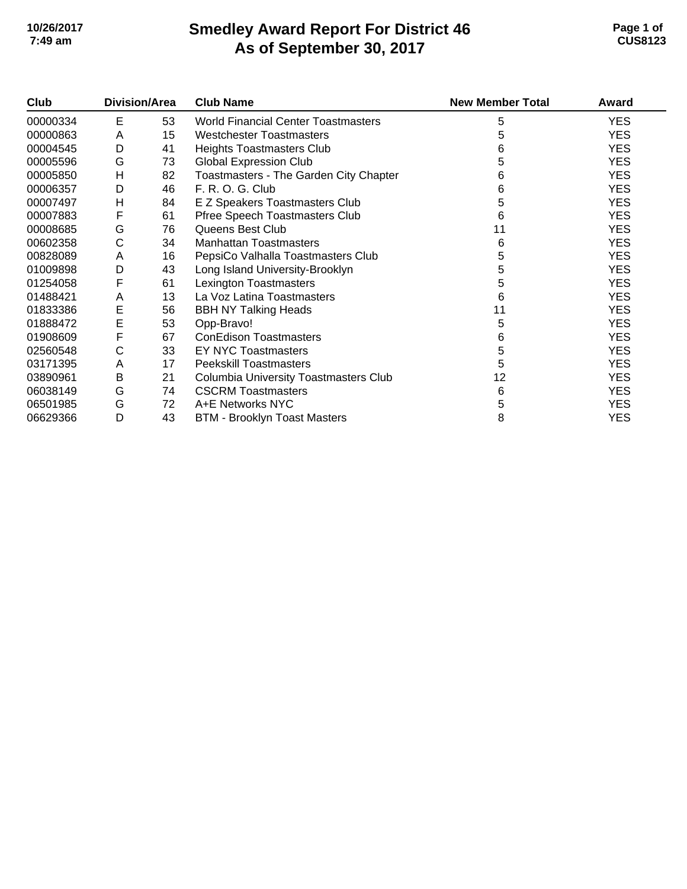## **Smedley Award Report For District 46 As of September 30, 2017 10/26/2017 Page 1 of 7:49 am CUS8123**

| Club     | <b>Division/Area</b> |    | <b>Club Name</b>                             | <b>New Member Total</b> | Award      |
|----------|----------------------|----|----------------------------------------------|-------------------------|------------|
| 00000334 | E                    | 53 | <b>World Financial Center Toastmasters</b>   | 5                       | <b>YES</b> |
| 00000863 | A                    | 15 | <b>Westchester Toastmasters</b>              | 5                       | <b>YES</b> |
| 00004545 | D                    | 41 | Heights Toastmasters Club                    | 6                       | <b>YES</b> |
| 00005596 | G                    | 73 | <b>Global Expression Club</b>                | 5                       | <b>YES</b> |
| 00005850 | H                    | 82 | Toastmasters - The Garden City Chapter       | 6                       | <b>YES</b> |
| 00006357 | D                    | 46 | F. R. O. G. Club                             | 6                       | <b>YES</b> |
| 00007497 | н                    | 84 | E Z Speakers Toastmasters Club               | 5                       | <b>YES</b> |
| 00007883 | F                    | 61 | Pfree Speech Toastmasters Club               | 6                       | <b>YES</b> |
| 00008685 | G                    | 76 | Queens Best Club                             | 11                      | <b>YES</b> |
| 00602358 | C                    | 34 | <b>Manhattan Toastmasters</b>                | 6                       | <b>YES</b> |
| 00828089 | A                    | 16 | PepsiCo Valhalla Toastmasters Club           | 5                       | <b>YES</b> |
| 01009898 | D                    | 43 | Long Island University-Brooklyn              | 5                       | <b>YES</b> |
| 01254058 | F                    | 61 | Lexington Toastmasters                       | 5                       | <b>YES</b> |
| 01488421 | A                    | 13 | La Voz Latina Toastmasters                   | 6                       | <b>YES</b> |
| 01833386 | E                    | 56 | <b>BBH NY Talking Heads</b>                  | 11                      | <b>YES</b> |
| 01888472 | E                    | 53 | Opp-Bravo!                                   | 5                       | <b>YES</b> |
| 01908609 | F                    | 67 | <b>ConEdison Toastmasters</b>                | 6                       | <b>YES</b> |
| 02560548 | С                    | 33 | EY NYC Toastmasters                          | 5                       | <b>YES</b> |
| 03171395 | Α                    | 17 | <b>Peekskill Toastmasters</b>                | 5                       | <b>YES</b> |
| 03890961 | В                    | 21 | <b>Columbia University Toastmasters Club</b> | 12                      | <b>YES</b> |
| 06038149 | G                    | 74 | <b>CSCRM Toastmasters</b>                    | 6                       | <b>YES</b> |
| 06501985 | G                    | 72 | A+E Networks NYC                             | 5                       | <b>YES</b> |
| 06629366 | D                    | 43 | <b>BTM - Brooklyn Toast Masters</b>          | 8                       | <b>YES</b> |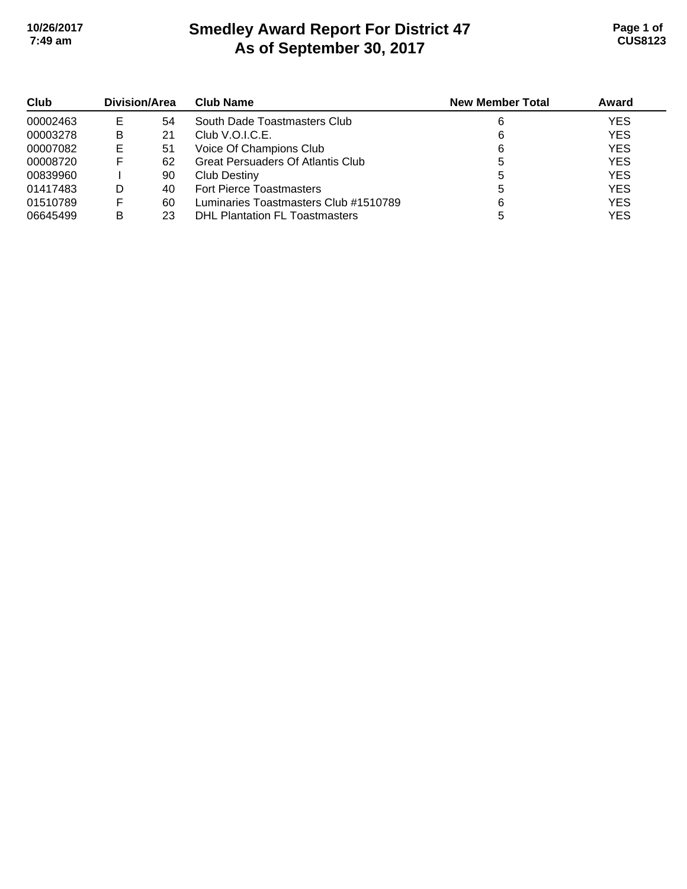# **Smedley Award Report For District 47 As of September 30, 2017 10/26/2017 Page 1 of 7:49 am CUS8123**

| Club     | Division/Area |    | <b>Club Name</b>                         | <b>New Member Total</b> | Award      |
|----------|---------------|----|------------------------------------------|-------------------------|------------|
| 00002463 | E             | 54 | South Dade Toastmasters Club             | 6                       | <b>YES</b> |
| 00003278 | в             | 21 | Club V.O.I.C.E.                          | 6                       | <b>YES</b> |
| 00007082 | Е             | 51 | Voice Of Champions Club                  | 6                       | <b>YES</b> |
| 00008720 | ⊢             | 62 | <b>Great Persuaders Of Atlantis Club</b> |                         | <b>YES</b> |
| 00839960 |               | 90 | <b>Club Destiny</b>                      |                         | <b>YES</b> |
| 01417483 | D             | 40 | <b>Fort Pierce Toastmasters</b>          | b                       | <b>YES</b> |
| 01510789 |               | 60 | Luminaries Toastmasters Club #1510789    | 6                       | <b>YES</b> |
| 06645499 | в             | 23 | <b>DHL Plantation FL Toastmasters</b>    |                         | <b>YES</b> |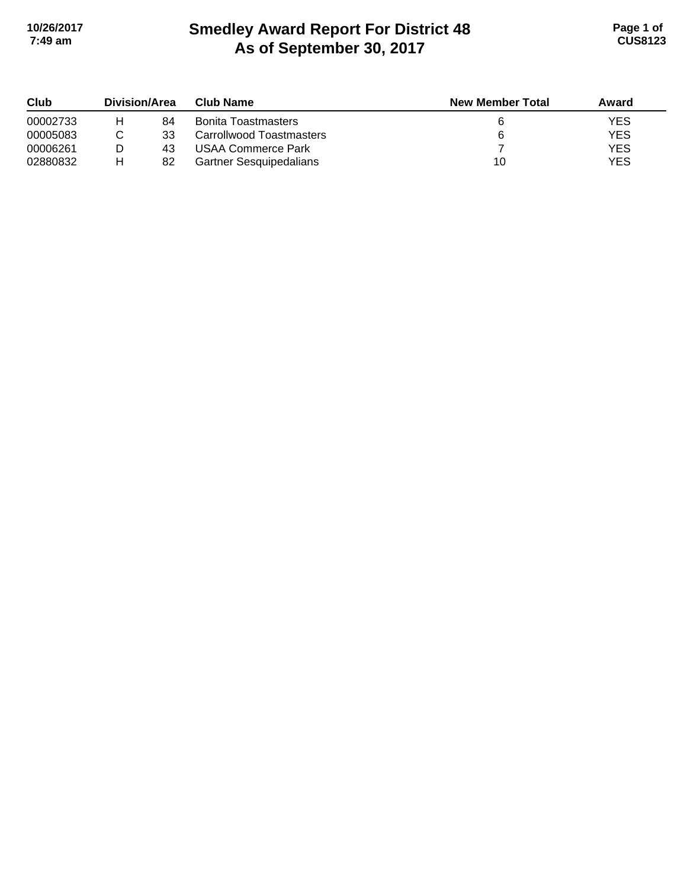# **Smedley Award Report For District 48 As of September 30, 2017 10/26/2017 Page 1 of 7:49 am CUS8123**

| Club     | Division/Area |    | <b>Club Name</b>               | <b>New Member Total</b> | Award      |
|----------|---------------|----|--------------------------------|-------------------------|------------|
| 00002733 | н             | 84 | <b>Bonita Toastmasters</b>     |                         | YES        |
| 00005083 |               | 33 | Carrollwood Toastmasters       |                         | <b>YES</b> |
| 00006261 |               | 43 | USAA Commerce Park             |                         | <b>YES</b> |
| 02880832 | н             | 82 | <b>Gartner Sesquipedalians</b> | 10                      | <b>YES</b> |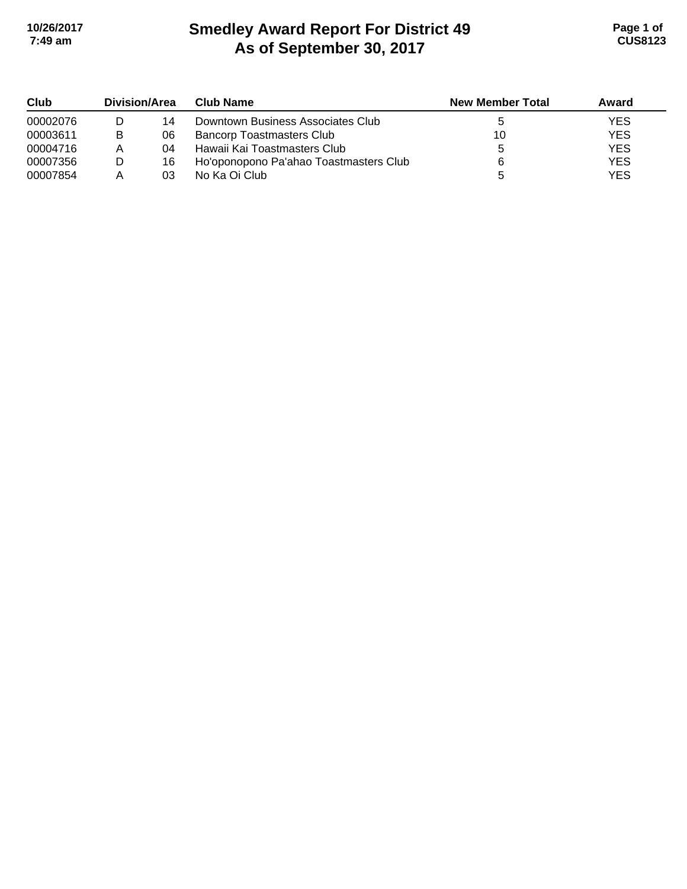# **Smedley Award Report For District 49 As of September 30, 2017 10/26/2017 Page 1 of 7:49 am CUS8123**

| Club     | Division/Area |    | Club Name                              | <b>New Member Total</b> | Award      |
|----------|---------------|----|----------------------------------------|-------------------------|------------|
| 00002076 |               | 14 | Downtown Business Associates Club      |                         | YES        |
| 00003611 | В             | 06 | <b>Bancorp Toastmasters Club</b>       | 10                      | <b>YES</b> |
| 00004716 | А             | 04 | Hawaii Kai Toastmasters Club           |                         | <b>YES</b> |
| 00007356 | D             | 16 | Ho'oponopono Pa'ahao Toastmasters Club |                         | <b>YES</b> |
| 00007854 |               | 03 | No Ka Oi Club                          |                         | <b>YES</b> |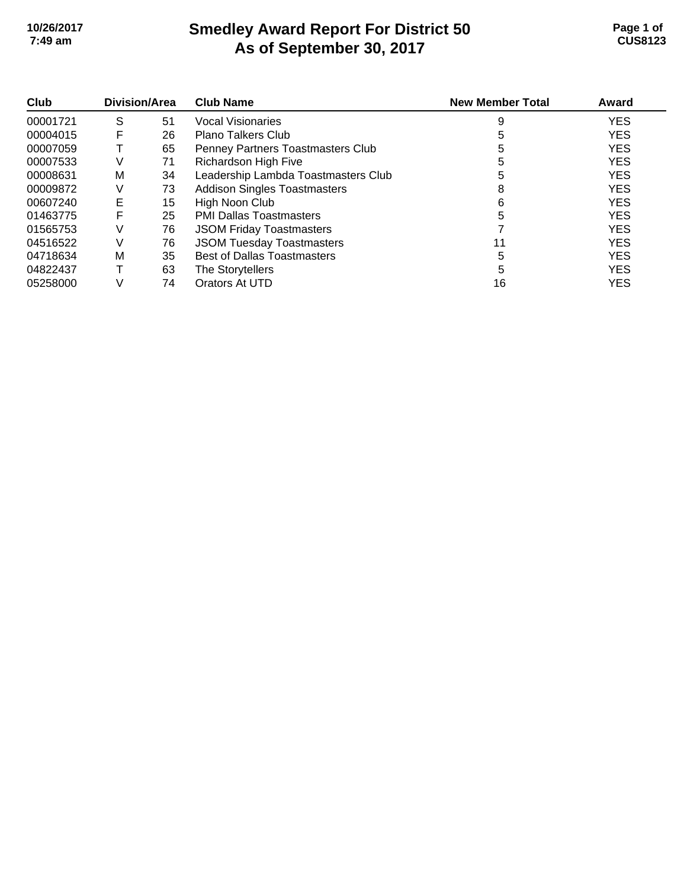### **Smedley Award Report For District 50 As of September 30, 2017 10/26/2017 Page 1 of 7:49 am CUS8123**

| Club     | <b>Division/Area</b> |    | <b>Club Name</b>                    | <b>New Member Total</b> | Award      |
|----------|----------------------|----|-------------------------------------|-------------------------|------------|
| 00001721 | S                    | 51 | Vocal Visionaries                   | 9                       | <b>YES</b> |
| 00004015 | F                    | 26 | <b>Plano Talkers Club</b>           |                         | <b>YES</b> |
| 00007059 |                      | 65 | Penney Partners Toastmasters Club   | 5                       | <b>YES</b> |
| 00007533 | V                    | 71 | Richardson High Five                | 5                       | <b>YES</b> |
| 00008631 | м                    | 34 | Leadership Lambda Toastmasters Club | 5                       | <b>YES</b> |
| 00009872 | V                    | 73 | <b>Addison Singles Toastmasters</b> | 8                       | <b>YES</b> |
| 00607240 | Е                    | 15 | High Noon Club                      | 6                       | <b>YES</b> |
| 01463775 | F                    | 25 | <b>PMI Dallas Toastmasters</b>      | 5                       | <b>YES</b> |
| 01565753 | V                    | 76 | <b>JSOM Friday Toastmasters</b>     |                         | <b>YES</b> |
| 04516522 | V                    | 76 | <b>JSOM Tuesday Toastmasters</b>    |                         | <b>YES</b> |
| 04718634 | M                    | 35 | <b>Best of Dallas Toastmasters</b>  | 5                       | <b>YES</b> |
| 04822437 |                      | 63 | The Storytellers                    | 5                       | <b>YES</b> |
| 05258000 |                      | 74 | Orators At UTD                      | 16                      | <b>YES</b> |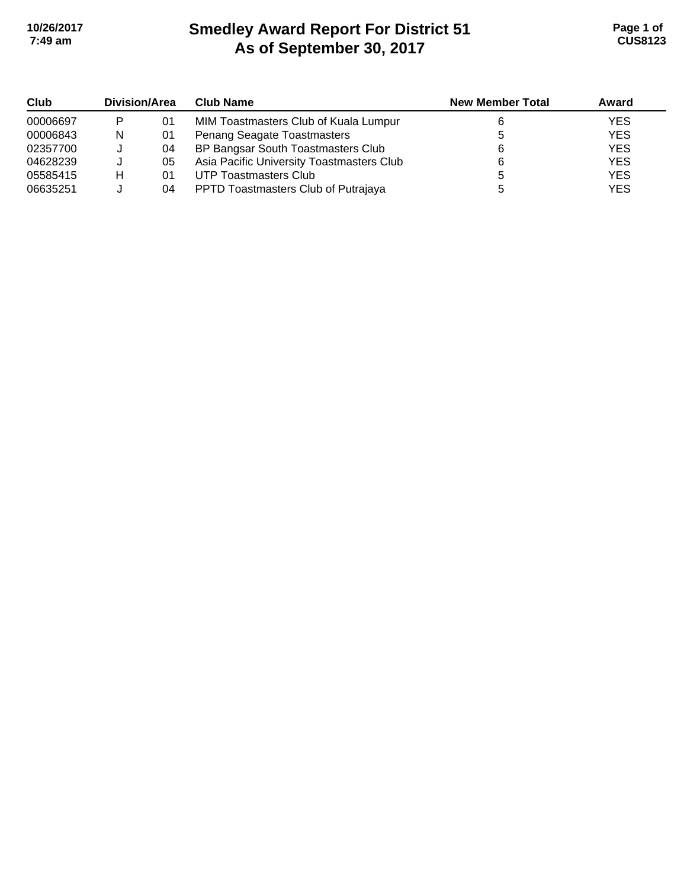# **Smedley Award Report For District 51 As of September 30, 2017 10/26/2017 Page 1 of 7:49 am CUS8123**

| Club     | <b>Division/Area</b> |    | <b>Club Name</b>                          | <b>New Member Total</b> | Award      |
|----------|----------------------|----|-------------------------------------------|-------------------------|------------|
| 00006697 | P                    | 01 | MIM Toastmasters Club of Kuala Lumpur     |                         | <b>YES</b> |
| 00006843 | N                    | 01 | Penang Seagate Toastmasters               |                         | <b>YES</b> |
| 02357700 |                      | 04 | BP Bangsar South Toastmasters Club        |                         | <b>YES</b> |
| 04628239 |                      | 05 | Asia Pacific University Toastmasters Club |                         | <b>YES</b> |
| 05585415 | н                    | 01 | UTP Toastmasters Club                     |                         | <b>YES</b> |
| 06635251 |                      | 04 | PPTD Toastmasters Club of Putrajaya       |                         | <b>YES</b> |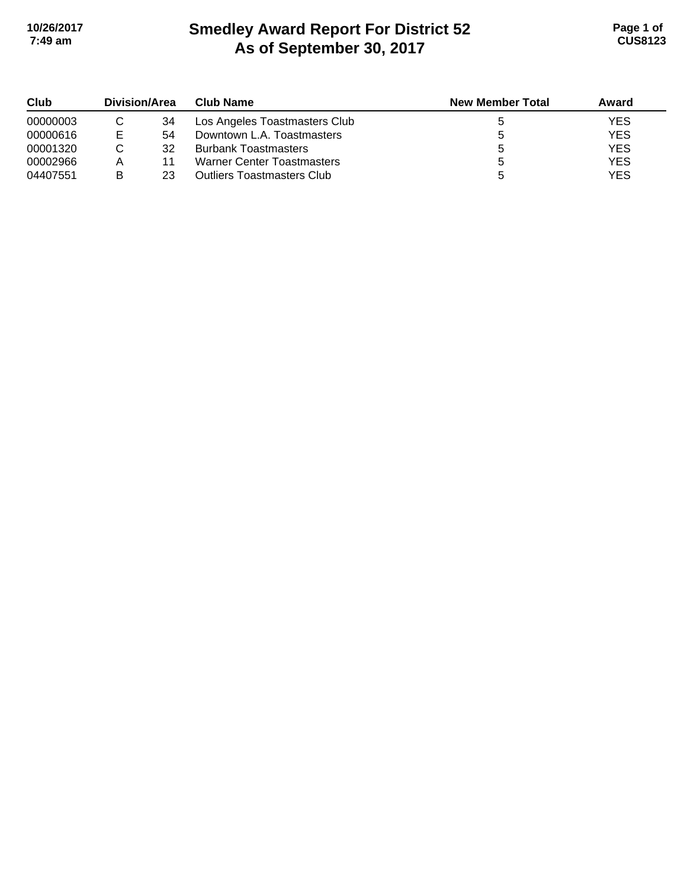# **Smedley Award Report For District 52 As of September 30, 2017 10/26/2017 Page 1 of 7:49 am CUS8123**

| Club     | Division/Area |    | <b>Club Name</b>                  | <b>New Member Total</b> | Award      |
|----------|---------------|----|-----------------------------------|-------------------------|------------|
| 00000003 |               | 34 | Los Angeles Toastmasters Club     |                         | <b>YES</b> |
| 00000616 | Е             | 54 | Downtown L.A. Toastmasters        |                         | <b>YES</b> |
| 00001320 |               | 32 | <b>Burbank Toastmasters</b>       |                         | <b>YES</b> |
| 00002966 |               | 11 | <b>Warner Center Toastmasters</b> |                         | <b>YES</b> |
| 04407551 | в             | 23 | <b>Outliers Toastmasters Club</b> |                         | <b>YES</b> |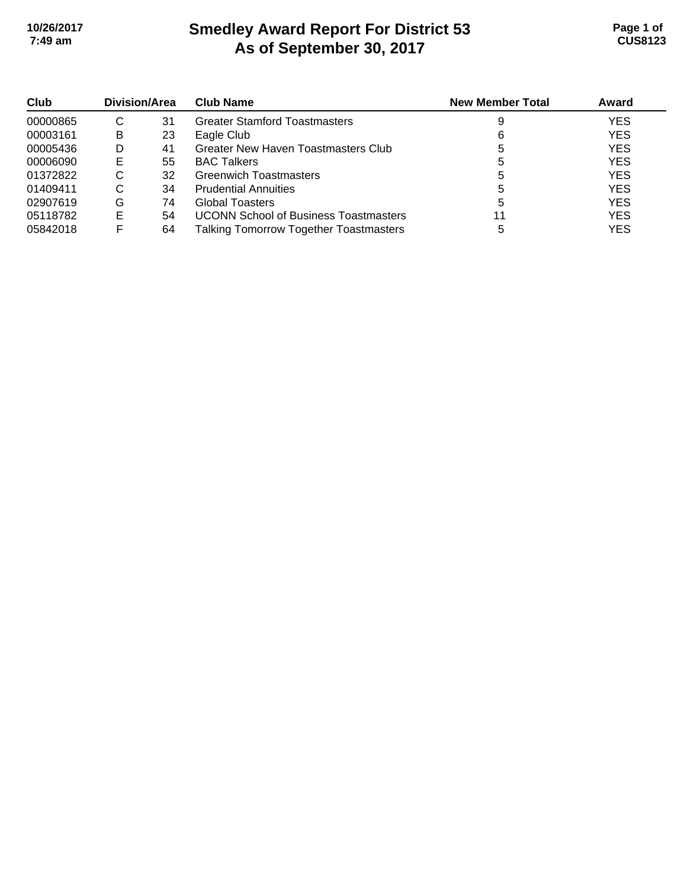# **Smedley Award Report For District 53 As of September 30, 2017 10/26/2017 Page 1 of 7:49 am CUS8123**

| Club     | Division/Area |    | <b>Club Name</b>                             | <b>New Member Total</b> | Award      |
|----------|---------------|----|----------------------------------------------|-------------------------|------------|
| 00000865 | С             | 31 | <b>Greater Stamford Toastmasters</b>         |                         | <b>YES</b> |
| 00003161 | B             | 23 | Eagle Club                                   | 6                       | <b>YES</b> |
| 00005436 | D             | 41 | Greater New Haven Toastmasters Club          |                         | <b>YES</b> |
| 00006090 | E             | 55 | <b>BAC Talkers</b>                           | G                       | <b>YES</b> |
| 01372822 | С             | 32 | <b>Greenwich Toastmasters</b>                |                         | <b>YES</b> |
| 01409411 | С             | 34 | <b>Prudential Annuities</b>                  | b                       | <b>YES</b> |
| 02907619 | G             | 74 | Global Toasters                              |                         | <b>YES</b> |
| 05118782 | E             | 54 | <b>UCONN School of Business Toastmasters</b> |                         | <b>YES</b> |
| 05842018 |               | 64 | Talking Tomorrow Together Toastmasters       |                         | <b>YES</b> |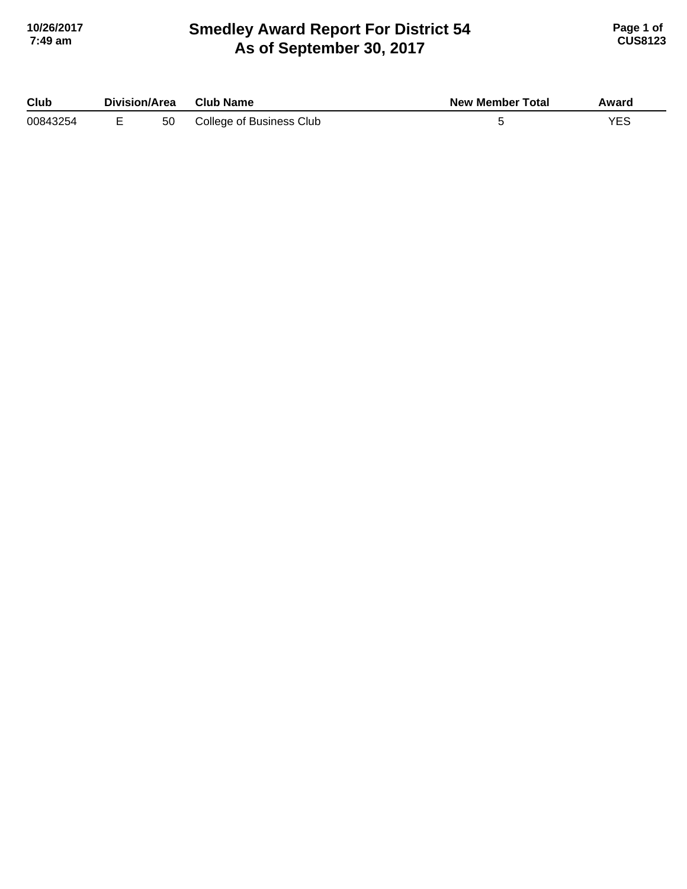### **Smedley Award Report For District 54 As of September 30, 2017 10/26/2017 Page 1 of 7:49 am CUS8123**

| Club     | Division/Area |    | <b>Club Name</b>         | <b>New Member Total</b> | Award |
|----------|---------------|----|--------------------------|-------------------------|-------|
| 00843254 |               | 50 | College of Business Club |                         |       |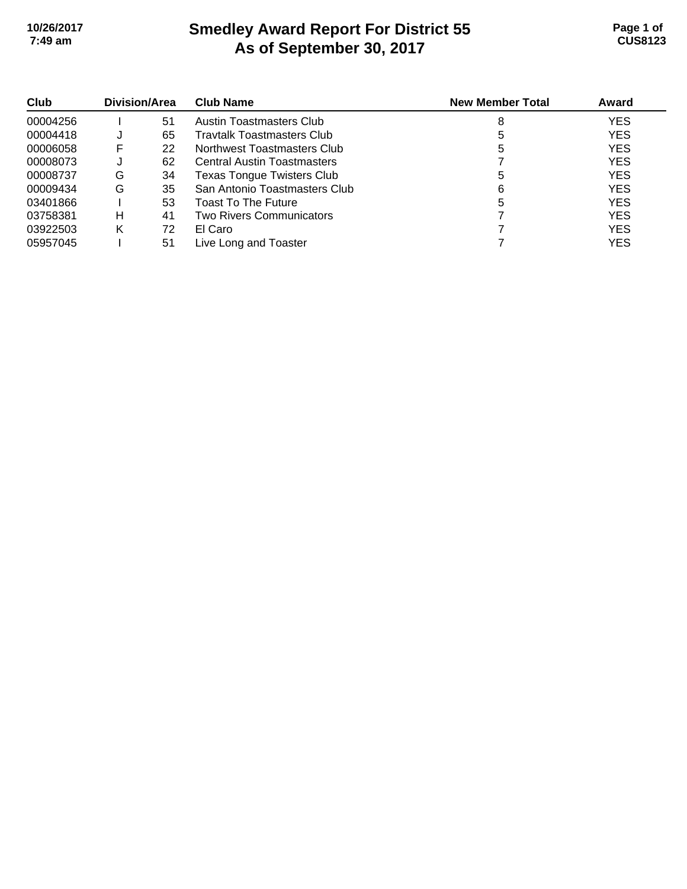# **Smedley Award Report For District 55 As of September 30, 2017 10/26/2017 Page 1 of 7:49 am CUS8123**

| Club<br>00004256 | Division/Area |    | <b>Club Name</b>                   | <b>New Member Total</b> | Award      |
|------------------|---------------|----|------------------------------------|-------------------------|------------|
|                  |               | 51 | Austin Toastmasters Club           | 8                       | <b>YES</b> |
| 00004418         |               | 65 | <b>Travtalk Toastmasters Club</b>  |                         | <b>YES</b> |
| 00006058         | F             | 22 | Northwest Toastmasters Club        |                         | <b>YES</b> |
| 00008073         |               | 62 | <b>Central Austin Toastmasters</b> |                         | <b>YES</b> |
| 00008737         | G             | 34 | <b>Texas Tongue Twisters Club</b>  | 5                       | <b>YES</b> |
| 00009434         | G             | 35 | San Antonio Toastmasters Club      | 6                       | <b>YES</b> |
| 03401866         |               | 53 | Toast To The Future                |                         | <b>YES</b> |
| 03758381         | н             | 41 | Two Rivers Communicators           |                         | <b>YES</b> |
| 03922503         | Κ             | 72 | El Caro                            |                         | <b>YES</b> |
| 05957045         |               | 51 | Live Long and Toaster              |                         | YES        |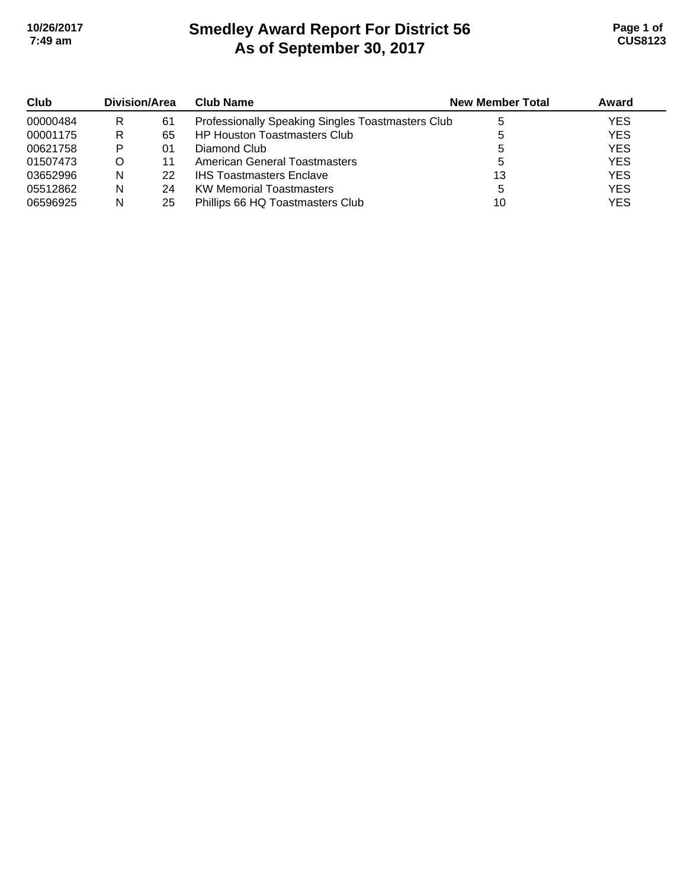# **Smedley Award Report For District 56 As of September 30, 2017 10/26/2017 Page 1 of 7:49 am CUS8123**

| Club     | Division/Area |    | <b>Club Name</b>                                  | <b>New Member Total</b> | Award      |
|----------|---------------|----|---------------------------------------------------|-------------------------|------------|
| 00000484 | R             | 61 | Professionally Speaking Singles Toastmasters Club |                         | <b>YES</b> |
| 00001175 | R             | 65 | <b>HP Houston Toastmasters Club</b>               |                         | <b>YES</b> |
| 00621758 | P             | 01 | Diamond Club                                      |                         | <b>YES</b> |
| 01507473 | O             | 11 | American General Toastmasters                     |                         | <b>YES</b> |
| 03652996 | N             | 22 | <b>IHS Toastmasters Enclave</b>                   | 13                      | <b>YES</b> |
| 05512862 | N             | 24 | <b>KW Memorial Toastmasters</b>                   | 5                       | <b>YES</b> |
| 06596925 | N             | 25 | Phillips 66 HQ Toastmasters Club                  | 10                      | <b>YES</b> |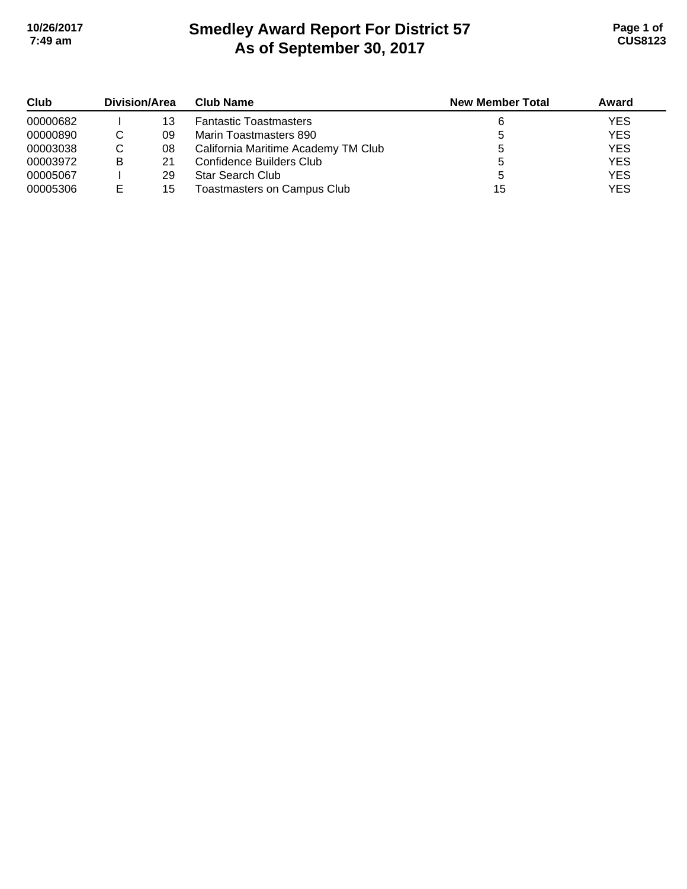# **Smedley Award Report For District 57 As of September 30, 2017 10/26/2017 Page 1 of 7:49 am CUS8123**

| Club     | Division/Area |    | <b>Club Name</b>                    | <b>New Member Total</b> | Award      |
|----------|---------------|----|-------------------------------------|-------------------------|------------|
| 00000682 |               | 13 | <b>Fantastic Toastmasters</b>       |                         | <b>YES</b> |
| 00000890 |               | 09 | Marin Toastmasters 890              |                         | <b>YES</b> |
| 00003038 | С             | 08 | California Maritime Academy TM Club |                         | <b>YES</b> |
| 00003972 | B             | 21 | Confidence Builders Club            |                         | <b>YES</b> |
| 00005067 |               | 29 | <b>Star Search Club</b>             |                         | <b>YES</b> |
| 00005306 | Е             | 15 | Toastmasters on Campus Club         | 15                      | <b>YES</b> |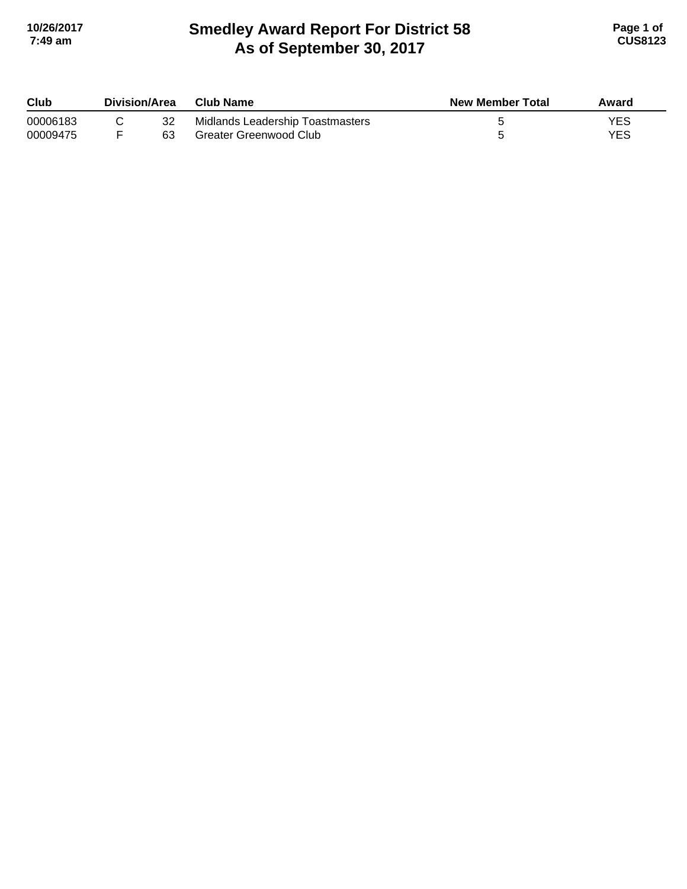## **Smedley Award Report For District 58 As of September 30, 2017 10/26/2017 Page 1 of 7:49 am CUS8123**

| Club     | Division/Area |    | <b>Club Name</b>                 | New Member Total | Award |
|----------|---------------|----|----------------------------------|------------------|-------|
| 00006183 |               |    | Midlands Leadership Toastmasters |                  | YES   |
| 00009475 |               | 63 | <b>Greater Greenwood Club</b>    |                  | YES   |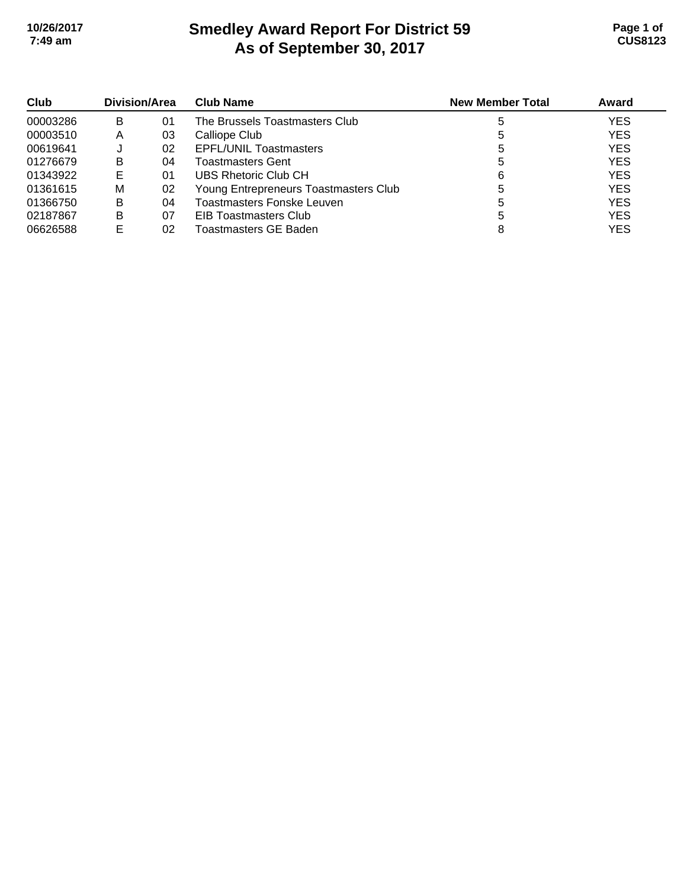# **Smedley Award Report For District 59 As of September 30, 2017 10/26/2017 Page 1 of 7:49 am CUS8123**

| Club     | Division/Area |    | <b>Club Name</b>                      | <b>New Member Total</b> | Award      |
|----------|---------------|----|---------------------------------------|-------------------------|------------|
| 00003286 | в             | 01 | The Brussels Toastmasters Club        |                         | <b>YES</b> |
| 00003510 | Α             | 03 | Calliope Club                         |                         | <b>YES</b> |
| 00619641 |               | 02 | <b>EPFL/UNIL Toastmasters</b>         | 5                       | <b>YES</b> |
| 01276679 | в             | 04 | <b>Toastmasters Gent</b>              |                         | <b>YES</b> |
| 01343922 | Е             | 01 | UBS Rhetoric Club CH                  | 6                       | <b>YES</b> |
| 01361615 | М             | 02 | Young Entrepreneurs Toastmasters Club |                         | <b>YES</b> |
| 01366750 | в             | 04 | Toastmasters Fonske Leuven            | 5                       | <b>YES</b> |
| 02187867 | в             | 07 | <b>EIB Toastmasters Club</b>          |                         | <b>YES</b> |
| 06626588 |               | 02 | Toastmasters GE Baden                 | 8                       | <b>YES</b> |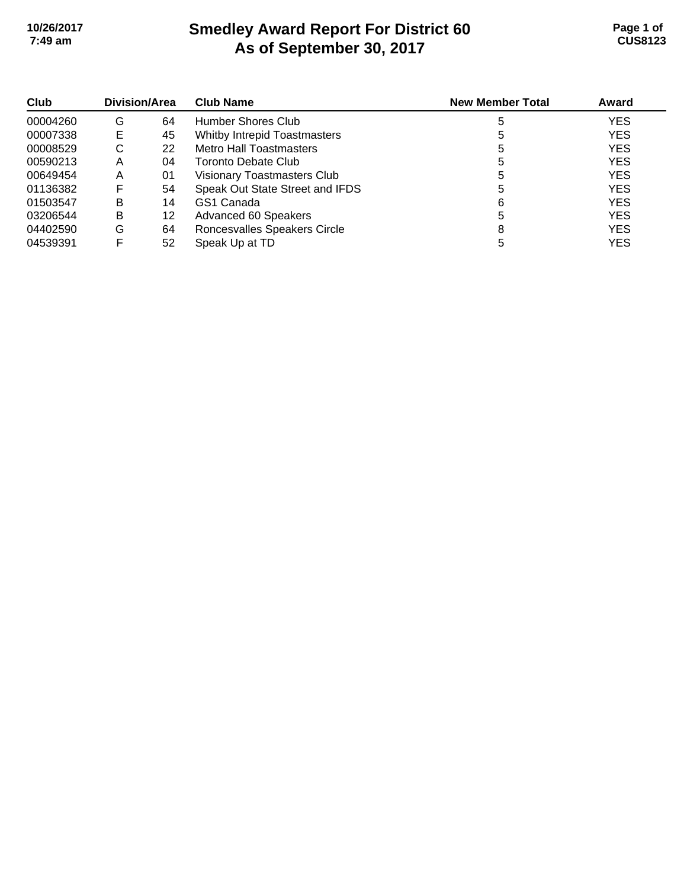# **Smedley Award Report For District 60 As of September 30, 2017 10/26/2017 Page 1 of 7:49 am CUS8123**

| Club     | Division/Area |    | <b>Club Name</b>                | <b>New Member Total</b> | Award      |
|----------|---------------|----|---------------------------------|-------------------------|------------|
| 00004260 | G             | 64 | Humber Shores Club              |                         | <b>YES</b> |
| 00007338 | Е             | 45 | Whitby Intrepid Toastmasters    |                         | <b>YES</b> |
| 00008529 | С             | 22 | <b>Metro Hall Toastmasters</b>  |                         | <b>YES</b> |
| 00590213 | Α             | 04 | Toronto Debate Club             | 5                       | <b>YES</b> |
| 00649454 | A             | 01 | Visionary Toastmasters Club     |                         | <b>YES</b> |
| 01136382 |               | 54 | Speak Out State Street and IFDS |                         | <b>YES</b> |
| 01503547 | B             | 14 | GS1 Canada                      | 6                       | <b>YES</b> |
| 03206544 | B             | 12 | Advanced 60 Speakers            |                         | <b>YES</b> |
| 04402590 | G             | 64 | Roncesvalles Speakers Circle    | 8                       | <b>YES</b> |
| 04539391 |               | 52 | Speak Up at TD                  |                         | YES        |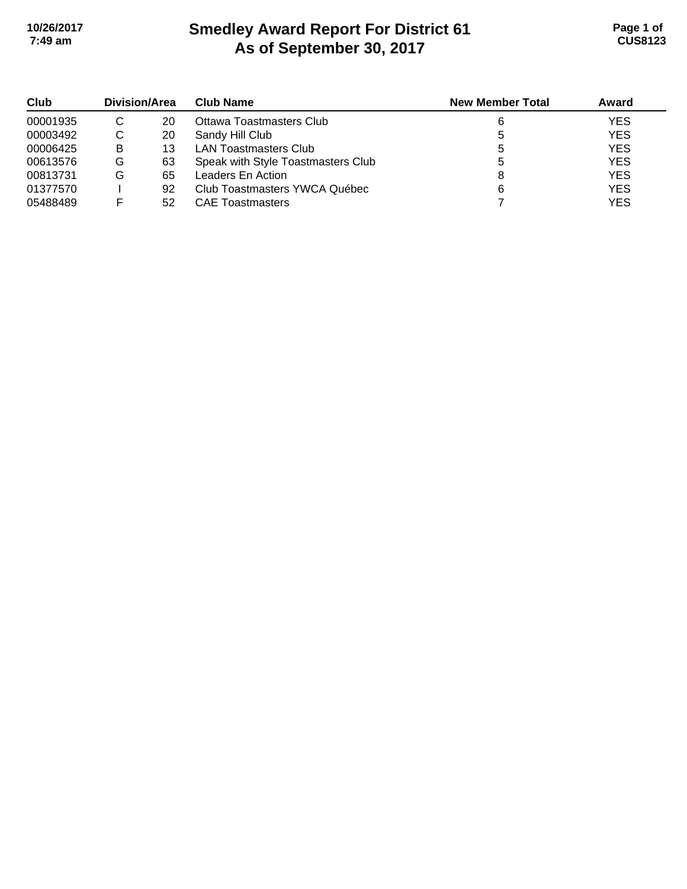# **Smedley Award Report For District 61 As of September 30, 2017 10/26/2017 Page 1 of 7:49 am CUS8123**

| Club     | Division/Area |    | <b>Club Name</b>                   | <b>New Member Total</b> | Award      |
|----------|---------------|----|------------------------------------|-------------------------|------------|
| 00001935 | C             | 20 | Ottawa Toastmasters Club           |                         | <b>YES</b> |
| 00003492 | C             | 20 | Sandy Hill Club                    |                         | <b>YES</b> |
| 00006425 | B             | 13 | <b>LAN Toastmasters Club</b>       |                         | <b>YES</b> |
| 00613576 | G             | 63 | Speak with Style Toastmasters Club |                         | <b>YES</b> |
| 00813731 | G             | 65 | Leaders En Action                  |                         | <b>YES</b> |
| 01377570 |               | 92 | Club Toastmasters YWCA Québec      |                         | <b>YES</b> |
| 05488489 |               | 52 | <b>CAE Toastmasters</b>            |                         | <b>YES</b> |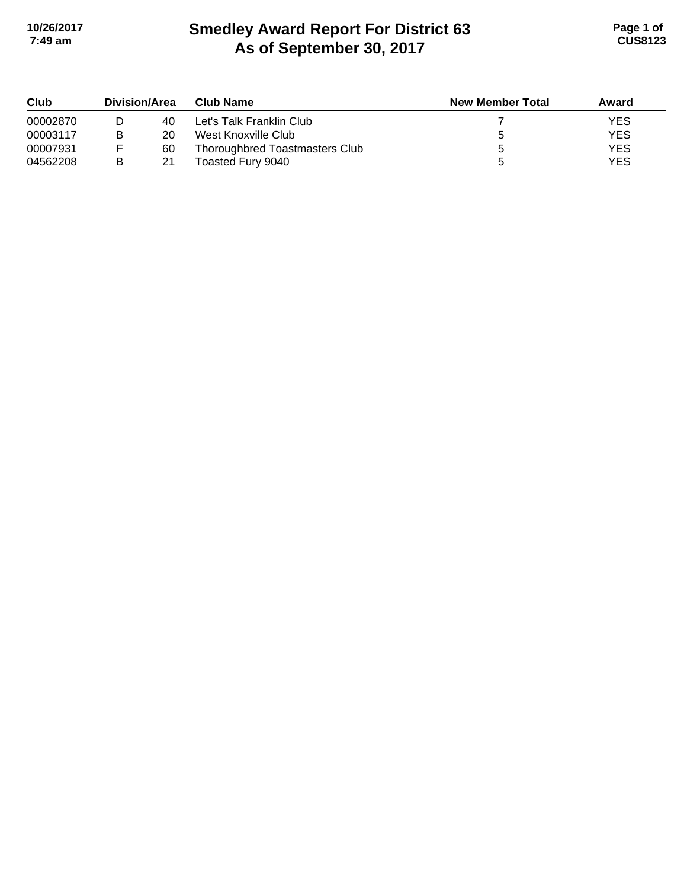# **Smedley Award Report For District 63 As of September 30, 2017 10/26/2017 Page 1 of 7:49 am CUS8123**

| Club     | Division/Area |    | <b>Club Name</b>               | <b>New Member Total</b> | Award      |
|----------|---------------|----|--------------------------------|-------------------------|------------|
| 00002870 |               | 40 | Let's Talk Franklin Club       |                         | <b>YES</b> |
| 00003117 | в             | 20 | West Knoxville Club            |                         | <b>YES</b> |
| 00007931 |               | 60 | Thoroughbred Toastmasters Club |                         | <b>YES</b> |
| 04562208 | В             | 21 | Toasted Fury 9040              |                         | <b>YES</b> |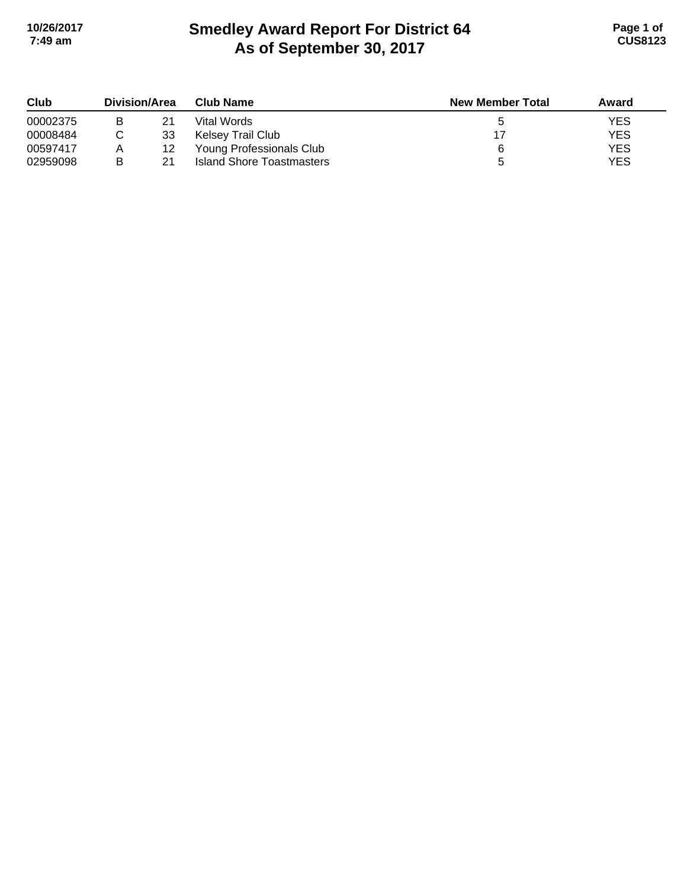# **Smedley Award Report For District 64 As of September 30, 2017 10/26/2017 Page 1 of 7:49 am CUS8123**

| Club     | Division/Area |    | <b>Club Name</b>          | <b>New Member Total</b> | Award      |  |
|----------|---------------|----|---------------------------|-------------------------|------------|--|
| 00002375 |               | 21 | Vital Words               |                         | <b>YES</b> |  |
| 00008484 |               | 33 | Kelsey Trail Club         |                         | <b>YES</b> |  |
| 00597417 | Α             | 12 | Young Professionals Club  | ี                       | <b>YES</b> |  |
| 02959098 | В             | 21 | Island Shore Toastmasters |                         | <b>YES</b> |  |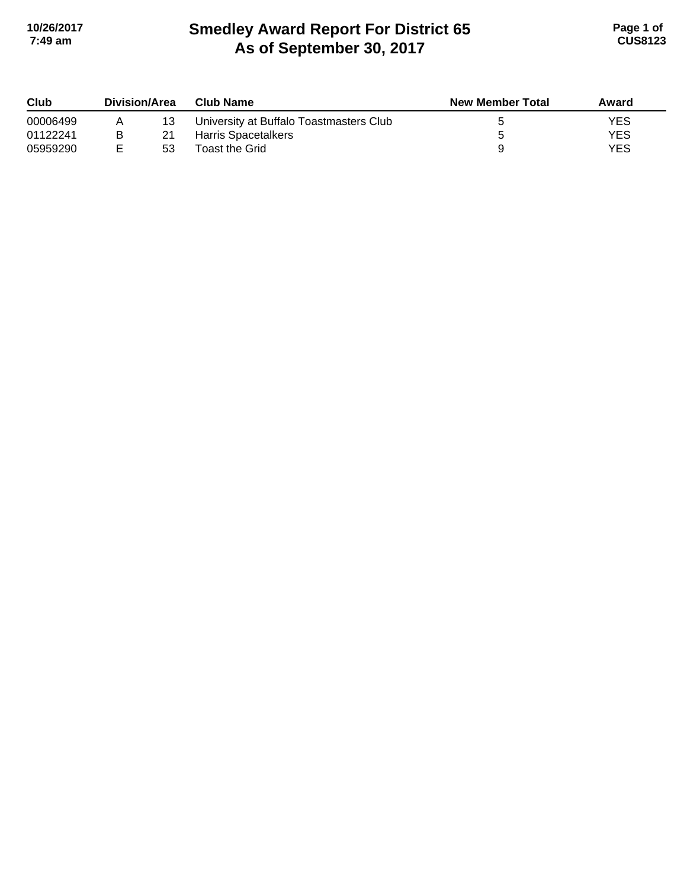# **Smedley Award Report For District 65 As of September 30, 2017 10/26/2017 Page 1 of 7:49 am CUS8123**

| Club     | <b>Division/Area</b> |    | <b>Club Name</b>                        | <b>New Member Total</b> | Award      |
|----------|----------------------|----|-----------------------------------------|-------------------------|------------|
| 00006499 | A                    | 13 | University at Buffalo Toastmasters Club |                         | YES        |
| 01122241 | в                    | 21 | Harris Spacetalkers                     |                         | <b>YES</b> |
| 05959290 |                      | 53 | Toast the Grid                          |                         | YES        |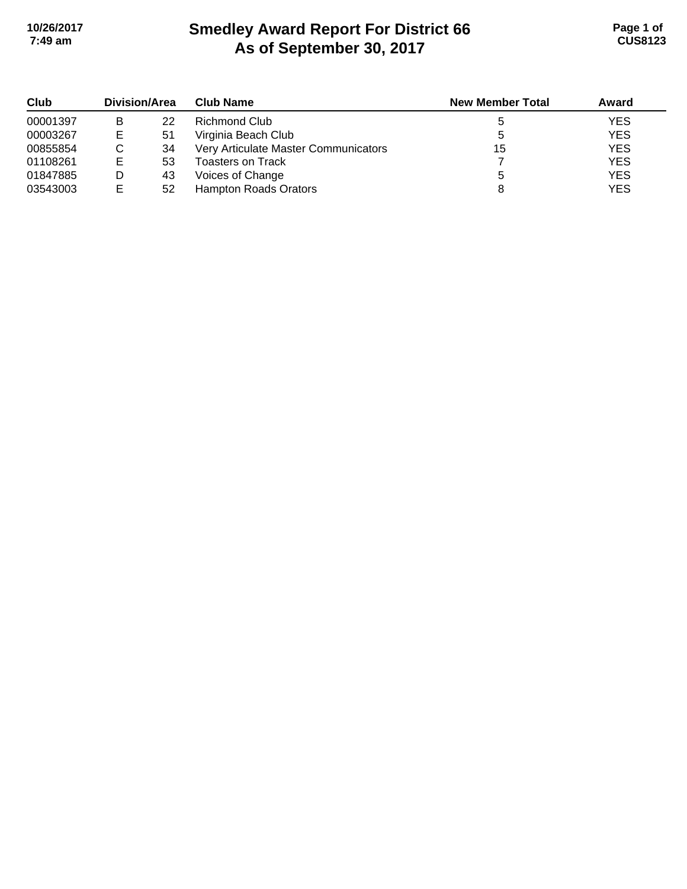# **Smedley Award Report For District 66 As of September 30, 2017 10/26/2017 Page 1 of 7:49 am CUS8123**

| Club     | Division/Area |    | <b>Club Name</b>                     | <b>New Member Total</b> | Award      |
|----------|---------------|----|--------------------------------------|-------------------------|------------|
| 00001397 | B             | 22 | Richmond Club                        |                         | <b>YES</b> |
| 00003267 | Е             | 51 | Virginia Beach Club                  |                         | <b>YES</b> |
| 00855854 |               | 34 | Very Articulate Master Communicators | 15                      | <b>YES</b> |
| 01108261 | Е             | 53 | <b>Toasters on Track</b>             |                         | <b>YES</b> |
| 01847885 |               | 43 | Voices of Change                     |                         | <b>YES</b> |
| 03543003 | Е             | 52 | <b>Hampton Roads Orators</b>         |                         | <b>YES</b> |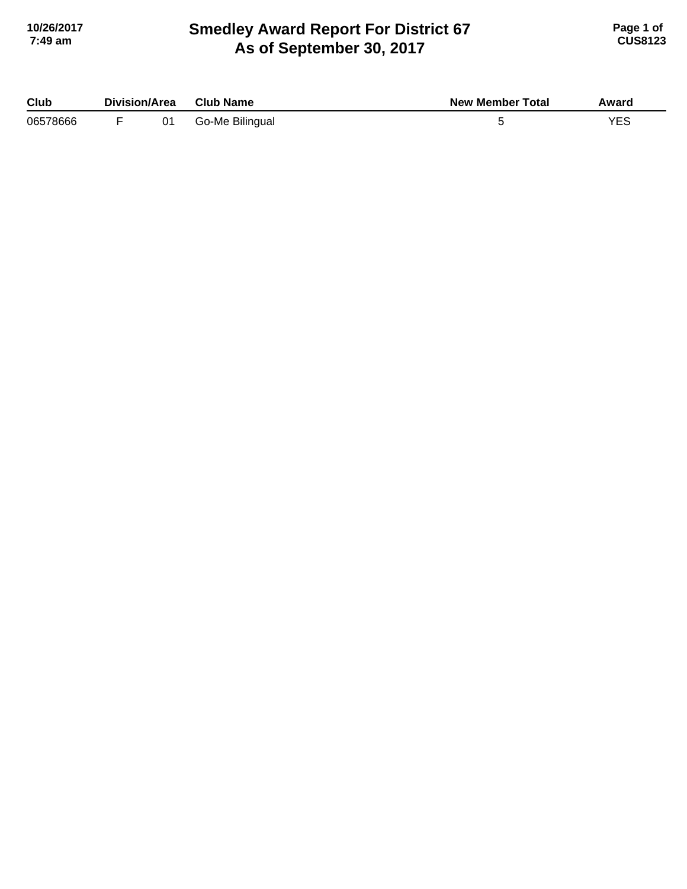## **Smedley Award Report For District 67 As of September 30, 2017 10/26/2017 Page 1 of 7:49 am CUS8123**

| Club     | Division/Area |    | <b>Club Name</b> | <b>New Member Total</b> | Award |
|----------|---------------|----|------------------|-------------------------|-------|
| 06578666 |               | 01 | Go-Me Bilingual  |                         | YES   |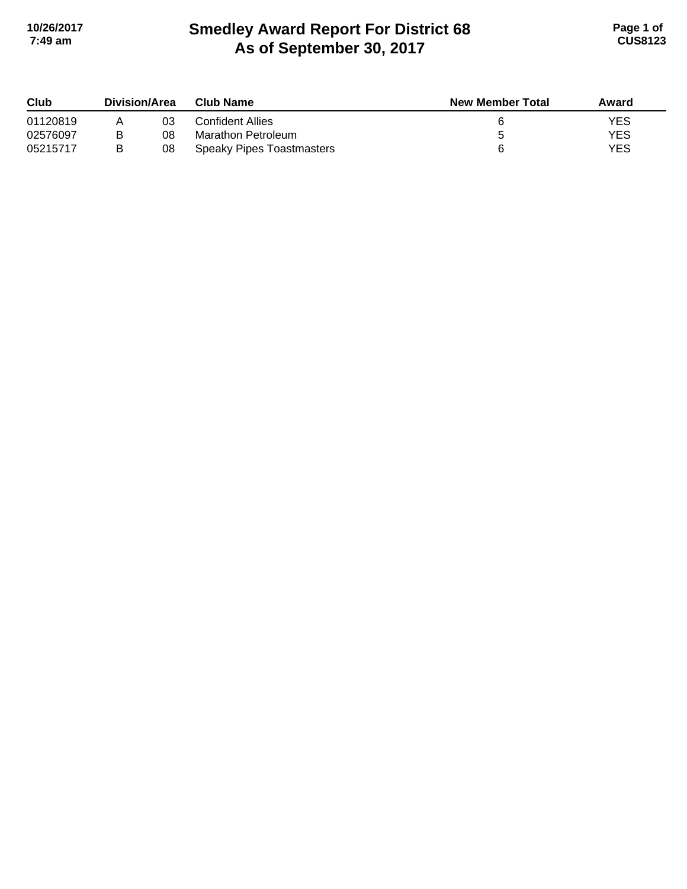# **Smedley Award Report For District 68 As of September 30, 2017 10/26/2017 Page 1 of 7:49 am CUS8123**

| Club     | Division/Area |    | <b>Club Name</b>          | <b>New Member Total</b> | Award      |
|----------|---------------|----|---------------------------|-------------------------|------------|
| 01120819 |               | 03 | Confident Allies          |                         | YES        |
| 02576097 |               | 08 | Marathon Petroleum        |                         | <b>YES</b> |
| 05215717 | B             | 08 | Speaky Pipes Toastmasters |                         | YES        |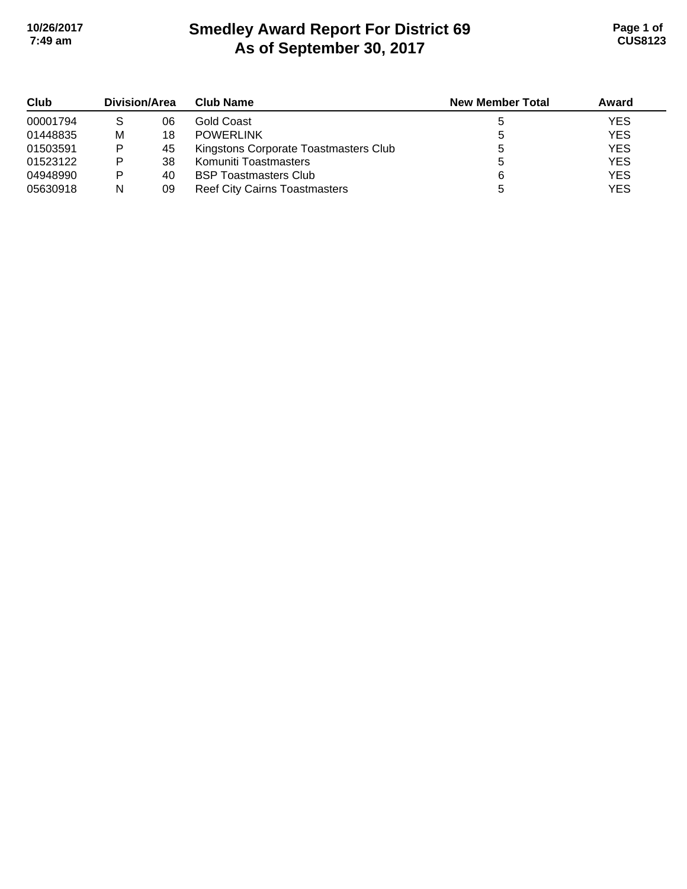# **Smedley Award Report For District 69 As of September 30, 2017 10/26/2017 Page 1 of 7:49 am CUS8123**

| Club     | Division/Area |    | <b>Club Name</b>                      | <b>New Member Total</b> | Award      |
|----------|---------------|----|---------------------------------------|-------------------------|------------|
| 00001794 | S             | 06 | Gold Coast                            |                         | <b>YES</b> |
| 01448835 | М             | 18 | <b>POWERLINK</b>                      |                         | <b>YES</b> |
| 01503591 | Þ             | 45 | Kingstons Corporate Toastmasters Club |                         | <b>YES</b> |
| 01523122 | Þ             | 38 | Komuniti Toastmasters                 |                         | <b>YES</b> |
| 04948990 | Þ             | 40 | <b>BSP Toastmasters Club</b>          | 6                       | <b>YES</b> |
| 05630918 | N             | 09 | <b>Reef City Cairns Toastmasters</b>  |                         | YES        |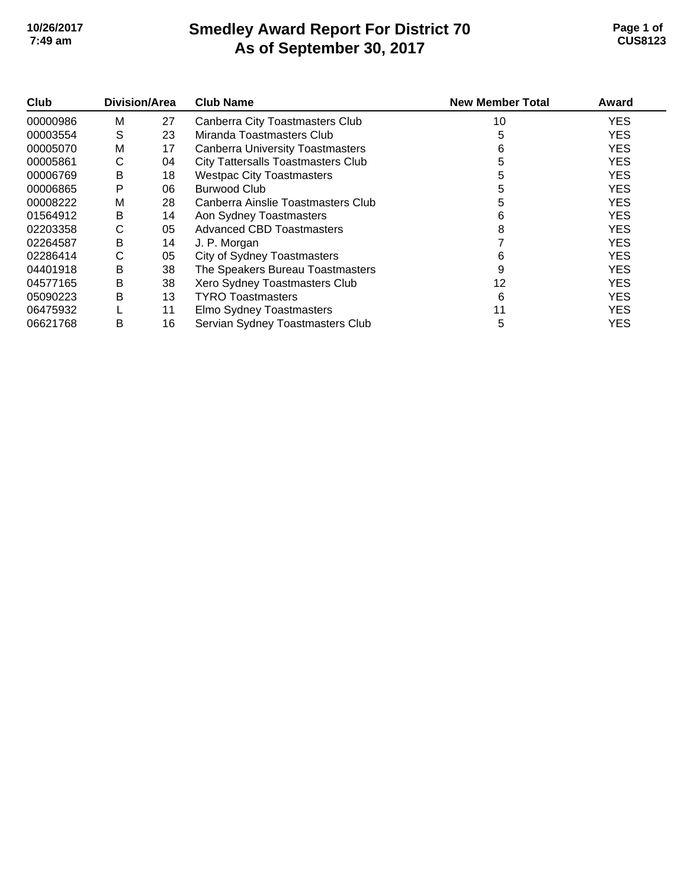# **Smedley Award Report For District 70 As of September 30, 2017 10/26/2017 Page 1 of 7:49 am CUS8123**

| Club     | Division/Area |    | <b>Club Name</b>                          | <b>New Member Total</b> | Award      |
|----------|---------------|----|-------------------------------------------|-------------------------|------------|
| 00000986 | м             | 27 | Canberra City Toastmasters Club           | 10                      | <b>YES</b> |
| 00003554 | S             | 23 | Miranda Toastmasters Club                 | 5                       | <b>YES</b> |
| 00005070 | M             | 17 | <b>Canberra University Toastmasters</b>   | 6                       | <b>YES</b> |
| 00005861 | С             | 04 | <b>City Tattersalls Toastmasters Club</b> | 5                       | <b>YES</b> |
| 00006769 | в             | 18 | <b>Westpac City Toastmasters</b>          | 5                       | <b>YES</b> |
| 00006865 | P             | 06 | <b>Burwood Club</b>                       | 5                       | <b>YES</b> |
| 00008222 | м             | 28 | Canberra Ainslie Toastmasters Club        | 5                       | <b>YES</b> |
| 01564912 | в             | 14 | Aon Sydney Toastmasters                   | 6                       | <b>YES</b> |
| 02203358 | С             | 05 | <b>Advanced CBD Toastmasters</b>          | 8                       | <b>YES</b> |
| 02264587 | B             | 14 | J. P. Morgan                              |                         | <b>YES</b> |
| 02286414 | С             | 05 | <b>City of Sydney Toastmasters</b>        | 6                       | <b>YES</b> |
| 04401918 | B             | 38 | The Speakers Bureau Toastmasters          | 9                       | <b>YES</b> |
| 04577165 | B             | 38 | Xero Sydney Toastmasters Club             | 12                      | <b>YES</b> |
| 05090223 | в             | 13 | <b>TYRO</b> Toastmasters                  | 6                       | <b>YES</b> |
| 06475932 |               | 11 | Elmo Sydney Toastmasters                  |                         | <b>YES</b> |
| 06621768 | B             | 16 | Servian Sydney Toastmasters Club          | 5                       | <b>YES</b> |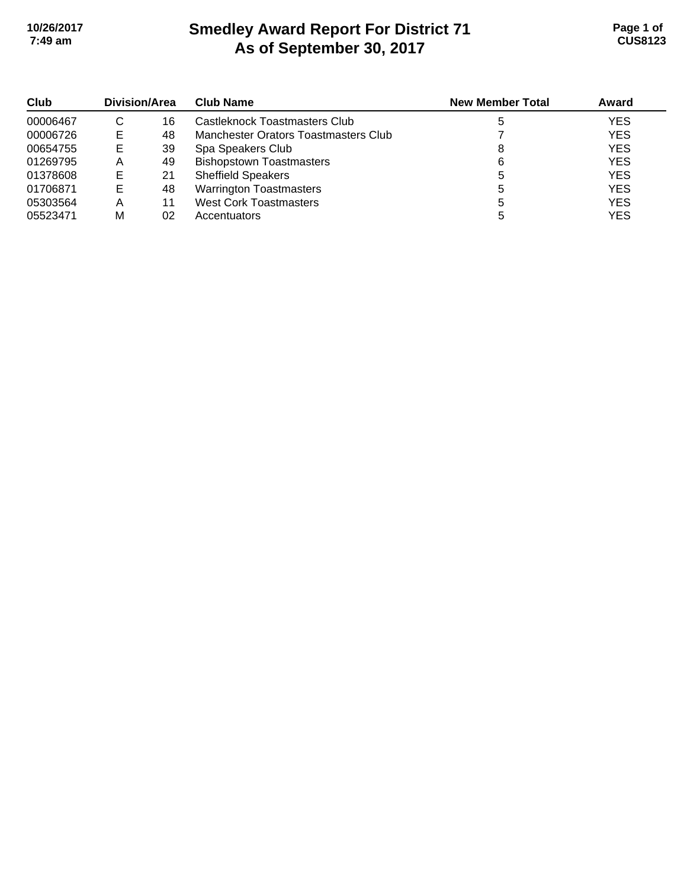# **Smedley Award Report For District 71 As of September 30, 2017 10/26/2017 Page 1 of 7:49 am CUS8123**

| Club     | <b>Division/Area</b> |    | <b>Club Name</b>                     | <b>New Member Total</b> | Award      |
|----------|----------------------|----|--------------------------------------|-------------------------|------------|
| 00006467 | С                    | 16 | Castleknock Toastmasters Club        |                         | <b>YES</b> |
| 00006726 | Е                    | 48 | Manchester Orators Toastmasters Club |                         | <b>YES</b> |
| 00654755 | Е                    | 39 | Spa Speakers Club                    |                         | <b>YES</b> |
| 01269795 | Α                    | 49 | <b>Bishopstown Toastmasters</b>      | 6                       | <b>YES</b> |
| 01378608 |                      | 21 | <b>Sheffield Speakers</b>            | 5                       | <b>YES</b> |
| 01706871 | E                    | 48 | <b>Warrington Toastmasters</b>       | b                       | <b>YES</b> |
| 05303564 | Α                    | 11 | <b>West Cork Toastmasters</b>        |                         | <b>YES</b> |
| 05523471 | м                    | 02 | Accentuators                         |                         | <b>YES</b> |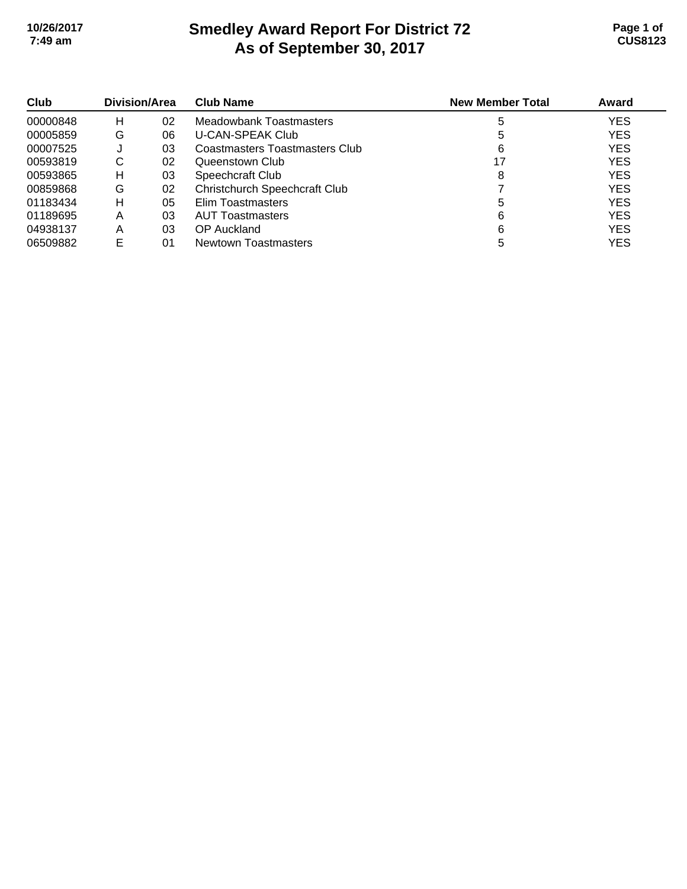# **Smedley Award Report For District 72 As of September 30, 2017 10/26/2017 Page 1 of 7:49 am CUS8123**

| Club<br>00000848 | Division/Area |    | <b>Club Name</b>                     | <b>New Member Total</b> | Award      |
|------------------|---------------|----|--------------------------------------|-------------------------|------------|
|                  | н             | 02 | Meadowbank Toastmasters              | 5                       | <b>YES</b> |
| 00005859         | G             | 06 | <b>U-CAN-SPEAK Club</b>              |                         | <b>YES</b> |
| 00007525         |               | 03 | Coastmasters Toastmasters Club       | 6                       | <b>YES</b> |
| 00593819         | С             | 02 | Queenstown Club                      |                         | <b>YES</b> |
| 00593865         | н             | 03 | Speechcraft Club                     | 8                       | <b>YES</b> |
| 00859868         | G             | 02 | <b>Christchurch Speechcraft Club</b> |                         | <b>YES</b> |
| 01183434         | н             | 05 | Elim Toastmasters                    |                         | <b>YES</b> |
| 01189695         | Α             | 03 | <b>AUT Toastmasters</b>              | 6                       | <b>YES</b> |
| 04938137         | Α             | 03 | OP Auckland                          | 6                       | <b>YES</b> |
| 06509882         |               | 01 | Newtown Toastmasters                 |                         | YES        |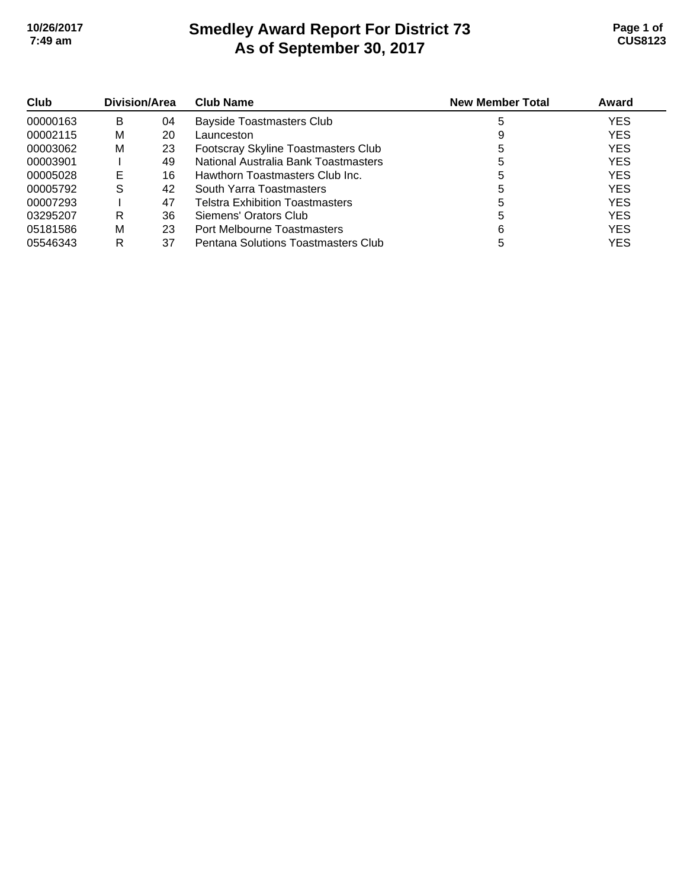# **Smedley Award Report For District 73 As of September 30, 2017 10/26/2017 Page 1 of 7:49 am CUS8123**

| Club     | Division/Area |    | <b>Club Name</b>                       | <b>New Member Total</b> | Award      |
|----------|---------------|----|----------------------------------------|-------------------------|------------|
| 00000163 | В             | 04 | <b>Bayside Toastmasters Club</b>       |                         | <b>YES</b> |
| 00002115 | м             | 20 | Launceston                             |                         | <b>YES</b> |
| 00003062 | М             | 23 | Footscray Skyline Toastmasters Club    | 5                       | <b>YES</b> |
| 00003901 |               | 49 | National Australia Bank Toastmasters   |                         | <b>YES</b> |
| 00005028 |               | 16 | Hawthorn Toastmasters Club Inc.        |                         | <b>YES</b> |
| 00005792 | S             | 42 | South Yarra Toastmasters               |                         | <b>YES</b> |
| 00007293 |               | 47 | <b>Telstra Exhibition Toastmasters</b> | G                       | <b>YES</b> |
| 03295207 | R             | 36 | Siemens' Orators Club                  | 5                       | <b>YES</b> |
| 05181586 | м             | 23 | Port Melbourne Toastmasters            |                         | <b>YES</b> |
| 05546343 | R             | 37 | Pentana Solutions Toastmasters Club    |                         | <b>YES</b> |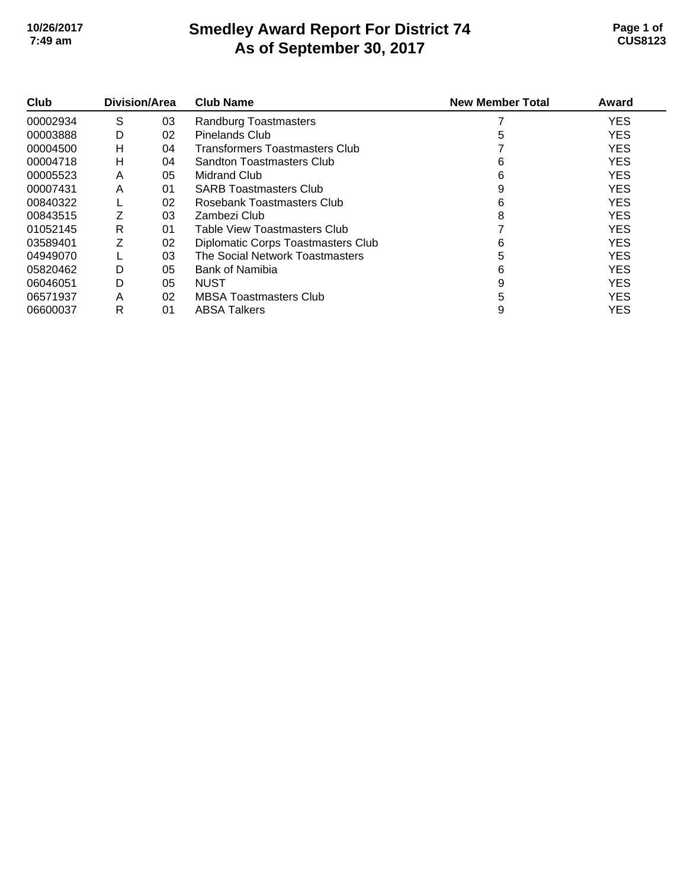#### **Smedley Award Report For District 74 As of September 30, 2017 10/26/2017 Page 1 of 7:49 am CUS8123**

| Club     | Division/Area |    | <b>Club Name</b>                      | <b>New Member Total</b> | Award      |
|----------|---------------|----|---------------------------------------|-------------------------|------------|
| 00002934 | S             | 03 | Randburg Toastmasters                 |                         | <b>YES</b> |
| 00003888 | D             | 02 | <b>Pinelands Club</b>                 | 5                       | <b>YES</b> |
| 00004500 | н             | 04 | <b>Transformers Toastmasters Club</b> |                         | <b>YES</b> |
| 00004718 | н             | 04 | Sandton Toastmasters Club             | 6                       | <b>YES</b> |
| 00005523 | A             | 05 | <b>Midrand Club</b>                   | 6                       | <b>YES</b> |
| 00007431 | A             | 01 | <b>SARB Toastmasters Club</b>         | 9                       | <b>YES</b> |
| 00840322 |               | 02 | Rosebank Toastmasters Club            | 6                       | <b>YES</b> |
| 00843515 | Z             | 03 | Zambezi Club                          | 8                       | <b>YES</b> |
| 01052145 | R             | 01 | Table View Toastmasters Club          |                         | <b>YES</b> |
| 03589401 | Z             | 02 | Diplomatic Corps Toastmasters Club    | 6                       | <b>YES</b> |
| 04949070 |               | 03 | The Social Network Toastmasters       | 5                       | <b>YES</b> |
| 05820462 | D             | 05 | Bank of Namibia                       | 6                       | <b>YES</b> |
| 06046051 | D             | 05 | <b>NUST</b>                           | 9                       | <b>YES</b> |
| 06571937 | A             | 02 | <b>MBSA Toastmasters Club</b>         | 5                       | <b>YES</b> |
| 06600037 | R             | 01 | <b>ABSA Talkers</b>                   | 9                       | <b>YES</b> |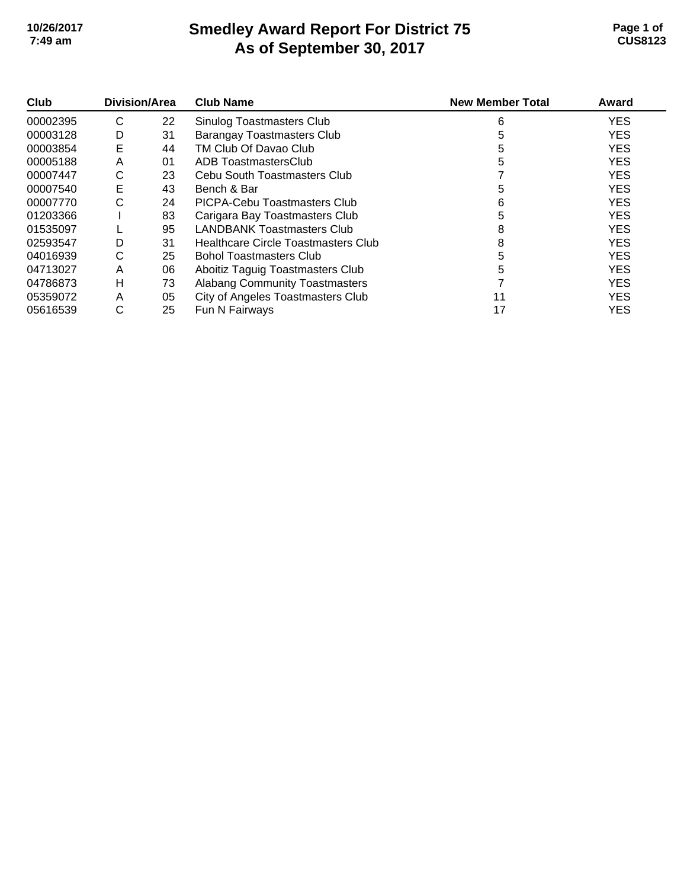### **Smedley Award Report For District 75 As of September 30, 2017 10/26/2017 Page 1 of 7:49 am CUS8123**

| Club     | Division/Area |    | <b>Club Name</b>                      | <b>New Member Total</b> | Award      |
|----------|---------------|----|---------------------------------------|-------------------------|------------|
| 00002395 | C             | 22 | Sinulog Toastmasters Club             | 6                       | <b>YES</b> |
| 00003128 | D             | 31 | <b>Barangay Toastmasters Club</b>     | 5                       | <b>YES</b> |
| 00003854 | E             | 44 | TM Club Of Davao Club                 | 5                       | <b>YES</b> |
| 00005188 | A             | 01 | ADB ToastmastersClub                  | 5                       | <b>YES</b> |
| 00007447 | С             | 23 | Cebu South Toastmasters Club          |                         | <b>YES</b> |
| 00007540 | Е             | 43 | Bench & Bar                           | 5                       | <b>YES</b> |
| 00007770 | С             | 24 | PICPA-Cebu Toastmasters Club          | 6                       | <b>YES</b> |
| 01203366 |               | 83 | Carigara Bay Toastmasters Club        | 5                       | <b>YES</b> |
| 01535097 |               | 95 | <b>LANDBANK Toastmasters Club</b>     | 8                       | <b>YES</b> |
| 02593547 | D             | 31 | Healthcare Circle Toastmasters Club   | 8                       | <b>YES</b> |
| 04016939 | С             | 25 | <b>Bohol Toastmasters Club</b>        | 5                       | <b>YES</b> |
| 04713027 | A             | 06 | Aboitiz Taguig Toastmasters Club      | 5                       | <b>YES</b> |
| 04786873 | н             | 73 | <b>Alabang Community Toastmasters</b> |                         | <b>YES</b> |
| 05359072 | A             | 05 | City of Angeles Toastmasters Club     | 11                      | <b>YES</b> |
| 05616539 | С             | 25 | Fun N Fairways                        | 17                      | <b>YES</b> |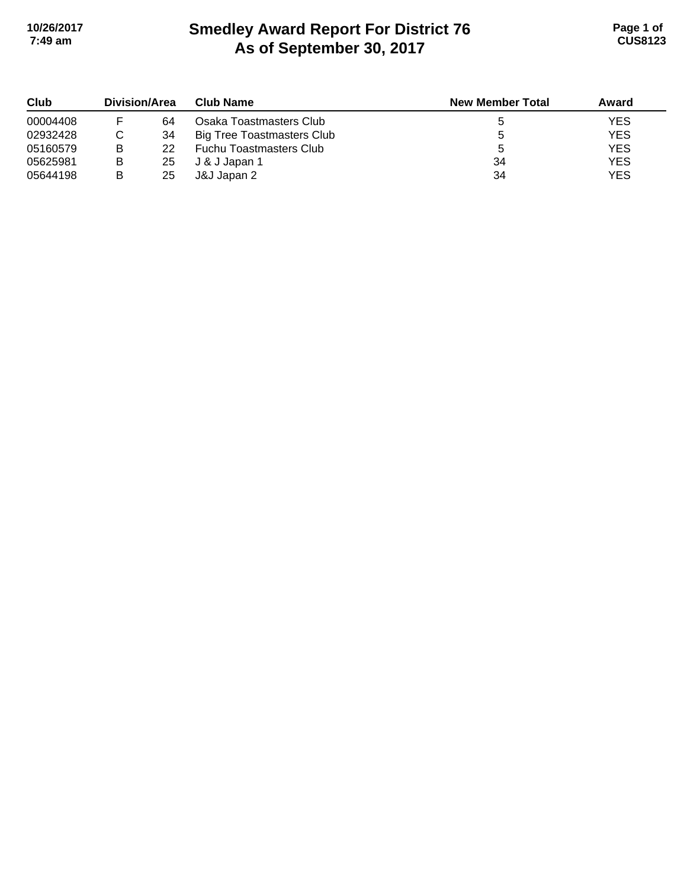# **Smedley Award Report For District 76 As of September 30, 2017 10/26/2017 Page 1 of 7:49 am CUS8123**

| Club     | <b>Division/Area</b> |    | <b>Club Name</b>                  | <b>New Member Total</b> | Award      |
|----------|----------------------|----|-----------------------------------|-------------------------|------------|
| 00004408 |                      | 64 | Osaka Toastmasters Club           |                         | <b>YES</b> |
| 02932428 |                      | 34 | <b>Big Tree Toastmasters Club</b> |                         | <b>YES</b> |
| 05160579 | в                    | 22 | <b>Fuchu Toastmasters Club</b>    |                         | <b>YES</b> |
| 05625981 | в                    | 25 | J & J Japan 1                     | 34                      | <b>YES</b> |
| 05644198 | в                    | 25 | J&J Japan 2                       | 34                      | <b>YES</b> |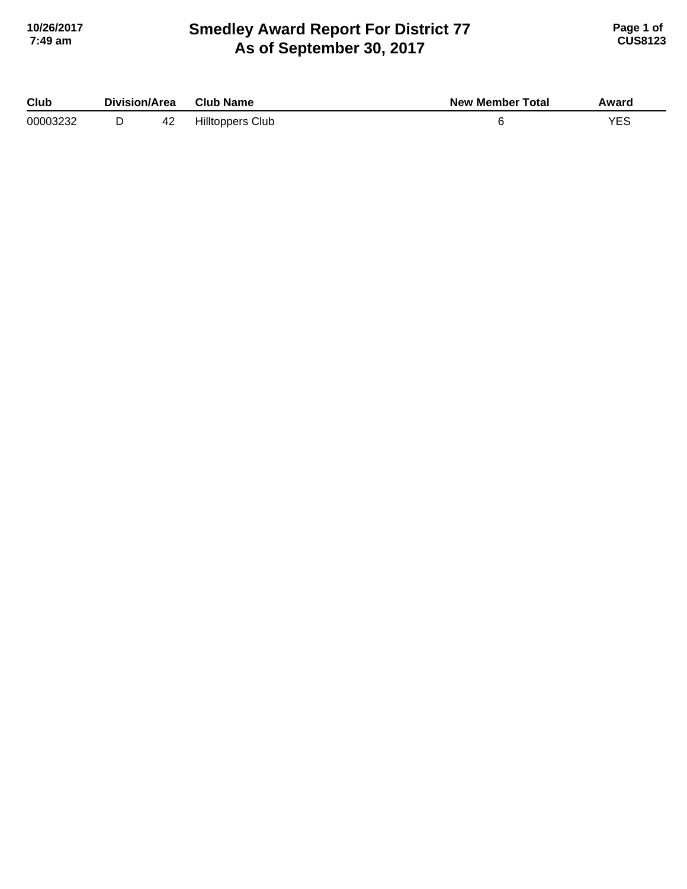# **Smedley Award Report For District 77 As of September 30, 2017 10/26/2017 Page 1 of 7:49 am CUS8123**

| Club     | Division/Area |    | <b>Club Name</b>        | <b>New Member Total</b> | Award |
|----------|---------------|----|-------------------------|-------------------------|-------|
| 00003232 |               | 42 | <b>Hilltoppers Club</b> |                         | YES   |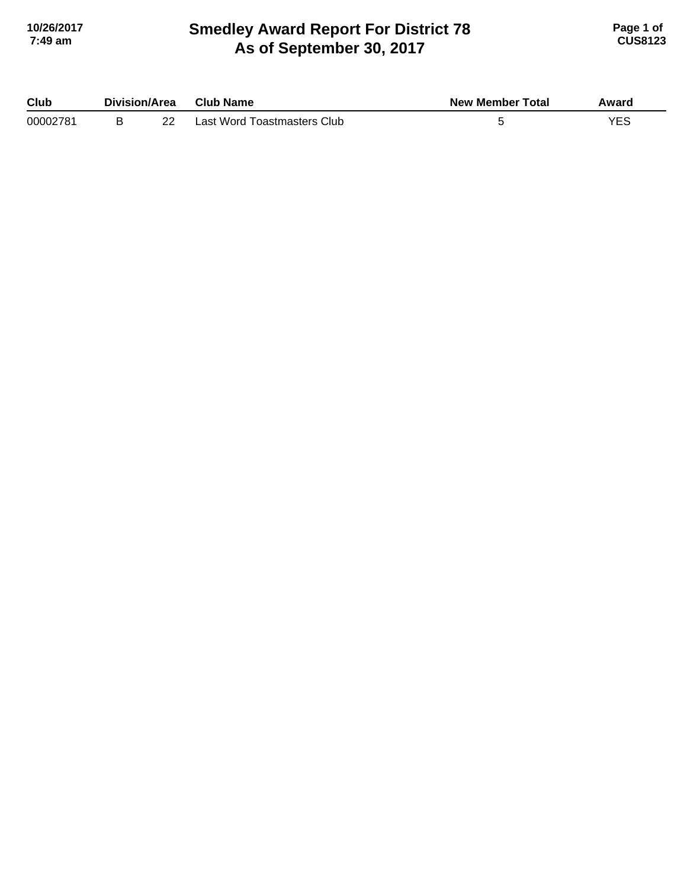### **Smedley Award Report For District 78 As of September 30, 2017 10/26/2017 Page 1 of 7:49 am CUS8123**

| Club     | Division/Area |          | <b>Club Name</b>            | <b>New Member Total</b> | Award |
|----------|---------------|----------|-----------------------------|-------------------------|-------|
| 00002781 |               | ററ<br>22 | Last Word Toastmasters Club |                         |       |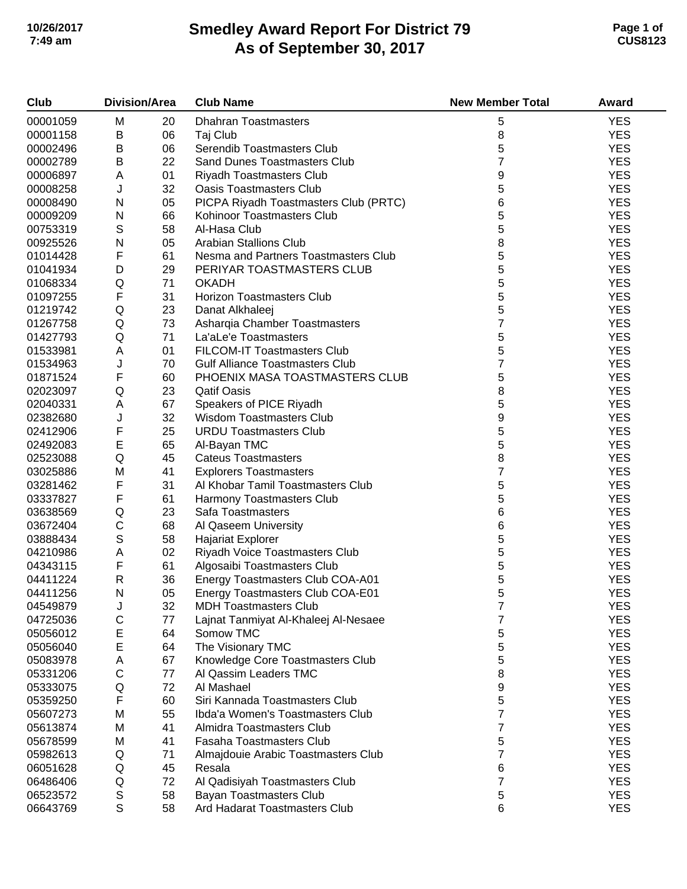# **Smedley Award Report For District 79 As of September 30, 2017 10/26/2017 Page 1 of 7:49 am CUS8123**

| Club     | <b>Division/Area</b> |    | <b>Club Name</b>                       | <b>New Member Total</b> | Award      |
|----------|----------------------|----|----------------------------------------|-------------------------|------------|
| 00001059 | M                    | 20 | <b>Dhahran Toastmasters</b>            | 5                       | <b>YES</b> |
| 00001158 | B                    | 06 | Taj Club                               | 8                       | <b>YES</b> |
| 00002496 | B                    | 06 | Serendib Toastmasters Club             | 5                       | <b>YES</b> |
| 00002789 | B                    | 22 | <b>Sand Dunes Toastmasters Club</b>    | 7                       | <b>YES</b> |
| 00006897 | Α                    | 01 | <b>Riyadh Toastmasters Club</b>        | 9                       | <b>YES</b> |
| 00008258 | J                    | 32 | <b>Oasis Toastmasters Club</b>         | 5                       | <b>YES</b> |
| 00008490 | ${\sf N}$            | 05 | PICPA Riyadh Toastmasters Club (PRTC)  | 6                       | <b>YES</b> |
| 00009209 | ${\sf N}$            | 66 | Kohinoor Toastmasters Club             | 5                       | <b>YES</b> |
| 00753319 | $\mathsf S$          | 58 | Al-Hasa Club                           | 5                       | <b>YES</b> |
| 00925526 | ${\sf N}$            | 05 | <b>Arabian Stallions Club</b>          | 8                       | <b>YES</b> |
| 01014428 | F                    | 61 | Nesma and Partners Toastmasters Club   | 5                       | <b>YES</b> |
| 01041934 | D                    | 29 | PERIYAR TOASTMASTERS CLUB              | 5                       | <b>YES</b> |
| 01068334 | Q                    | 71 | <b>OKADH</b>                           | 5                       | <b>YES</b> |
| 01097255 | F                    | 31 | <b>Horizon Toastmasters Club</b>       | 5                       | <b>YES</b> |
| 01219742 | Q                    | 23 | Danat Alkhaleej                        | 5                       | <b>YES</b> |
| 01267758 | Q                    | 73 | Asharqia Chamber Toastmasters          | 7                       | <b>YES</b> |
| 01427793 | Q                    | 71 | La'aLe'e Toastmasters                  | 5                       | <b>YES</b> |
| 01533981 | A                    | 01 | FILCOM-IT Toastmasters Club            | 5                       | <b>YES</b> |
| 01534963 | J                    | 70 | <b>Gulf Alliance Toastmasters Club</b> | 7                       | <b>YES</b> |
| 01871524 | F                    | 60 | PHOENIX MASA TOASTMASTERS CLUB         | 5                       | <b>YES</b> |
| 02023097 | Q                    | 23 | <b>Qatif Oasis</b>                     | 8                       | <b>YES</b> |
| 02040331 | Α                    | 67 | Speakers of PICE Riyadh                | 5                       | <b>YES</b> |
| 02382680 | J                    | 32 | <b>Wisdom Toastmasters Club</b>        | 9                       | <b>YES</b> |
| 02412906 | F                    | 25 | <b>URDU Toastmasters Club</b>          | 5                       | <b>YES</b> |
| 02492083 | E                    | 65 | Al-Bayan TMC                           | 5                       | <b>YES</b> |
| 02523088 | Q                    | 45 | <b>Cateus Toastmasters</b>             | 8                       | <b>YES</b> |
| 03025886 | M                    | 41 | <b>Explorers Toastmasters</b>          | 7                       | <b>YES</b> |
| 03281462 | F                    | 31 | Al Khobar Tamil Toastmasters Club      | 5                       | <b>YES</b> |
| 03337827 | F                    | 61 | Harmony Toastmasters Club              | 5                       | <b>YES</b> |
| 03638569 | Q                    | 23 | Safa Toastmasters                      | 6                       | <b>YES</b> |
| 03672404 | $\mathsf C$          | 68 | Al Qaseem University                   | 6                       | <b>YES</b> |
| 03888434 | $\mathbb S$          | 58 | <b>Hajariat Explorer</b>               | 5                       | <b>YES</b> |
| 04210986 | A                    | 02 | Riyadh Voice Toastmasters Club         | 5                       | <b>YES</b> |
| 04343115 | F                    | 61 | Algosaibi Toastmasters Club            | 5                       | <b>YES</b> |
| 04411224 | $\mathsf{R}$         | 36 | Energy Toastmasters Club COA-A01       | 5                       | <b>YES</b> |
| 04411256 | N                    | 05 | Energy Toastmasters Club COA-E01       | 5                       | <b>YES</b> |
| 04549879 | J                    | 32 | <b>MDH Toastmasters Club</b>           | 7                       | <b>YES</b> |
| 04725036 | С                    | 77 | Lajnat Tanmiyat Al-Khaleej Al-Nesaee   | 7                       | <b>YES</b> |
| 05056012 | E                    | 64 | Somow TMC                              | 5                       | <b>YES</b> |
| 05056040 | E                    | 64 | The Visionary TMC                      | 5                       | <b>YES</b> |
| 05083978 | Α                    | 67 | Knowledge Core Toastmasters Club       | 5                       | <b>YES</b> |
| 05331206 | C                    | 77 | Al Qassim Leaders TMC                  | 8                       | <b>YES</b> |
| 05333075 | Q                    | 72 | Al Mashael                             | 9                       | <b>YES</b> |
| 05359250 | F                    | 60 | Siri Kannada Toastmasters Club         | 5                       | <b>YES</b> |
| 05607273 | M                    | 55 | Ibda'a Women's Toastmasters Club       | 7                       | <b>YES</b> |
| 05613874 | M                    | 41 | Almidra Toastmasters Club              | 7                       | <b>YES</b> |
| 05678599 | M                    | 41 | Fasaha Toastmasters Club               | 5                       | <b>YES</b> |
| 05982613 | Q                    | 71 | Almajdouie Arabic Toastmasters Club    | $\overline{7}$          | <b>YES</b> |
| 06051628 | Q                    | 45 | Resala                                 | 6                       | <b>YES</b> |
| 06486406 | Q                    | 72 | Al Qadisiyah Toastmasters Club         | $\overline{7}$          | <b>YES</b> |
| 06523572 | S                    | 58 | Bayan Toastmasters Club                | 5                       | <b>YES</b> |
| 06643769 | S                    | 58 | Ard Hadarat Toastmasters Club          | 6                       | <b>YES</b> |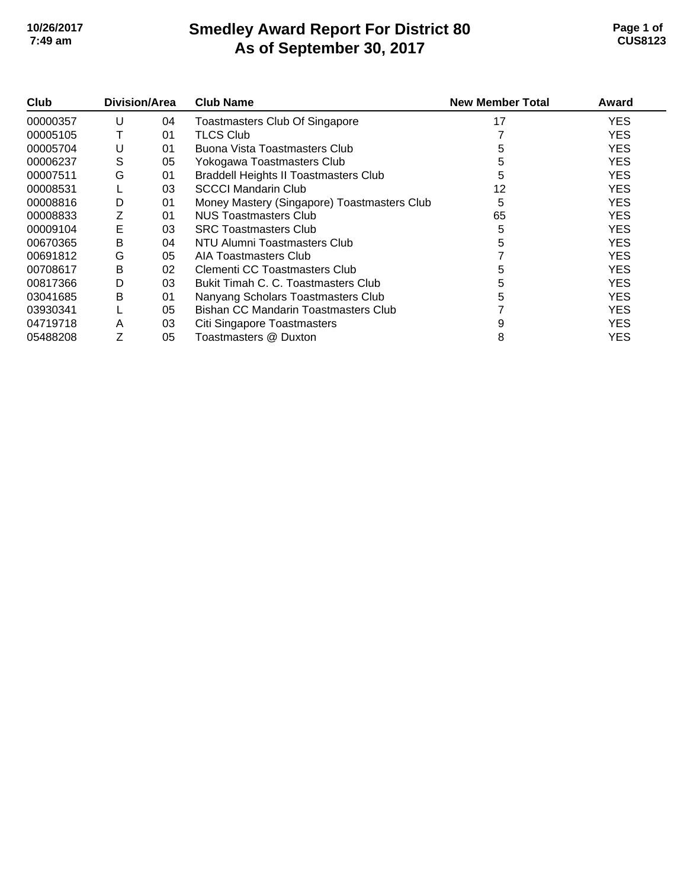## **Smedley Award Report For District 80 As of September 30, 2017 10/26/2017 Page 1 of 7:49 am CUS8123**

| Club     | Division/Area |    | <b>Club Name</b>                             | <b>New Member Total</b> | Award      |
|----------|---------------|----|----------------------------------------------|-------------------------|------------|
| 00000357 | U             | 04 | <b>Toastmasters Club Of Singapore</b>        | 17                      | YES.       |
| 00005105 |               | 01 | <b>TLCS Club</b>                             |                         | YES.       |
| 00005704 | U             | 01 | Buona Vista Toastmasters Club                | 5                       | <b>YES</b> |
| 00006237 | S             | 05 | Yokogawa Toastmasters Club                   | 5                       | <b>YES</b> |
| 00007511 | G             | 01 | <b>Braddell Heights II Toastmasters Club</b> | 5                       | <b>YES</b> |
| 00008531 |               | 03 | <b>SCCCI Mandarin Club</b>                   | 12                      | <b>YES</b> |
| 00008816 | D             | 01 | Money Mastery (Singapore) Toastmasters Club  | 5                       | <b>YES</b> |
| 00008833 | Ζ             | 01 | NUS Toastmasters Club                        | 65                      | <b>YES</b> |
| 00009104 | Е             | 03 | <b>SRC Toastmasters Club</b>                 |                         | <b>YES</b> |
| 00670365 | в             | 04 | NTU Alumni Toastmasters Club                 |                         | <b>YES</b> |
| 00691812 | G             | 05 | AIA Toastmasters Club                        |                         | <b>YES</b> |
| 00708617 | B             | 02 | Clementi CC Toastmasters Club                | 5                       | <b>YES</b> |
| 00817366 | D             | 03 | Bukit Timah C. C. Toastmasters Club          | 5                       | <b>YES</b> |
| 03041685 | B             | 01 | Nanyang Scholars Toastmasters Club           | 5                       | <b>YES</b> |
| 03930341 |               | 05 | Bishan CC Mandarin Toastmasters Club         |                         | <b>YES</b> |
| 04719718 | A             | 03 | Citi Singapore Toastmasters                  | 9                       | YES.       |
| 05488208 |               | 05 | Toastmasters @ Duxton                        | 8                       | YES.       |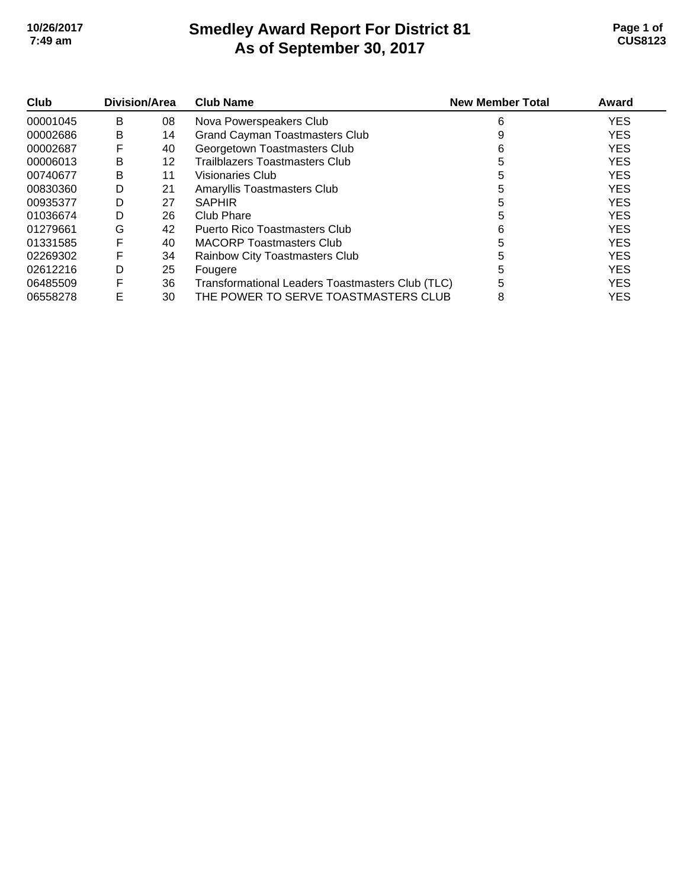### **Smedley Award Report For District 81 As of September 30, 2017 10/26/2017 Page 1 of 7:49 am CUS8123**

| Club     | Division/Area |    | <b>Club Name</b>                                 | <b>New Member Total</b> | Award      |
|----------|---------------|----|--------------------------------------------------|-------------------------|------------|
| 00001045 | B             | 08 | Nova Powerspeakers Club                          | 6                       | <b>YES</b> |
| 00002686 | B             | 14 | <b>Grand Cayman Toastmasters Club</b>            |                         | <b>YES</b> |
| 00002687 | F             | 40 | Georgetown Toastmasters Club                     | 6                       | <b>YES</b> |
| 00006013 | B             | 12 | <b>Trailblazers Toastmasters Club</b>            | 5                       | <b>YES</b> |
| 00740677 | В             | 11 | Visionaries Club                                 |                         | <b>YES</b> |
| 00830360 | D             | 21 | Amaryllis Toastmasters Club                      | 5                       | <b>YES</b> |
| 00935377 | D             | 27 | <b>SAPHIR</b>                                    | 5                       | <b>YES</b> |
| 01036674 | D             | 26 | Club Phare                                       | 5                       | <b>YES</b> |
| 01279661 | G             | 42 | Puerto Rico Toastmasters Club                    | 6                       | <b>YES</b> |
| 01331585 | F             | 40 | <b>MACORP Toastmasters Club</b>                  | 5                       | <b>YES</b> |
| 02269302 | F             | 34 | Rainbow City Toastmasters Club                   | 5                       | <b>YES</b> |
| 02612216 | D             | 25 | Fougere                                          | 5                       | <b>YES</b> |
| 06485509 | F             | 36 | Transformational Leaders Toastmasters Club (TLC) | 5                       | <b>YES</b> |
| 06558278 | E             | 30 | THE POWER TO SERVE TOASTMASTERS CLUB             | 8                       | <b>YES</b> |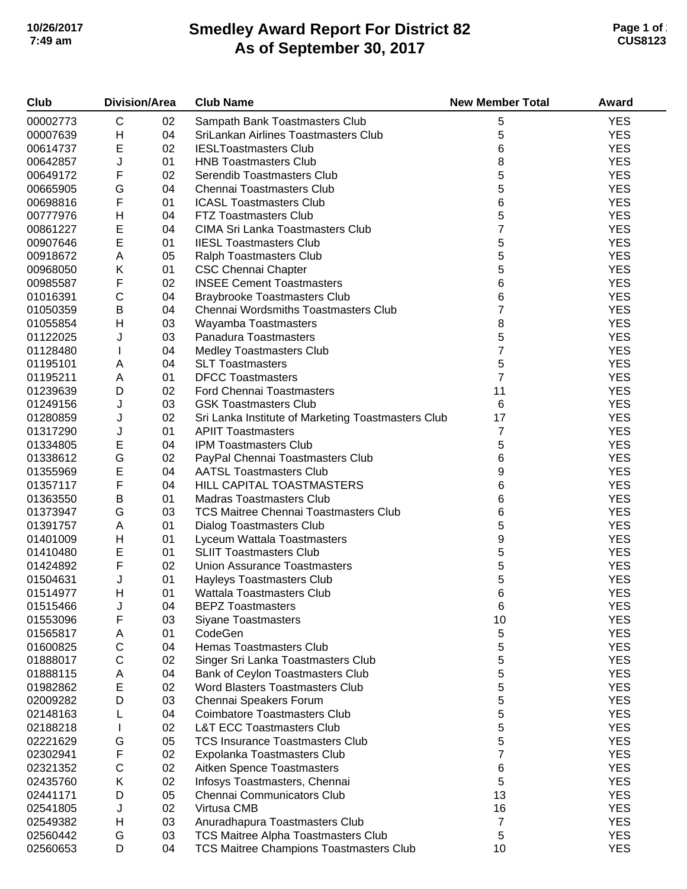# **Smedley Award Report For District 82 As of September 30, 2017 10/26/2017 Page 1 of 2 7:49 am CUS8123**

| Club     | <b>Division/Area</b> |    | <b>Club Name</b>                                   | <b>New Member Total</b> | Award      |
|----------|----------------------|----|----------------------------------------------------|-------------------------|------------|
| 00002773 | $\mathsf C$          | 02 | Sampath Bank Toastmasters Club                     | 5                       | <b>YES</b> |
| 00007639 | Н                    | 04 | SriLankan Airlines Toastmasters Club               | 5                       | <b>YES</b> |
| 00614737 | E                    | 02 | <b>IESLToastmasters Club</b>                       | 6                       | <b>YES</b> |
| 00642857 | J                    | 01 | <b>HNB Toastmasters Club</b>                       | 8                       | <b>YES</b> |
| 00649172 | F                    | 02 | Serendib Toastmasters Club                         | 5                       | <b>YES</b> |
| 00665905 | G                    | 04 | Chennai Toastmasters Club                          | 5                       | <b>YES</b> |
| 00698816 | F                    | 01 | <b>ICASL Toastmasters Club</b>                     | 6                       | <b>YES</b> |
| 00777976 | Н                    | 04 | <b>FTZ Toastmasters Club</b>                       | 5                       | <b>YES</b> |
| 00861227 | E                    | 04 | <b>CIMA Sri Lanka Toastmasters Club</b>            | 7                       | <b>YES</b> |
| 00907646 | E                    | 01 | <b>IIESL Toastmasters Club</b>                     | 5                       | <b>YES</b> |
| 00918672 | Α                    | 05 | Ralph Toastmasters Club                            | 5                       | <b>YES</b> |
| 00968050 | Κ                    | 01 | <b>CSC Chennai Chapter</b>                         | 5                       | <b>YES</b> |
| 00985587 | F                    | 02 | <b>INSEE Cement Toastmasters</b>                   | 6                       | <b>YES</b> |
| 01016391 | $\mathsf C$          | 04 | <b>Braybrooke Toastmasters Club</b>                | 6                       | <b>YES</b> |
| 01050359 | $\sf B$              | 04 | Chennai Wordsmiths Toastmasters Club               | 7                       | <b>YES</b> |
| 01055854 | H                    | 03 |                                                    | 8                       | <b>YES</b> |
| 01122025 | J                    |    | Wayamba Toastmasters<br>Panadura Toastmasters      | 5                       | <b>YES</b> |
|          |                      | 03 |                                                    | 7                       | <b>YES</b> |
| 01128480 |                      | 04 | <b>Medley Toastmasters Club</b>                    |                         |            |
| 01195101 | Α                    | 04 | <b>SLT Toastmasters</b>                            | 5                       | <b>YES</b> |
| 01195211 | A                    | 01 | <b>DFCC Toastmasters</b>                           | 7                       | <b>YES</b> |
| 01239639 | D                    | 02 | <b>Ford Chennai Toastmasters</b>                   | 11                      | <b>YES</b> |
| 01249156 | J                    | 03 | <b>GSK Toastmasters Club</b>                       | 6                       | <b>YES</b> |
| 01280859 | J                    | 02 | Sri Lanka Institute of Marketing Toastmasters Club | 17                      | <b>YES</b> |
| 01317290 | J                    | 01 | <b>APIIT Toastmasters</b>                          | 7                       | <b>YES</b> |
| 01334805 | E                    | 04 | <b>IPM Toastmasters Club</b>                       | 5                       | <b>YES</b> |
| 01338612 | G                    | 02 | PayPal Chennai Toastmasters Club                   | 6                       | <b>YES</b> |
| 01355969 | E                    | 04 | <b>AATSL Toastmasters Club</b>                     | 9                       | <b>YES</b> |
| 01357117 | F                    | 04 | HILL CAPITAL TOASTMASTERS                          | 6                       | <b>YES</b> |
| 01363550 | B                    | 01 | <b>Madras Toastmasters Club</b>                    | 6                       | <b>YES</b> |
| 01373947 | G                    | 03 | <b>TCS Maitree Chennai Toastmasters Club</b>       | 6                       | <b>YES</b> |
| 01391757 | Α                    | 01 | <b>Dialog Toastmasters Club</b>                    | 5                       | <b>YES</b> |
| 01401009 | Н                    | 01 | Lyceum Wattala Toastmasters                        | 9                       | <b>YES</b> |
| 01410480 | E                    | 01 | <b>SLIIT Toastmasters Club</b>                     | 5                       | <b>YES</b> |
| 01424892 | F                    | 02 | <b>Union Assurance Toastmasters</b>                | 5                       | <b>YES</b> |
| 01504631 | J                    | 01 | Hayleys Toastmasters Club                          | 5                       | <b>YES</b> |
| 01514977 | Н                    | 01 | Wattala Toastmasters Club                          | 6                       | <b>YES</b> |
| 01515466 | J                    | 04 | <b>BEPZ Toastmasters</b>                           | 6                       | <b>YES</b> |
| 01553096 | F                    | 03 | <b>Siyane Toastmasters</b>                         | 10                      | <b>YES</b> |
| 01565817 | Α                    | 01 | CodeGen                                            | 5                       | <b>YES</b> |
| 01600825 | $\mathsf C$          | 04 | <b>Hemas Toastmasters Club</b>                     | 5                       | <b>YES</b> |
| 01888017 | $\mathsf C$          | 02 | Singer Sri Lanka Toastmasters Club                 | 5                       | <b>YES</b> |
| 01888115 | Α                    | 04 | Bank of Ceylon Toastmasters Club                   | 5                       | <b>YES</b> |
| 01982862 | E                    | 02 | Word Blasters Toastmasters Club                    | 5                       | <b>YES</b> |
| 02009282 | D                    | 03 | Chennai Speakers Forum                             | 5                       | <b>YES</b> |
| 02148163 |                      | 04 | <b>Coimbatore Toastmasters Club</b>                | 5                       | <b>YES</b> |
| 02188218 |                      | 02 | <b>L&amp;T ECC Toastmasters Club</b>               | 5                       | <b>YES</b> |
| 02221629 | G                    | 05 | <b>TCS Insurance Toastmasters Club</b>             | 5                       | <b>YES</b> |
| 02302941 | F                    | 02 | Expolanka Toastmasters Club                        | 7                       | <b>YES</b> |
| 02321352 | $\mathsf C$          | 02 | Aitken Spence Toastmasters                         | 6                       | <b>YES</b> |
| 02435760 | Κ                    | 02 | Infosys Toastmasters, Chennai                      | 5                       | <b>YES</b> |
| 02441171 | D                    | 05 | Chennai Communicators Club                         | 13                      | <b>YES</b> |
| 02541805 | J                    | 02 | Virtusa CMB                                        | 16                      | <b>YES</b> |
| 02549382 | Н                    | 03 | Anuradhapura Toastmasters Club                     | $\overline{7}$          | <b>YES</b> |
| 02560442 | G                    | 03 | <b>TCS Maitree Alpha Toastmasters Club</b>         | 5                       | <b>YES</b> |
| 02560653 | D                    | 04 | <b>TCS Maitree Champions Toastmasters Club</b>     | 10                      | <b>YES</b> |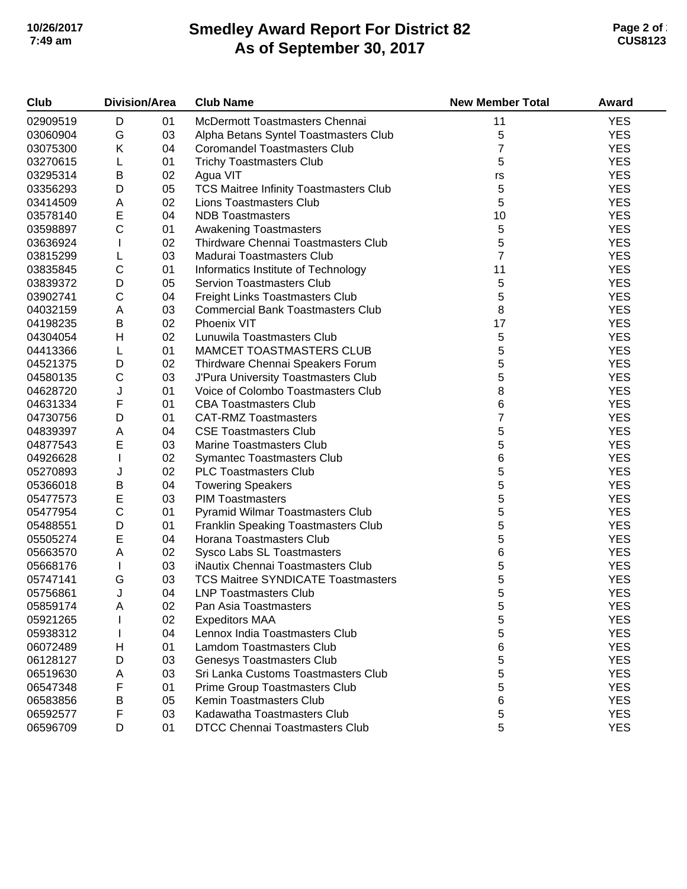# **Smedley Award Report For District 82 As of September 30, 2017 10/26/2017 Page 2 of 2 7:49 am CUS8123**

| Club     | <b>Division/Area</b> |    | <b>Club Name</b>                              | <b>New Member Total</b> | Award      |
|----------|----------------------|----|-----------------------------------------------|-------------------------|------------|
| 02909519 | D                    | 01 | McDermott Toastmasters Chennai                | 11                      | <b>YES</b> |
| 03060904 | G                    | 03 | Alpha Betans Syntel Toastmasters Club         | 5                       | <b>YES</b> |
| 03075300 | Κ                    | 04 | <b>Coromandel Toastmasters Club</b>           | $\overline{7}$          | <b>YES</b> |
| 03270615 | L                    | 01 | <b>Trichy Toastmasters Club</b>               | 5                       | <b>YES</b> |
| 03295314 | B                    | 02 | Agua VIT                                      | $r\mathsf{s}$           | <b>YES</b> |
| 03356293 | D                    | 05 | <b>TCS Maitree Infinity Toastmasters Club</b> | 5                       | <b>YES</b> |
| 03414509 | Α                    | 02 | <b>Lions Toastmasters Club</b>                | 5                       | <b>YES</b> |
| 03578140 | E                    | 04 | <b>NDB Toastmasters</b>                       | 10                      | <b>YES</b> |
| 03598897 | $\mathsf{C}$         | 01 | <b>Awakening Toastmasters</b>                 | 5                       | <b>YES</b> |
| 03636924 | I.                   | 02 | Thirdware Chennai Toastmasters Club           | 5                       | <b>YES</b> |
| 03815299 | L                    | 03 | Madurai Toastmasters Club                     | $\overline{7}$          | <b>YES</b> |
| 03835845 | $\mathsf C$          | 01 | Informatics Institute of Technology           | 11                      | <b>YES</b> |
| 03839372 | D                    | 05 | <b>Servion Toastmasters Club</b>              | 5                       | <b>YES</b> |
| 03902741 | $\mathsf C$          | 04 | Freight Links Toastmasters Club               | 5                       | <b>YES</b> |
| 04032159 | Α                    | 03 | <b>Commercial Bank Toastmasters Club</b>      | 8                       | <b>YES</b> |
| 04198235 | B                    | 02 | Phoenix VIT                                   | 17                      | <b>YES</b> |
| 04304054 | H                    | 02 | Lunuwila Toastmasters Club                    | 5                       | <b>YES</b> |
| 04413366 | L                    | 01 | MAMCET TOASTMASTERS CLUB                      | 5                       | <b>YES</b> |
| 04521375 | D                    | 02 | Thirdware Chennai Speakers Forum              | 5                       | <b>YES</b> |
| 04580135 | $\mathsf C$          | 03 | J'Pura University Toastmasters Club           | 5                       | <b>YES</b> |
| 04628720 | J                    | 01 | Voice of Colombo Toastmasters Club            | 8                       | <b>YES</b> |
| 04631334 | F                    | 01 | <b>CBA Toastmasters Club</b>                  | 6                       | <b>YES</b> |
| 04730756 | D                    | 01 | <b>CAT-RMZ Toastmasters</b>                   | $\overline{7}$          | <b>YES</b> |
| 04839397 | Α                    | 04 | <b>CSE Toastmasters Club</b>                  | 5                       | <b>YES</b> |
| 04877543 | E                    | 03 | Marine Toastmasters Club                      | 5                       | <b>YES</b> |
| 04926628 | T                    | 02 | <b>Symantec Toastmasters Club</b>             | 6                       | <b>YES</b> |
| 05270893 | J                    | 02 | <b>PLC Toastmasters Club</b>                  | 5                       | <b>YES</b> |
| 05366018 | $\sf B$              | 04 | <b>Towering Speakers</b>                      | 5                       | <b>YES</b> |
| 05477573 | E                    | 03 | <b>PIM Toastmasters</b>                       | 5                       | <b>YES</b> |
| 05477954 | $\mathsf C$          | 01 | Pyramid Wilmar Toastmasters Club              | 5                       | <b>YES</b> |
| 05488551 | D                    | 01 | Franklin Speaking Toastmasters Club           | 5                       | <b>YES</b> |
| 05505274 | E                    | 04 | Horana Toastmasters Club                      | 5                       | <b>YES</b> |
| 05663570 | A                    | 02 | Sysco Labs SL Toastmasters                    | 6                       | <b>YES</b> |
| 05668176 | $\mathbf{I}$         | 03 | iNautix Chennai Toastmasters Club             | 5                       | <b>YES</b> |
| 05747141 | G                    | 03 | <b>TCS Maitree SYNDICATE Toastmasters</b>     | 5                       | <b>YES</b> |
| 05756861 | J                    | 04 | <b>LNP Toastmasters Club</b>                  | 5                       | <b>YES</b> |
| 05859174 | Α                    | 02 | Pan Asia Toastmasters                         | 5                       | <b>YES</b> |
| 05921265 |                      | 02 | <b>Expeditors MAA</b>                         | 5                       | <b>YES</b> |
| 05938312 |                      | 04 | Lennox India Toastmasters Club                | 5                       | <b>YES</b> |
| 06072489 | н                    | 01 | <b>Lamdom Toastmasters Club</b>               | 6                       | <b>YES</b> |
| 06128127 | D                    | 03 | <b>Genesys Toastmasters Club</b>              | 5                       | <b>YES</b> |
| 06519630 | Α                    | 03 | Sri Lanka Customs Toastmasters Club           | 5                       | <b>YES</b> |
| 06547348 | F                    | 01 | Prime Group Toastmasters Club                 | 5                       | <b>YES</b> |
| 06583856 | В                    | 05 | Kemin Toastmasters Club                       | 6                       | <b>YES</b> |
| 06592577 | F                    | 03 | Kadawatha Toastmasters Club                   | 5                       | <b>YES</b> |
| 06596709 | D                    | 01 | <b>DTCC Chennai Toastmasters Club</b>         | 5                       | <b>YES</b> |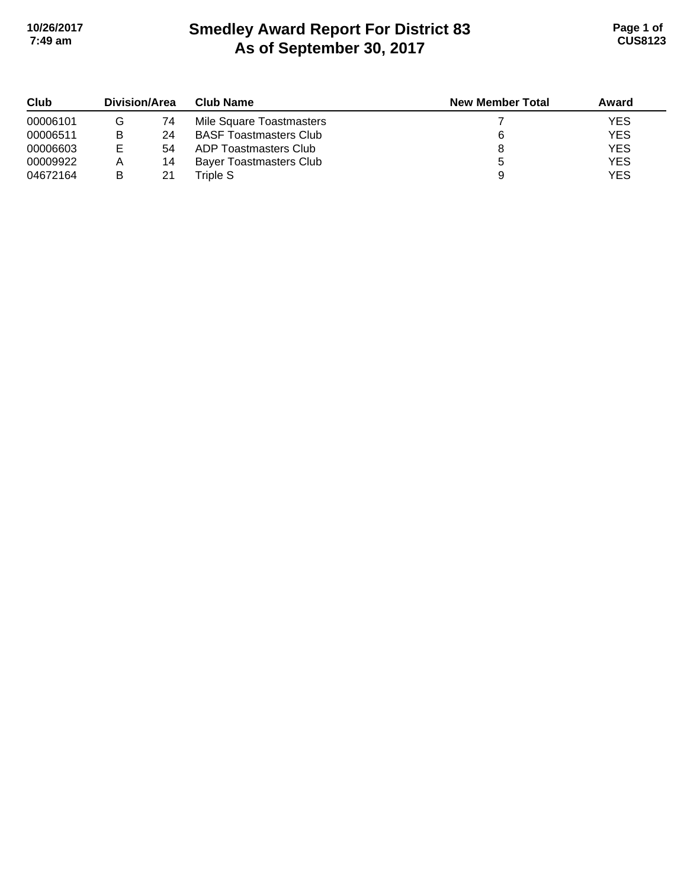# **Smedley Award Report For District 83 As of September 30, 2017 10/26/2017 Page 1 of 7:49 am CUS8123**

| Club     | <b>Division/Area</b> |    | <b>Club Name</b>               | <b>New Member Total</b> | Award      |
|----------|----------------------|----|--------------------------------|-------------------------|------------|
| 00006101 | G                    | 74 | Mile Square Toastmasters       |                         | <b>YES</b> |
| 00006511 | в                    | 24 | <b>BASF Toastmasters Club</b>  |                         | <b>YES</b> |
| 00006603 | Е                    | 54 | ADP Toastmasters Club          |                         | <b>YES</b> |
| 00009922 | Α                    | 14 | <b>Bayer Toastmasters Club</b> |                         | <b>YES</b> |
| 04672164 | B                    | 21 | Triple S                       |                         | <b>YES</b> |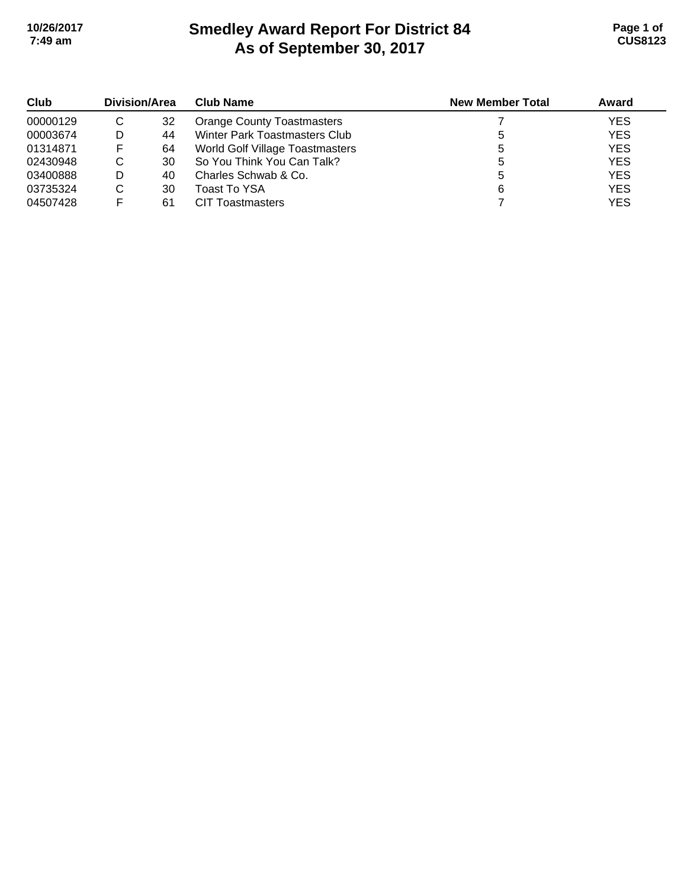# **Smedley Award Report For District 84 As of September 30, 2017 10/26/2017 Page 1 of 7:49 am CUS8123**

| Club<br>00000129 | Division/Area |    | <b>Club Name</b>                  | <b>New Member Total</b> | Award      |
|------------------|---------------|----|-----------------------------------|-------------------------|------------|
|                  | C             | 32 | <b>Orange County Toastmasters</b> |                         | <b>YES</b> |
| 00003674         | D             | 44 | Winter Park Toastmasters Club     |                         | <b>YES</b> |
| 01314871         | F             | 64 | World Golf Village Toastmasters   |                         | <b>YES</b> |
| 02430948         | C             | 30 | So You Think You Can Talk?        |                         | <b>YES</b> |
| 03400888         | D             | 40 | Charles Schwab & Co.              |                         | <b>YES</b> |
| 03735324         | C             | 30 | Toast To YSA                      |                         | <b>YES</b> |
| 04507428         |               | 61 | <b>CIT Toastmasters</b>           |                         | <b>YES</b> |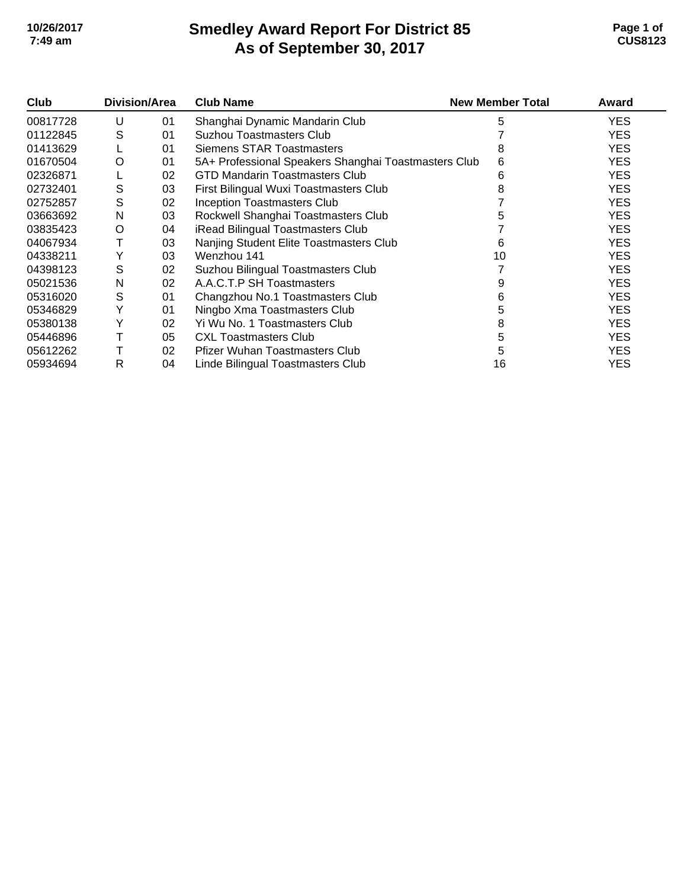# **Smedley Award Report For District 85 As of September 30, 2017 10/26/2017 Page 1 of 7:49 am CUS8123**

| Club     | <b>Division/Area</b> |    | <b>Club Name</b>                                     | <b>New Member Total</b> | Award      |
|----------|----------------------|----|------------------------------------------------------|-------------------------|------------|
| 00817728 | U                    | 01 | Shanghai Dynamic Mandarin Club                       | 5                       | YES.       |
| 01122845 | S                    | 01 | <b>Suzhou Toastmasters Club</b>                      |                         | <b>YES</b> |
| 01413629 |                      | 01 | Siemens STAR Toastmasters                            |                         | <b>YES</b> |
| 01670504 | O                    | 01 | 5A+ Professional Speakers Shanghai Toastmasters Club | 6                       | <b>YES</b> |
| 02326871 |                      | 02 | <b>GTD Mandarin Toastmasters Club</b>                | 6                       | <b>YES</b> |
| 02732401 | S                    | 03 | First Bilingual Wuxi Toastmasters Club               |                         | <b>YES</b> |
| 02752857 | S                    | 02 | <b>Inception Toastmasters Club</b>                   |                         | <b>YES</b> |
| 03663692 | N                    | 03 | Rockwell Shanghai Toastmasters Club                  |                         | <b>YES</b> |
| 03835423 | O                    | 04 | iRead Bilingual Toastmasters Club                    |                         | <b>YES</b> |
| 04067934 |                      | 03 | Nanjing Student Elite Toastmasters Club              | 6                       | <b>YES</b> |
| 04338211 | Y                    | 03 | Wenzhou 141                                          | 10                      | <b>YES</b> |
| 04398123 | S                    | 02 | Suzhou Bilingual Toastmasters Club                   |                         | <b>YES</b> |
| 05021536 | N                    | 02 | A.A.C.T.P SH Toastmasters                            |                         | <b>YES</b> |
| 05316020 | S                    | 01 | Changzhou No.1 Toastmasters Club                     | 6                       | <b>YES</b> |
| 05346829 | Y                    | 01 | Ningbo Xma Toastmasters Club                         | 5                       | <b>YES</b> |
| 05380138 | Y                    | 02 | Yi Wu No. 1 Toastmasters Club                        | 8                       | <b>YES</b> |
| 05446896 |                      | 05 | <b>CXL Toastmasters Club</b>                         | 5                       | <b>YES</b> |
| 05612262 |                      | 02 | <b>Pfizer Wuhan Toastmasters Club</b>                |                         | <b>YES</b> |
| 05934694 | R                    | 04 | Linde Bilingual Toastmasters Club                    | 16                      | YES        |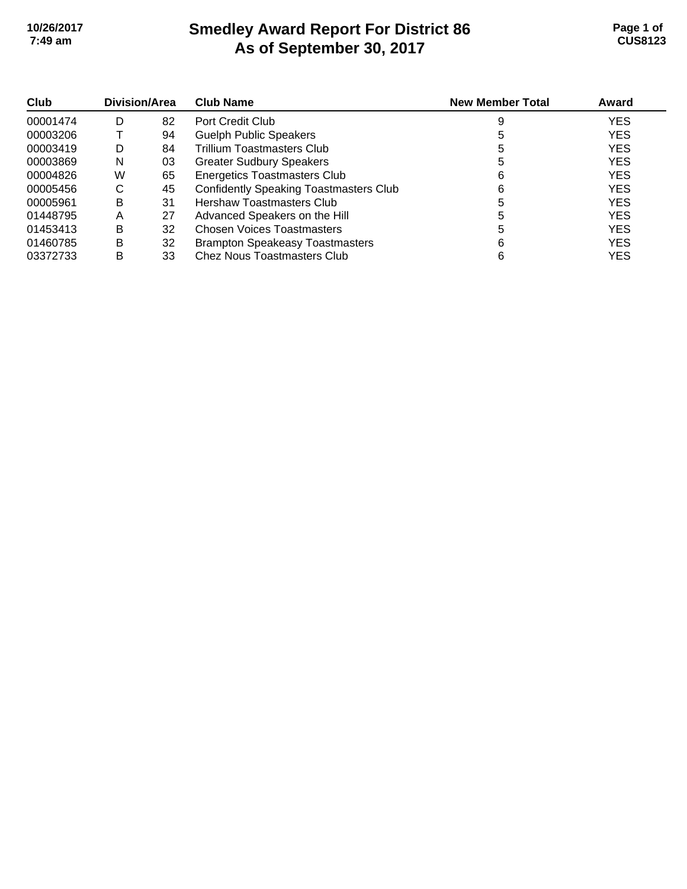# **Smedley Award Report For District 86 As of September 30, 2017 10/26/2017 Page 1 of 7:49 am CUS8123**

| Club<br>00001474 | <b>Division/Area</b> |    | <b>Club Name</b>                              | <b>New Member Total</b> | Award      |
|------------------|----------------------|----|-----------------------------------------------|-------------------------|------------|
|                  | D                    | 82 | Port Credit Club                              |                         | <b>YES</b> |
| 00003206         |                      | 94 | <b>Guelph Public Speakers</b>                 |                         | <b>YES</b> |
| 00003419         | D                    | 84 | Trillium Toastmasters Club                    |                         | <b>YES</b> |
| 00003869         | N                    | 03 | <b>Greater Sudbury Speakers</b>               |                         | <b>YES</b> |
| 00004826         | W                    | 65 | <b>Energetics Toastmasters Club</b>           | 6                       | <b>YES</b> |
| 00005456         | C                    | 45 | <b>Confidently Speaking Toastmasters Club</b> | 6                       | <b>YES</b> |
| 00005961         | B                    | 31 | Hershaw Toastmasters Club                     |                         | <b>YES</b> |
| 01448795         | Α                    | 27 | Advanced Speakers on the Hill                 |                         | <b>YES</b> |
| 01453413         | B                    | 32 | <b>Chosen Voices Toastmasters</b>             |                         | <b>YES</b> |
| 01460785         | B                    | 32 | <b>Brampton Speakeasy Toastmasters</b>        | 6                       | <b>YES</b> |
| 03372733         | B                    | 33 | Chez Nous Toastmasters Club                   | 6                       | <b>YES</b> |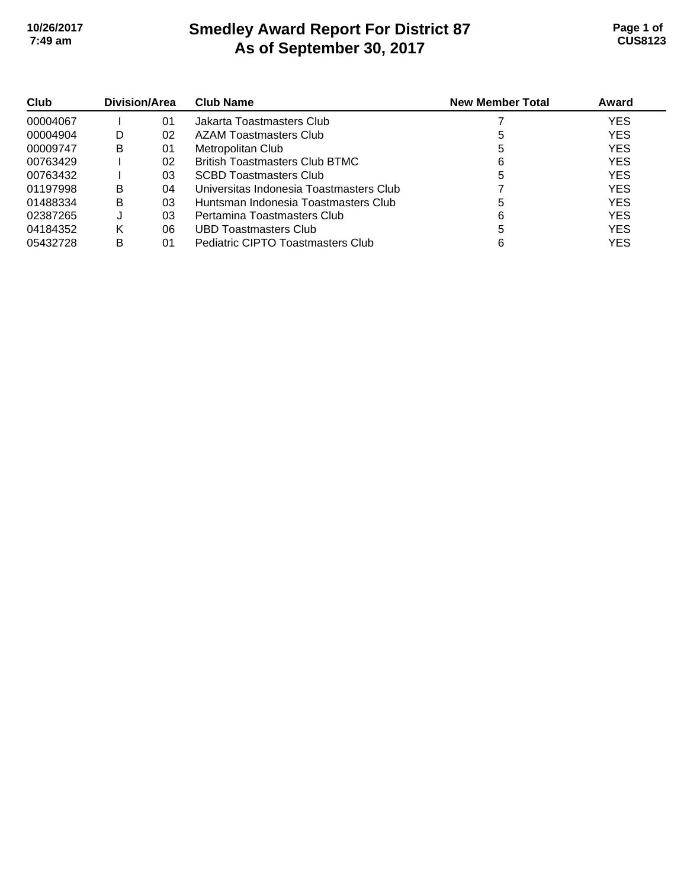# **Smedley Award Report For District 87 As of September 30, 2017 10/26/2017 Page 1 of 7:49 am CUS8123**

| Club<br>00004067 | Division/Area |    | <b>Club Name</b>                        | <b>New Member Total</b> | Award      |
|------------------|---------------|----|-----------------------------------------|-------------------------|------------|
|                  |               | 01 | Jakarta Toastmasters Club               |                         | <b>YES</b> |
| 00004904         | D             | 02 | AZAM Toastmasters Club                  |                         | <b>YES</b> |
| 00009747         | B             | 01 | Metropolitan Club                       | 5                       | <b>YES</b> |
| 00763429         |               | 02 | <b>British Toastmasters Club BTMC</b>   | 6                       | <b>YES</b> |
| 00763432         |               | 03 | SCBD Toastmasters Club                  | 5                       | <b>YES</b> |
| 01197998         | В             | 04 | Universitas Indonesia Toastmasters Club |                         | <b>YES</b> |
| 01488334         | В             | 03 | Huntsman Indonesia Toastmasters Club    |                         | <b>YES</b> |
| 02387265         |               | 03 | Pertamina Toastmasters Club             | 6                       | <b>YES</b> |
| 04184352         | K             | 06 | UBD Toastmasters Club                   | 5                       | <b>YES</b> |
| 05432728         | В             | 01 | Pediatric CIPTO Toastmasters Club       |                         | YES        |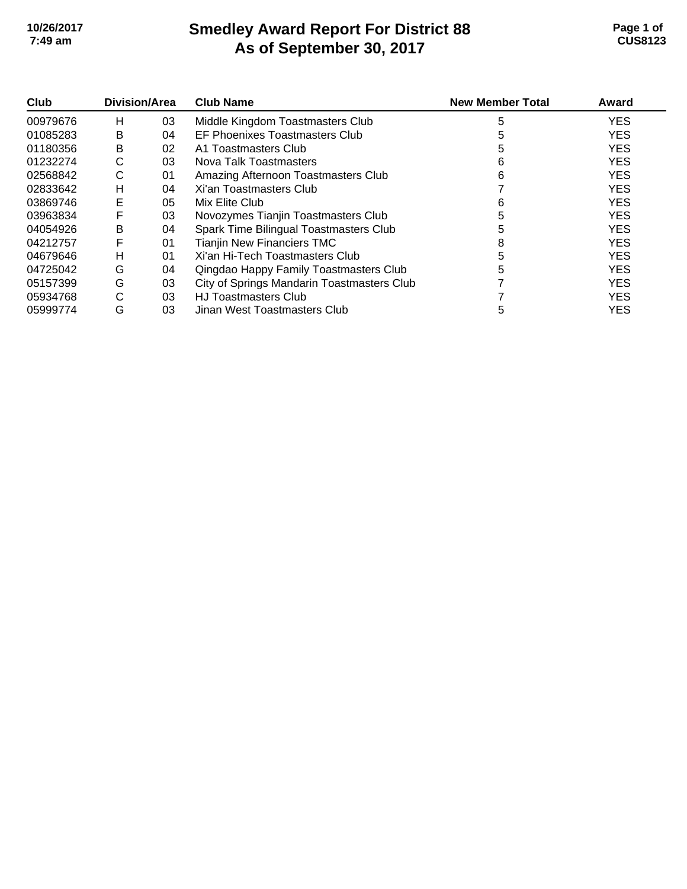# **Smedley Award Report For District 88 As of September 30, 2017 10/26/2017 Page 1 of 7:49 am CUS8123**

| Club     | <b>Division/Area</b> |    | <b>Club Name</b>                           | <b>New Member Total</b> | Award      |
|----------|----------------------|----|--------------------------------------------|-------------------------|------------|
| 00979676 | H                    | 03 | Middle Kingdom Toastmasters Club           | 5                       | <b>YES</b> |
| 01085283 | в                    | 04 | EF Phoenixes Toastmasters Club             |                         | <b>YES</b> |
| 01180356 | B                    | 02 | A1 Toastmasters Club                       |                         | <b>YES</b> |
| 01232274 | С                    | 03 | Nova Talk Toastmasters                     | 6                       | <b>YES</b> |
| 02568842 | С                    | 01 | Amazing Afternoon Toastmasters Club        | 6                       | <b>YES</b> |
| 02833642 | н                    | 04 | Xi'an Toastmasters Club                    |                         | <b>YES</b> |
| 03869746 | E                    | 05 | Mix Elite Club                             | 6                       | <b>YES</b> |
| 03963834 | F                    | 03 | Novozymes Tianjin Toastmasters Club        |                         | <b>YES</b> |
| 04054926 | в                    | 04 | Spark Time Bilingual Toastmasters Club     |                         | <b>YES</b> |
| 04212757 | F                    | 01 | <b>Tianjin New Financiers TMC</b>          | 8                       | <b>YES</b> |
| 04679646 | н                    | 01 | Xi'an Hi-Tech Toastmasters Club            |                         | <b>YES</b> |
| 04725042 | G                    | 04 | Qingdao Happy Family Toastmasters Club     |                         | <b>YES</b> |
| 05157399 | G                    | 03 | City of Springs Mandarin Toastmasters Club |                         | <b>YES</b> |
| 05934768 | С                    | 03 | <b>HJ Toastmasters Club</b>                |                         | <b>YES</b> |
| 05999774 | G                    | 03 | Jinan West Toastmasters Club               | 5                       | <b>YES</b> |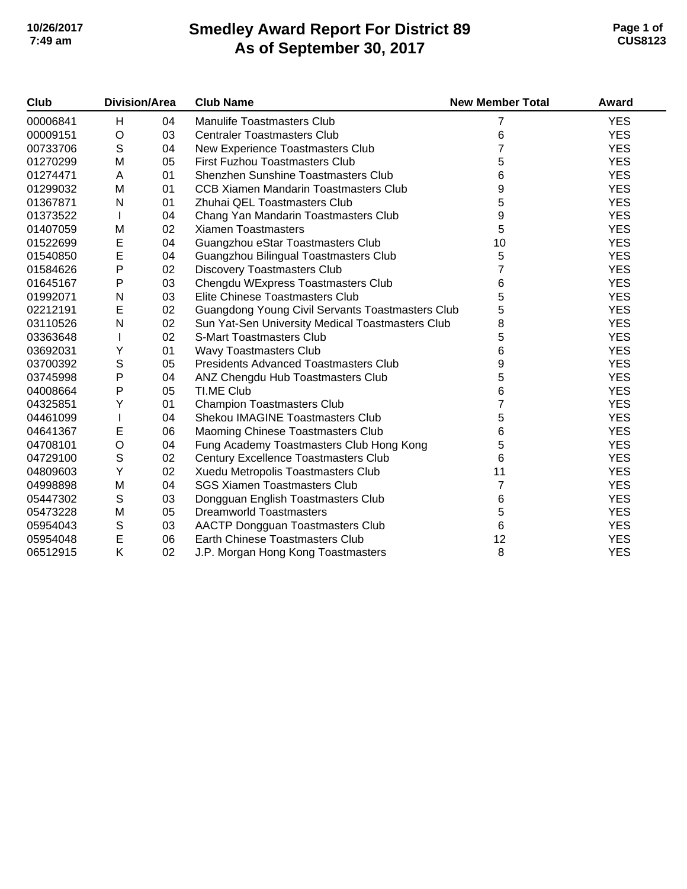## **Smedley Award Report For District 89 As of September 30, 2017 10/26/2017 Page 1 of 7:49 am CUS8123**

| Club     | <b>Division/Area</b> |    | <b>Club Name</b>                                 | <b>New Member Total</b> | Award      |
|----------|----------------------|----|--------------------------------------------------|-------------------------|------------|
| 00006841 | H                    | 04 | <b>Manulife Toastmasters Club</b>                | 7                       | <b>YES</b> |
| 00009151 | $\circ$              | 03 | <b>Centraler Toastmasters Club</b>               | 6                       | <b>YES</b> |
| 00733706 | ${\mathsf S}$        | 04 | New Experience Toastmasters Club                 |                         | <b>YES</b> |
| 01270299 | M                    | 05 | First Fuzhou Toastmasters Club                   | 5                       | <b>YES</b> |
| 01274471 | A                    | 01 | <b>Shenzhen Sunshine Toastmasters Club</b>       | 6                       | <b>YES</b> |
| 01299032 | M                    | 01 | <b>CCB Xiamen Mandarin Toastmasters Club</b>     | 9                       | <b>YES</b> |
| 01367871 | N                    | 01 | Zhuhai QEL Toastmasters Club                     | 5                       | <b>YES</b> |
| 01373522 |                      | 04 | Chang Yan Mandarin Toastmasters Club             | 9                       | <b>YES</b> |
| 01407059 | M                    | 02 | <b>Xiamen Toastmasters</b>                       | 5                       | <b>YES</b> |
| 01522699 | E                    | 04 | Guangzhou eStar Toastmasters Club                | 10                      | <b>YES</b> |
| 01540850 | $\mathsf E$          | 04 | Guangzhou Bilingual Toastmasters Club            | 5                       | <b>YES</b> |
| 01584626 | $\mathsf{P}$         | 02 | <b>Discovery Toastmasters Club</b>               | 7                       | <b>YES</b> |
| 01645167 | $\mathsf{P}$         | 03 | Chengdu WExpress Toastmasters Club               | 6                       | <b>YES</b> |
| 01992071 | N                    | 03 | Elite Chinese Toastmasters Club                  | 5                       | <b>YES</b> |
| 02212191 | $\mathsf E$          | 02 | Guangdong Young Civil Servants Toastmasters Club | 5                       | <b>YES</b> |
| 03110526 | N                    | 02 | Sun Yat-Sen University Medical Toastmasters Club | 8                       | <b>YES</b> |
| 03363648 |                      | 02 | <b>S-Mart Toastmasters Club</b>                  | 5                       | <b>YES</b> |
| 03692031 | Υ                    | 01 | Wavy Toastmasters Club                           | 6                       | <b>YES</b> |
| 03700392 | $\mathsf S$          | 05 | <b>Presidents Advanced Toastmasters Club</b>     | 9                       | <b>YES</b> |
| 03745998 | $\mathsf{P}$         | 04 | ANZ Chengdu Hub Toastmasters Club                | 5                       | <b>YES</b> |
| 04008664 | P                    | 05 | TI.ME Club                                       | 6                       | <b>YES</b> |
| 04325851 | Υ                    | 01 | <b>Champion Toastmasters Club</b>                | 7                       | <b>YES</b> |
| 04461099 |                      | 04 | <b>Shekou IMAGINE Toastmasters Club</b>          | 5                       | <b>YES</b> |
| 04641367 | Е                    | 06 | Maoming Chinese Toastmasters Club                | 6                       | <b>YES</b> |
| 04708101 | $\circ$              | 04 | Fung Academy Toastmasters Club Hong Kong         | 5                       | <b>YES</b> |
| 04729100 | $\mathbb S$          | 02 | <b>Century Excellence Toastmasters Club</b>      | 6                       | <b>YES</b> |
| 04809603 | Y                    | 02 | Xuedu Metropolis Toastmasters Club               | 11                      | <b>YES</b> |
| 04998898 | M                    | 04 | <b>SGS Xiamen Toastmasters Club</b>              | 7                       | <b>YES</b> |
| 05447302 | ${\mathsf S}$        | 03 | Dongguan English Toastmasters Club               | 6                       | <b>YES</b> |
| 05473228 | M                    | 05 | <b>Dreamworld Toastmasters</b>                   | 5                       | <b>YES</b> |
| 05954043 | $\mathbb S$          | 03 | <b>AACTP Dongguan Toastmasters Club</b>          | 6                       | <b>YES</b> |
| 05954048 | $\mathsf E$          | 06 | Earth Chinese Toastmasters Club                  | 12                      | <b>YES</b> |
| 06512915 | Κ                    | 02 | J.P. Morgan Hong Kong Toastmasters               | 8                       | <b>YES</b> |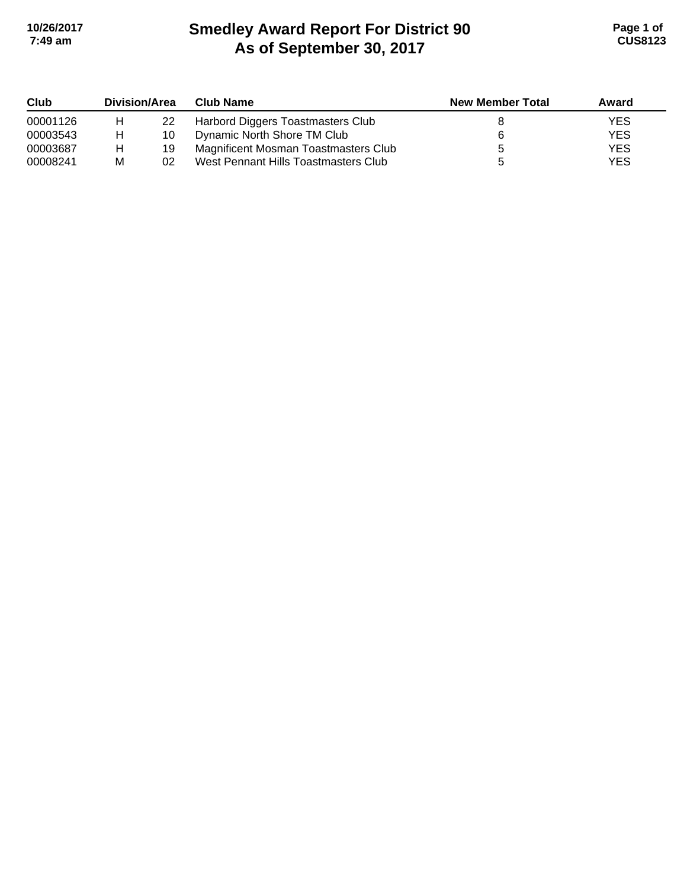# **Smedley Award Report For District 90 As of September 30, 2017 10/26/2017 Page 1 of 7:49 am CUS8123**

| Club     | Division/Area |    | <b>Club Name</b>                     | <b>New Member Total</b> | Award |
|----------|---------------|----|--------------------------------------|-------------------------|-------|
| 00001126 | н             | 22 | Harbord Diggers Toastmasters Club    |                         | YES   |
| 00003543 | н             | 10 | Dynamic North Shore TM Club          |                         | YES   |
| 00003687 | н             | 19 | Magnificent Mosman Toastmasters Club |                         | YES   |
| 00008241 | М             | 02 | West Pennant Hills Toastmasters Club |                         | YES   |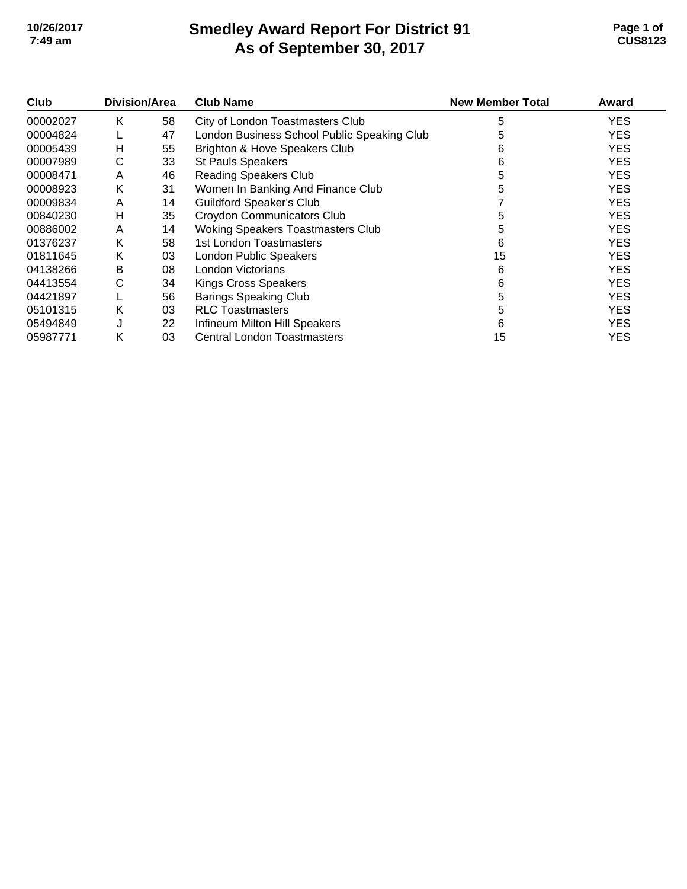# **Smedley Award Report For District 91 As of September 30, 2017 10/26/2017 Page 1 of 7:49 am CUS8123**

| Club     | Division/Area |    | <b>Club Name</b>                            | <b>New Member Total</b> | Award      |
|----------|---------------|----|---------------------------------------------|-------------------------|------------|
| 00002027 | Κ             | 58 | City of London Toastmasters Club            | 5                       | <b>YES</b> |
| 00004824 |               | 47 | London Business School Public Speaking Club | 5                       | <b>YES</b> |
| 00005439 | н             | 55 | Brighton & Hove Speakers Club               | 6                       | <b>YES</b> |
| 00007989 | С             | 33 | <b>St Pauls Speakers</b>                    | 6                       | <b>YES</b> |
| 00008471 | A             | 46 | <b>Reading Speakers Club</b>                | 5                       | <b>YES</b> |
| 00008923 | Κ             | 31 | Women In Banking And Finance Club           | 5                       | <b>YES</b> |
| 00009834 | A             | 14 | <b>Guildford Speaker's Club</b>             |                         | <b>YES</b> |
| 00840230 | н             | 35 | Croydon Communicators Club                  | 5                       | <b>YES</b> |
| 00886002 | A             | 14 | <b>Woking Speakers Toastmasters Club</b>    | 5                       | <b>YES</b> |
| 01376237 | Κ             | 58 | 1st London Toastmasters                     | 6                       | <b>YES</b> |
| 01811645 | Κ             | 03 | <b>London Public Speakers</b>               | 15                      | <b>YES</b> |
| 04138266 | в             | 08 | London Victorians                           | 6                       | <b>YES</b> |
| 04413554 | С             | 34 | <b>Kings Cross Speakers</b>                 | 6                       | <b>YES</b> |
| 04421897 |               | 56 | <b>Barings Speaking Club</b>                | 5                       | <b>YES</b> |
| 05101315 | Κ             | 03 | <b>RLC Toastmasters</b>                     | 5                       | <b>YES</b> |
| 05494849 | J             | 22 | Infineum Milton Hill Speakers               | 6                       | <b>YES</b> |
| 05987771 | Κ             | 03 | <b>Central London Toastmasters</b>          | 15                      | YES        |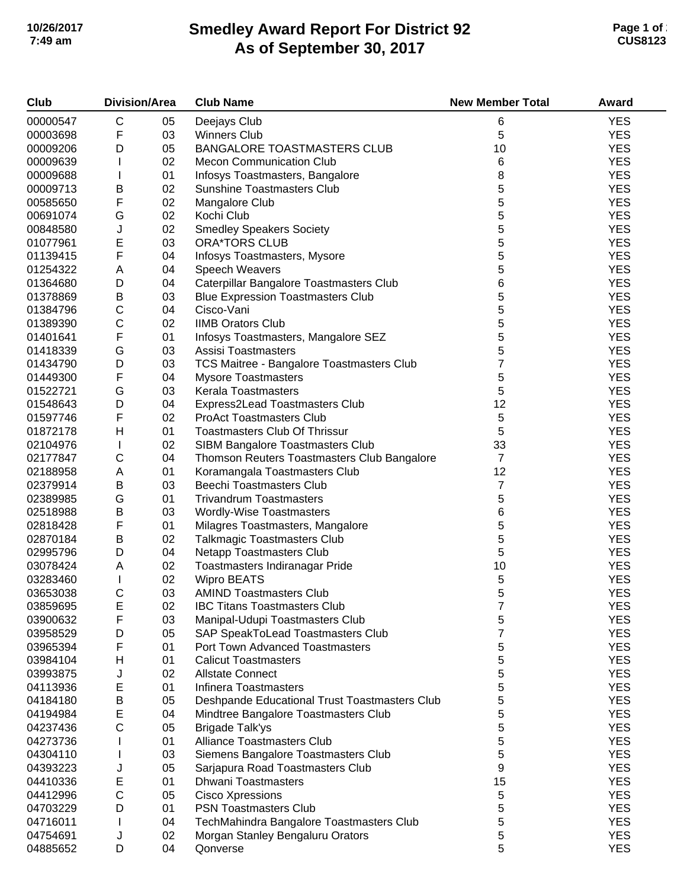# **Smedley Award Report For District 92 As of September 30, 2017 10/26/2017 Page 1 of 2 7:49 am CUS8123**

| Club     | <b>Division/Area</b> |    | <b>Club Name</b>                              | <b>New Member Total</b> | Award      |
|----------|----------------------|----|-----------------------------------------------|-------------------------|------------|
| 00000547 | C                    | 05 | Deejays Club                                  | 6                       | <b>YES</b> |
| 00003698 | F                    | 03 | <b>Winners Club</b>                           | 5                       | <b>YES</b> |
| 00009206 | D                    | 05 | <b>BANGALORE TOASTMASTERS CLUB</b>            | 10                      | <b>YES</b> |
| 00009639 | L                    | 02 | <b>Mecon Communication Club</b>               | 6                       | <b>YES</b> |
| 00009688 | L                    | 01 | Infosys Toastmasters, Bangalore               | 8                       | <b>YES</b> |
| 00009713 | В                    | 02 | <b>Sunshine Toastmasters Club</b>             | 5                       | <b>YES</b> |
| 00585650 | F                    | 02 | Mangalore Club                                | 5                       | <b>YES</b> |
| 00691074 | G                    | 02 | Kochi Club                                    | 5                       | <b>YES</b> |
| 00848580 | J                    | 02 | <b>Smedley Speakers Society</b>               | 5                       | <b>YES</b> |
| 01077961 | E                    | 03 | <b>ORA*TORS CLUB</b>                          | 5                       | <b>YES</b> |
| 01139415 | F                    | 04 | Infosys Toastmasters, Mysore                  | 5                       | <b>YES</b> |
| 01254322 | Α                    | 04 | Speech Weavers                                | 5                       | <b>YES</b> |
| 01364680 | D                    | 04 | Caterpillar Bangalore Toastmasters Club       | 6                       | <b>YES</b> |
| 01378869 | В                    | 03 | <b>Blue Expression Toastmasters Club</b>      | 5                       | <b>YES</b> |
| 01384796 | $\mathsf C$          | 04 | Cisco-Vani                                    | 5                       | <b>YES</b> |
| 01389390 | $\mathsf C$          | 02 | <b>IIMB Orators Club</b>                      | 5                       | <b>YES</b> |
| 01401641 | F                    | 01 | Infosys Toastmasters, Mangalore SEZ           | 5                       | <b>YES</b> |
| 01418339 | G                    | 03 | Assisi Toastmasters                           | 5                       | <b>YES</b> |
| 01434790 | D                    | 03 | TCS Maitree - Bangalore Toastmasters Club     | 7                       | <b>YES</b> |
| 01449300 | F                    | 04 | <b>Mysore Toastmasters</b>                    | 5                       | <b>YES</b> |
| 01522721 | G                    | 03 | Kerala Toastmasters                           | 5                       | <b>YES</b> |
| 01548643 | D                    | 04 | Express2Lead Toastmasters Club                | 12                      | <b>YES</b> |
| 01597746 | F                    | 02 | <b>ProAct Toastmasters Club</b>               | 5                       | <b>YES</b> |
| 01872178 | н                    | 01 | <b>Toastmasters Club Of Thrissur</b>          | 5                       | <b>YES</b> |
|          |                      |    |                                               | 33                      | <b>YES</b> |
| 02104976 | L<br>$\mathsf C$     | 02 | SIBM Bangalore Toastmasters Club              | $\overline{7}$          | <b>YES</b> |
| 02177847 |                      | 04 | Thomson Reuters Toastmasters Club Bangalore   |                         |            |
| 02188958 | Α                    | 01 | Koramangala Toastmasters Club                 | 12                      | <b>YES</b> |
| 02379914 | В                    | 03 | <b>Beechi Toastmasters Club</b>               | $\overline{7}$          | <b>YES</b> |
| 02389985 | G                    | 01 | <b>Trivandrum Toastmasters</b>                | 5                       | <b>YES</b> |
| 02518988 | B                    | 03 | <b>Wordly-Wise Toastmasters</b>               | 6                       | <b>YES</b> |
| 02818428 | F                    | 01 | Milagres Toastmasters, Mangalore              | 5                       | <b>YES</b> |
| 02870184 | B                    | 02 | <b>Talkmagic Toastmasters Club</b>            | 5                       | <b>YES</b> |
| 02995796 | D                    | 04 | Netapp Toastmasters Club                      | 5                       | <b>YES</b> |
| 03078424 | Α                    | 02 | Toastmasters Indiranagar Pride                | 10                      | <b>YES</b> |
| 03283460 | L                    | 02 | <b>Wipro BEATS</b>                            | 5                       | <b>YES</b> |
| 03653038 | $\mathsf C$          | 03 | <b>AMIND Toastmasters Club</b>                | 5                       | <b>YES</b> |
| 03859695 | Е                    | 02 | <b>IBC Titans Toastmasters Club</b>           | 7                       | <b>YES</b> |
| 03900632 | F                    | 03 | Manipal-Udupi Toastmasters Club               | 5                       | <b>YES</b> |
| 03958529 | D                    | 05 | SAP SpeakToLead Toastmasters Club             | 7                       | <b>YES</b> |
| 03965394 | F                    | 01 | <b>Port Town Advanced Toastmasters</b>        | 5                       | <b>YES</b> |
| 03984104 | н                    | 01 | <b>Calicut Toastmasters</b>                   | 5                       | <b>YES</b> |
| 03993875 | J                    | 02 | <b>Allstate Connect</b>                       | 5                       | <b>YES</b> |
| 04113936 | Ε                    | 01 | Infinera Toastmasters                         | 5                       | <b>YES</b> |
| 04184180 | В                    | 05 | Deshpande Educational Trust Toastmasters Club | 5                       | <b>YES</b> |
| 04194984 | Ε                    | 04 | Mindtree Bangalore Toastmasters Club          | 5                       | <b>YES</b> |
| 04237436 | C                    | 05 | <b>Brigade Talk'ys</b>                        | 5                       | <b>YES</b> |
| 04273736 |                      | 01 | Alliance Toastmasters Club                    | 5                       | <b>YES</b> |
| 04304110 |                      | 03 | Siemens Bangalore Toastmasters Club           | 5                       | <b>YES</b> |
| 04393223 | J                    | 05 | Sarjapura Road Toastmasters Club              | 9                       | <b>YES</b> |
| 04410336 | Ε                    | 01 | <b>Dhwani Toastmasters</b>                    | 15                      | <b>YES</b> |
| 04412996 | $\mathsf C$          | 05 | <b>Cisco Xpressions</b>                       | 5                       | <b>YES</b> |
| 04703229 | D                    | 01 | <b>PSN Toastmasters Club</b>                  | 5                       | <b>YES</b> |
| 04716011 | L                    | 04 | TechMahindra Bangalore Toastmasters Club      | 5                       | <b>YES</b> |
| 04754691 | J                    | 02 | Morgan Stanley Bengaluru Orators              | 5                       | <b>YES</b> |
| 04885652 | D                    | 04 | Qonverse                                      | 5                       | <b>YES</b> |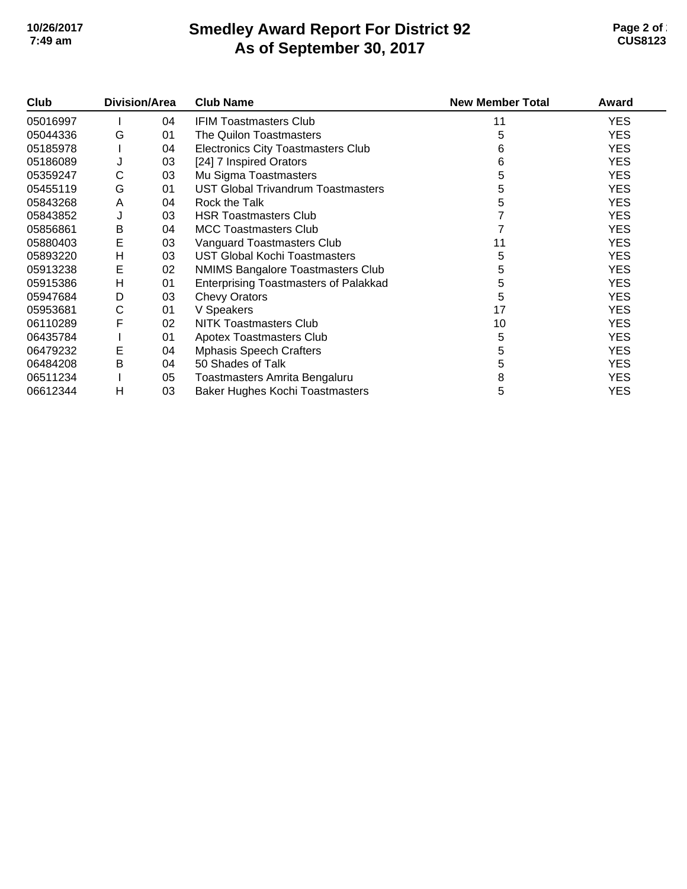# **Smedley Award Report For District 92 As of September 30, 2017 10/26/2017 Page 2 of 2 7:49 am CUS8123**

| Club     | <b>Division/Area</b> |    | <b>Club Name</b>                             | <b>New Member Total</b> | Award      |
|----------|----------------------|----|----------------------------------------------|-------------------------|------------|
| 05016997 |                      | 04 | <b>IFIM Toastmasters Club</b>                | 11                      | <b>YES</b> |
| 05044336 | G                    | 01 | The Quilon Toastmasters                      | 5                       | <b>YES</b> |
| 05185978 |                      | 04 | <b>Electronics City Toastmasters Club</b>    | 6                       | <b>YES</b> |
| 05186089 | J                    | 03 | [24] 7 Inspired Orators                      | 6                       | <b>YES</b> |
| 05359247 | С                    | 03 | Mu Sigma Toastmasters                        | 5                       | <b>YES</b> |
| 05455119 | G                    | 01 | <b>UST Global Trivandrum Toastmasters</b>    | 5                       | <b>YES</b> |
| 05843268 | A                    | 04 | Rock the Talk                                | 5                       | <b>YES</b> |
| 05843852 | J                    | 03 | <b>HSR Toastmasters Club</b>                 |                         | <b>YES</b> |
| 05856861 | B                    | 04 | <b>MCC Toastmasters Club</b>                 |                         | <b>YES</b> |
| 05880403 | E                    | 03 | Vanguard Toastmasters Club                   | 11                      | <b>YES</b> |
| 05893220 | H                    | 03 | <b>UST Global Kochi Toastmasters</b>         | 5                       | <b>YES</b> |
| 05913238 | E                    | 02 | <b>NMIMS Bangalore Toastmasters Club</b>     | 5                       | <b>YES</b> |
| 05915386 | H                    | 01 | <b>Enterprising Toastmasters of Palakkad</b> | 5                       | <b>YES</b> |
| 05947684 | D                    | 03 | <b>Chevy Orators</b>                         | 5                       | <b>YES</b> |
| 05953681 | С                    | 01 | V Speakers                                   | 17                      | <b>YES</b> |
| 06110289 | F                    | 02 | NITK Toastmasters Club                       | 10                      | <b>YES</b> |
| 06435784 |                      | 01 | <b>Apotex Toastmasters Club</b>              | 5                       | <b>YES</b> |
| 06479232 | E                    | 04 | <b>Mphasis Speech Crafters</b>               | 5                       | <b>YES</b> |
| 06484208 | B                    | 04 | 50 Shades of Talk                            | 5                       | <b>YES</b> |
| 06511234 |                      | 05 | Toastmasters Amrita Bengaluru                | 8                       | <b>YES</b> |
| 06612344 | н                    | 03 | Baker Hughes Kochi Toastmasters              | 5                       | <b>YES</b> |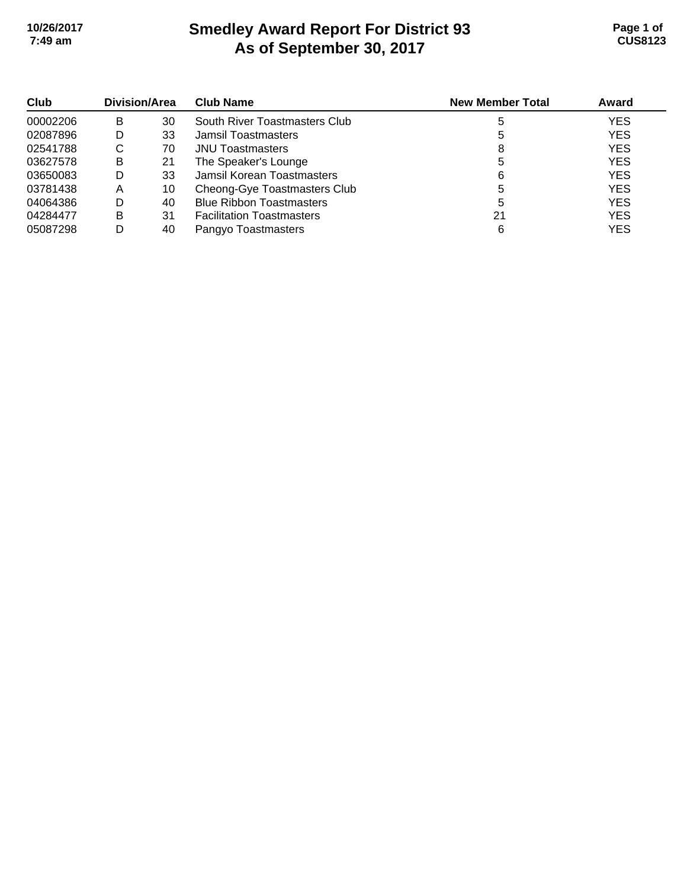## **Smedley Award Report For District 93 As of September 30, 2017 10/26/2017 Page 1 of 7:49 am CUS8123**

| Club     | Division/Area |    | <b>Club Name</b>                 | <b>New Member Total</b> | Award      |
|----------|---------------|----|----------------------------------|-------------------------|------------|
| 00002206 | в             | 30 | South River Toastmasters Club    |                         | <b>YES</b> |
| 02087896 | D             | 33 | Jamsil Toastmasters              |                         | <b>YES</b> |
| 02541788 | С             | 70 | <b>JNU Toastmasters</b>          | 8                       | <b>YES</b> |
| 03627578 | B             | 21 | The Speaker's Lounge             |                         | <b>YES</b> |
| 03650083 | D             | 33 | Jamsil Korean Toastmasters       | 6                       | <b>YES</b> |
| 03781438 | Α             | 10 | Cheong-Gye Toastmasters Club     |                         | <b>YES</b> |
| 04064386 | D             | 40 | <b>Blue Ribbon Toastmasters</b>  | 5                       | <b>YES</b> |
| 04284477 | в             | 31 | <b>Facilitation Toastmasters</b> | 21                      | <b>YES</b> |
| 05087298 | D             | 40 | Pangyo Toastmasters              | 6                       | <b>YES</b> |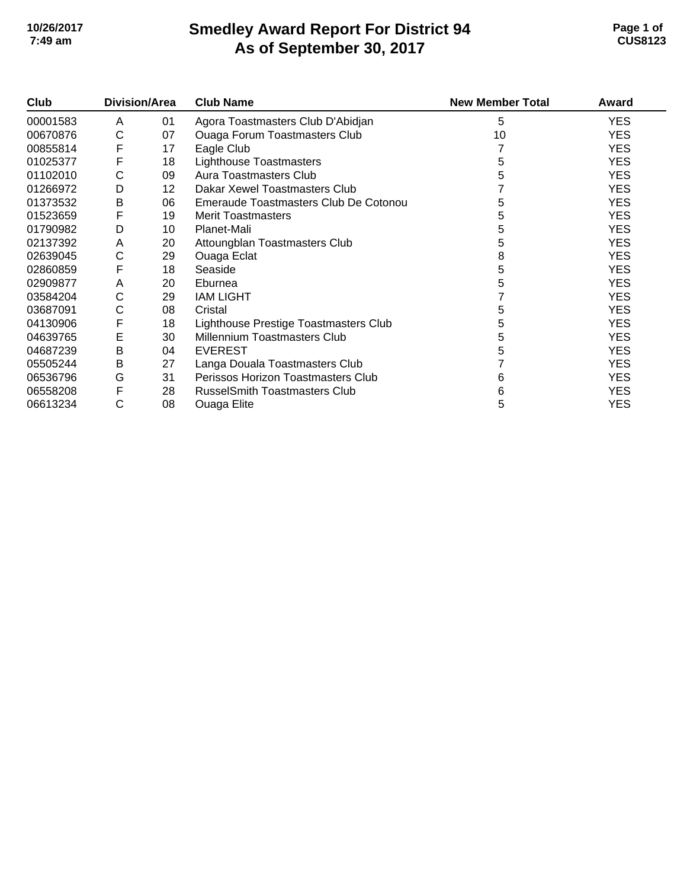# **Smedley Award Report For District 94 As of September 30, 2017 10/26/2017 Page 1 of 7:49 am CUS8123**

| Club     | <b>Division/Area</b> |         | <b>Club Name</b>                      | <b>New Member Total</b> | Award      |
|----------|----------------------|---------|---------------------------------------|-------------------------|------------|
| 00001583 | A                    | 01      | Agora Toastmasters Club D'Abidjan     | 5                       | <b>YES</b> |
| 00670876 | С                    | 07      | <b>Ouaga Forum Toastmasters Club</b>  | 10                      | <b>YES</b> |
| 00855814 | F                    | 17      | Eagle Club                            |                         | <b>YES</b> |
| 01025377 | F                    | 18      | Lighthouse Toastmasters               | 5                       | <b>YES</b> |
| 01102010 | С                    | 09      | <b>Aura Toastmasters Club</b>         |                         | <b>YES</b> |
| 01266972 | D                    | $12 \,$ | Dakar Xewel Toastmasters Club         |                         | <b>YES</b> |
| 01373532 | B                    | 06      | Emeraude Toastmasters Club De Cotonou | 5                       | <b>YES</b> |
| 01523659 | F                    | 19      | <b>Merit Toastmasters</b>             | h.                      | <b>YES</b> |
| 01790982 | D                    | 10      | Planet-Mali                           | 5                       | <b>YES</b> |
| 02137392 | A                    | 20      | Attoungblan Toastmasters Club         | 5                       | <b>YES</b> |
| 02639045 | С                    | 29      | <b>Ouaga Eclat</b>                    | 8                       | <b>YES</b> |
| 02860859 | F                    | 18      | Seaside                               | 5                       | <b>YES</b> |
| 02909877 | A                    | 20      | Eburnea                               | 5                       | <b>YES</b> |
| 03584204 | С                    | 29      | <b>IAM LIGHT</b>                      |                         | <b>YES</b> |
| 03687091 | С                    | 08      | Cristal                               | 5                       | <b>YES</b> |
| 04130906 | F                    | 18      | Lighthouse Prestige Toastmasters Club | 5                       | <b>YES</b> |
| 04639765 | E                    | 30      | Millennium Toastmasters Club          | 5                       | <b>YES</b> |
| 04687239 | B                    | 04      | <b>EVEREST</b>                        |                         | <b>YES</b> |
| 05505244 | Β                    | 27      | Langa Douala Toastmasters Club        |                         | <b>YES</b> |
| 06536796 | G                    | 31      | Perissos Horizon Toastmasters Club    | 6                       | <b>YES</b> |
| 06558208 | F                    | 28      | <b>RusselSmith Toastmasters Club</b>  | 6                       | <b>YES</b> |
| 06613234 | С                    | 08      | <b>Ouaga Elite</b>                    | 5                       | <b>YES</b> |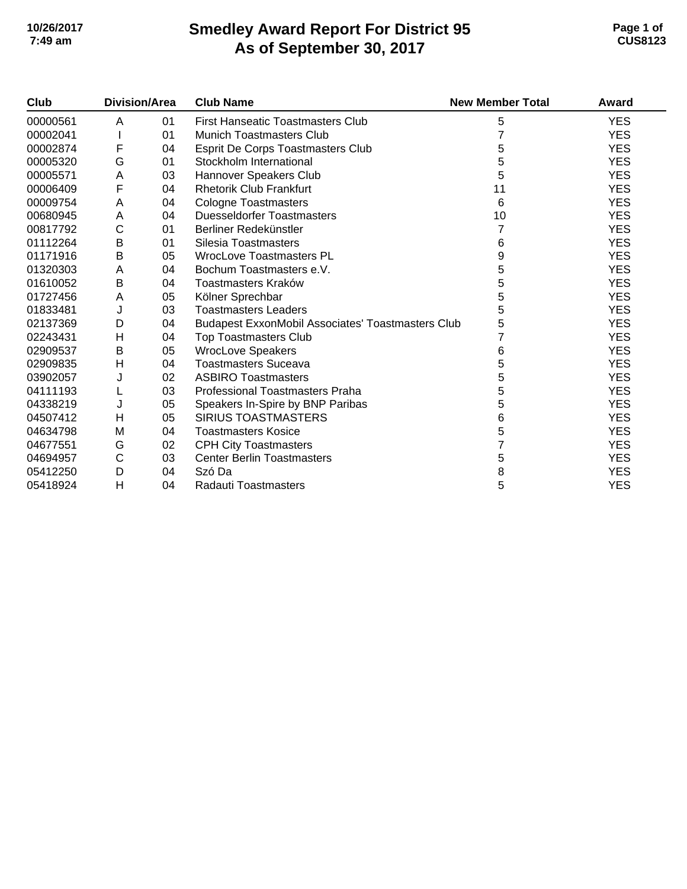# **Smedley Award Report For District 95 As of September 30, 2017 10/26/2017 Page 1 of 7:49 am CUS8123**

| Club     | Division/Area |    | <b>Club Name</b>                                         | <b>New Member Total</b> | Award      |
|----------|---------------|----|----------------------------------------------------------|-------------------------|------------|
| 00000561 | A             | 01 | <b>First Hanseatic Toastmasters Club</b>                 | 5                       | <b>YES</b> |
| 00002041 |               | 01 | <b>Munich Toastmasters Club</b>                          |                         | <b>YES</b> |
| 00002874 | F             | 04 | <b>Esprit De Corps Toastmasters Club</b>                 | 5                       | <b>YES</b> |
| 00005320 | G             | 01 | Stockholm International                                  | 5                       | <b>YES</b> |
| 00005571 | A             | 03 | Hannover Speakers Club                                   | 5                       | <b>YES</b> |
| 00006409 | F             | 04 | <b>Rhetorik Club Frankfurt</b>                           | 11                      | <b>YES</b> |
| 00009754 | A             | 04 | <b>Cologne Toastmasters</b>                              | 6                       | <b>YES</b> |
| 00680945 | A             | 04 | <b>Duesseldorfer Toastmasters</b>                        | 10                      | <b>YES</b> |
| 00817792 | $\mathsf{C}$  | 01 | Berliner Redekünstler                                    | 7                       | <b>YES</b> |
| 01112264 | B             | 01 | Silesia Toastmasters                                     | 6                       | <b>YES</b> |
| 01171916 | B             | 05 | <b>WrocLove Toastmasters PL</b>                          | 9                       | <b>YES</b> |
| 01320303 | A             | 04 | Bochum Toastmasters e.V.                                 | 5                       | <b>YES</b> |
| 01610052 | B             | 04 | Toastmasters Kraków                                      | 5                       | <b>YES</b> |
| 01727456 | A             | 05 | Kölner Sprechbar                                         | 5                       | <b>YES</b> |
| 01833481 | J             | 03 | <b>Toastmasters Leaders</b>                              | 5                       | <b>YES</b> |
| 02137369 | D             | 04 | <b>Budapest ExxonMobil Associates' Toastmasters Club</b> | 5                       | <b>YES</b> |
| 02243431 | Н             | 04 | <b>Top Toastmasters Club</b>                             |                         | <b>YES</b> |
| 02909537 | B             | 05 | <b>WrocLove Speakers</b>                                 | 6                       | <b>YES</b> |
| 02909835 | н             | 04 | <b>Toastmasters Suceava</b>                              | 5                       | <b>YES</b> |
| 03902057 | J             | 02 | <b>ASBIRO Toastmasters</b>                               | 5                       | <b>YES</b> |
| 04111193 | L             | 03 | <b>Professional Toastmasters Praha</b>                   | 5                       | <b>YES</b> |
| 04338219 | J             | 05 | Speakers In-Spire by BNP Paribas                         | 5                       | <b>YES</b> |
| 04507412 | Н             | 05 | <b>SIRIUS TOASTMASTERS</b>                               | 6                       | <b>YES</b> |
| 04634798 | M             | 04 | <b>Toastmasters Kosice</b>                               | 5                       | <b>YES</b> |
| 04677551 | G             | 02 | <b>CPH City Toastmasters</b>                             |                         | <b>YES</b> |
| 04694957 | C             | 03 | <b>Center Berlin Toastmasters</b>                        | 5                       | <b>YES</b> |
| 05412250 | D             | 04 | Szó Da                                                   | 8                       | <b>YES</b> |
| 05418924 | н             | 04 | Radauti Toastmasters                                     | 5                       | <b>YES</b> |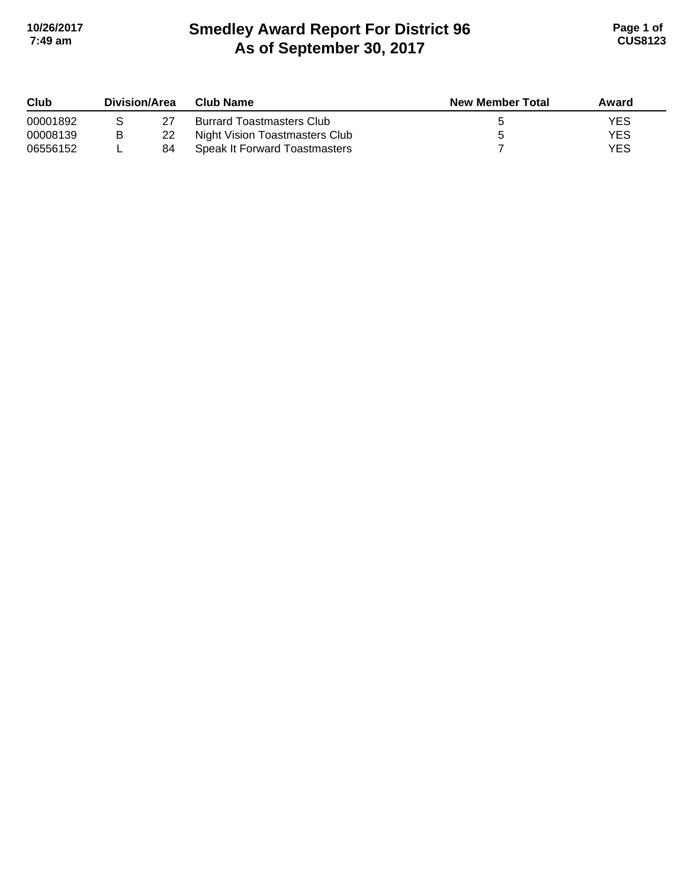# **Smedley Award Report For District 96 As of September 30, 2017 10/26/2017 Page 1 of 7:49 am CUS8123**

| Club     | Division/Area |    | Club Name                            | <b>New Member Total</b> | Award      |
|----------|---------------|----|--------------------------------------|-------------------------|------------|
| 00001892 |               |    | <b>Burrard Toastmasters Club</b>     |                         | YES        |
| 00008139 | B             | 22 | Night Vision Toastmasters Club       |                         | <b>YES</b> |
| 06556152 |               | 84 | <b>Speak It Forward Toastmasters</b> |                         | <b>YES</b> |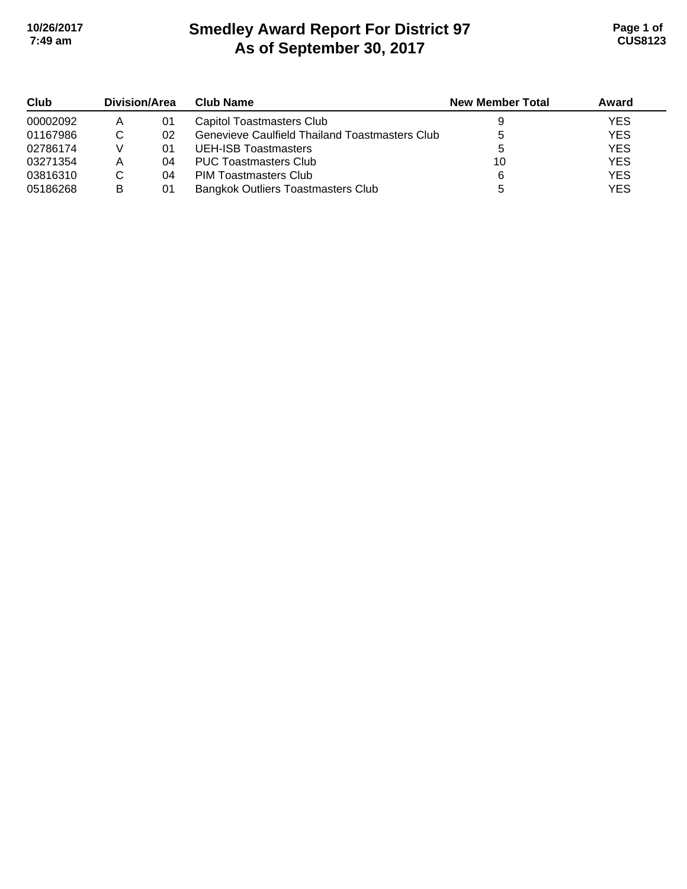# **Smedley Award Report For District 97 As of September 30, 2017 10/26/2017 Page 1 of 7:49 am CUS8123**

| Club     | Division/Area |    | <b>Club Name</b>                               | <b>New Member Total</b> | Award      |
|----------|---------------|----|------------------------------------------------|-------------------------|------------|
| 00002092 | A             | 01 | Capitol Toastmasters Club                      |                         | <b>YES</b> |
| 01167986 |               | 02 | Genevieve Caulfield Thailand Toastmasters Club |                         | <b>YES</b> |
| 02786174 |               | 01 | UEH-ISB Toastmasters                           |                         | <b>YES</b> |
| 03271354 |               | 04 | <b>PUC Toastmasters Club</b>                   | 10                      | <b>YES</b> |
| 03816310 |               | 04 | <b>PIM Toastmasters Club</b>                   | 6                       | <b>YES</b> |
| 05186268 | B             | 01 | <b>Bangkok Outliers Toastmasters Club</b>      |                         | <b>YES</b> |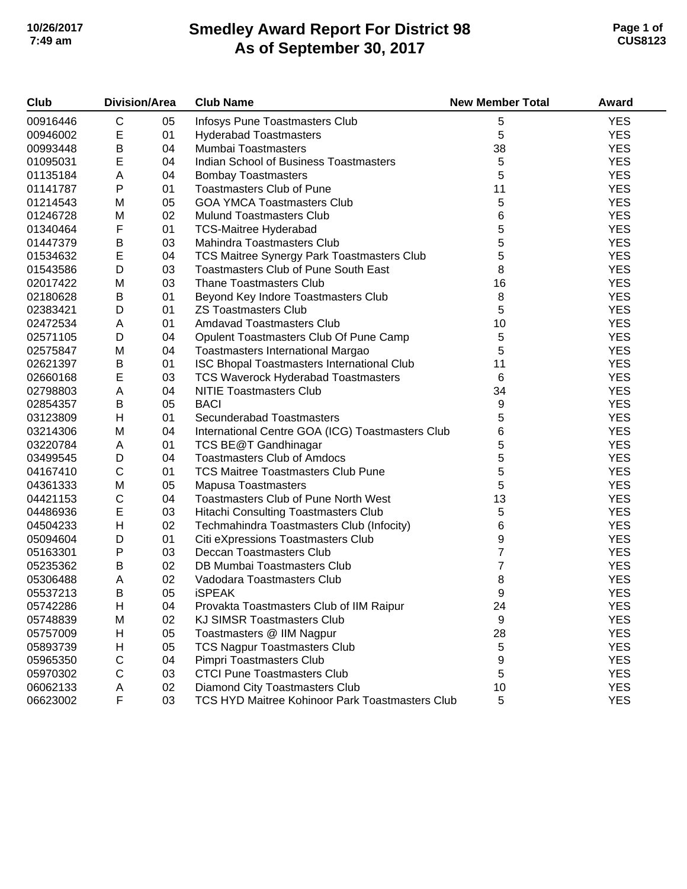# **Smedley Award Report For District 98 As of September 30, 2017 10/26/2017 Page 1 of 7:49 am CUS8123**

| Club     | <b>Division/Area</b> |    | <b>Club Name</b>                                 | <b>New Member Total</b> | Award      |
|----------|----------------------|----|--------------------------------------------------|-------------------------|------------|
| 00916446 | С                    | 05 | Infosys Pune Toastmasters Club                   | 5                       | <b>YES</b> |
| 00946002 | $\mathsf E$          | 01 | <b>Hyderabad Toastmasters</b>                    | 5                       | <b>YES</b> |
| 00993448 | B                    | 04 | Mumbai Toastmasters                              | 38                      | <b>YES</b> |
| 01095031 | E                    | 04 | Indian School of Business Toastmasters           | 5                       | <b>YES</b> |
| 01135184 | A                    | 04 | <b>Bombay Toastmasters</b>                       | 5                       | <b>YES</b> |
| 01141787 | P                    | 01 | <b>Toastmasters Club of Pune</b>                 | 11                      | <b>YES</b> |
| 01214543 | M                    | 05 | <b>GOA YMCA Toastmasters Club</b>                | 5                       | <b>YES</b> |
| 01246728 | M                    | 02 | <b>Mulund Toastmasters Club</b>                  | 6                       | <b>YES</b> |
| 01340464 | F                    | 01 | <b>TCS-Maitree Hyderabad</b>                     | 5                       | <b>YES</b> |
| 01447379 | B                    | 03 | Mahindra Toastmasters Club                       | 5                       | <b>YES</b> |
| 01534632 | E                    | 04 | TCS Maitree Synergy Park Toastmasters Club       | 5                       | <b>YES</b> |
| 01543586 | D                    | 03 | <b>Toastmasters Club of Pune South East</b>      | 8                       | <b>YES</b> |
| 02017422 | M                    | 03 | <b>Thane Toastmasters Club</b>                   | 16                      | <b>YES</b> |
| 02180628 | B                    | 01 | Beyond Key Indore Toastmasters Club              | 8                       | <b>YES</b> |
| 02383421 | D                    | 01 | <b>ZS Toastmasters Club</b>                      | 5                       | <b>YES</b> |
| 02472534 | Α                    | 01 | <b>Amdavad Toastmasters Club</b>                 | 10                      | <b>YES</b> |
| 02571105 | D                    | 04 | Opulent Toastmasters Club Of Pune Camp           | 5                       | <b>YES</b> |
| 02575847 | M                    | 04 | <b>Toastmasters International Margao</b>         | 5                       | <b>YES</b> |
| 02621397 | B                    | 01 | ISC Bhopal Toastmasters International Club       | 11                      | <b>YES</b> |
| 02660168 | E                    | 03 | <b>TCS Waverock Hyderabad Toastmasters</b>       | 6                       | <b>YES</b> |
| 02798803 | A                    | 04 | <b>NITIE Toastmasters Club</b>                   | 34                      | <b>YES</b> |
| 02854357 | B                    | 05 | <b>BACI</b>                                      | 9                       | <b>YES</b> |
| 03123809 | Н                    | 01 | Secunderabad Toastmasters                        | 5                       | <b>YES</b> |
| 03214306 | M                    | 04 | International Centre GOA (ICG) Toastmasters Club | 6                       | <b>YES</b> |
| 03220784 | Α                    | 01 | TCS BE@T Gandhinagar                             | 5                       | <b>YES</b> |
| 03499545 | D                    | 04 | <b>Toastmasters Club of Amdocs</b>               | 5                       | <b>YES</b> |
| 04167410 | $\mathsf C$          | 01 | <b>TCS Maitree Toastmasters Club Pune</b>        | 5                       | <b>YES</b> |
| 04361333 | M                    | 05 | <b>Mapusa Toastmasters</b>                       | 5                       | <b>YES</b> |
| 04421153 | $\mathsf C$          | 04 | <b>Toastmasters Club of Pune North West</b>      | 13                      | <b>YES</b> |
| 04486936 | E                    | 03 | Hitachi Consulting Toastmasters Club             | $\mathbf 5$             | <b>YES</b> |
| 04504233 | H                    | 02 | Techmahindra Toastmasters Club (Infocity)        | 6                       | <b>YES</b> |
| 05094604 | D                    | 01 | Citi eXpressions Toastmasters Club               | 9                       | <b>YES</b> |
| 05163301 | P                    | 03 | Deccan Toastmasters Club                         | 7                       | <b>YES</b> |
| 05235362 | $\sf B$              | 02 | DB Mumbai Toastmasters Club                      | $\overline{7}$          | <b>YES</b> |
| 05306488 | Α                    | 02 | Vadodara Toastmasters Club                       | 8                       | <b>YES</b> |
| 05537213 | B                    | 05 | <b>iSPEAK</b>                                    | 9                       | <b>YES</b> |
| 05742286 | Н                    | 04 | Provakta Toastmasters Club of IIM Raipur         | 24                      | <b>YES</b> |
| 05748839 | M                    | 02 | <b>KJ SIMSR Toastmasters Club</b>                | 9                       | <b>YES</b> |
| 05757009 | Н                    | 05 | Toastmasters @ IIM Nagpur                        | 28                      | <b>YES</b> |
| 05893739 | Н                    | 05 | <b>TCS Nagpur Toastmasters Club</b>              | $\sqrt{5}$              | <b>YES</b> |
| 05965350 | C                    | 04 | Pimpri Toastmasters Club                         | 9                       | <b>YES</b> |
| 05970302 | $\mathsf C$          | 03 | <b>CTCI Pune Toastmasters Club</b>               | 5                       | <b>YES</b> |
| 06062133 | Α                    | 02 | Diamond City Toastmasters Club                   | 10                      | <b>YES</b> |
| 06623002 | F                    | 03 | TCS HYD Maitree Kohinoor Park Toastmasters Club  | 5                       | <b>YES</b> |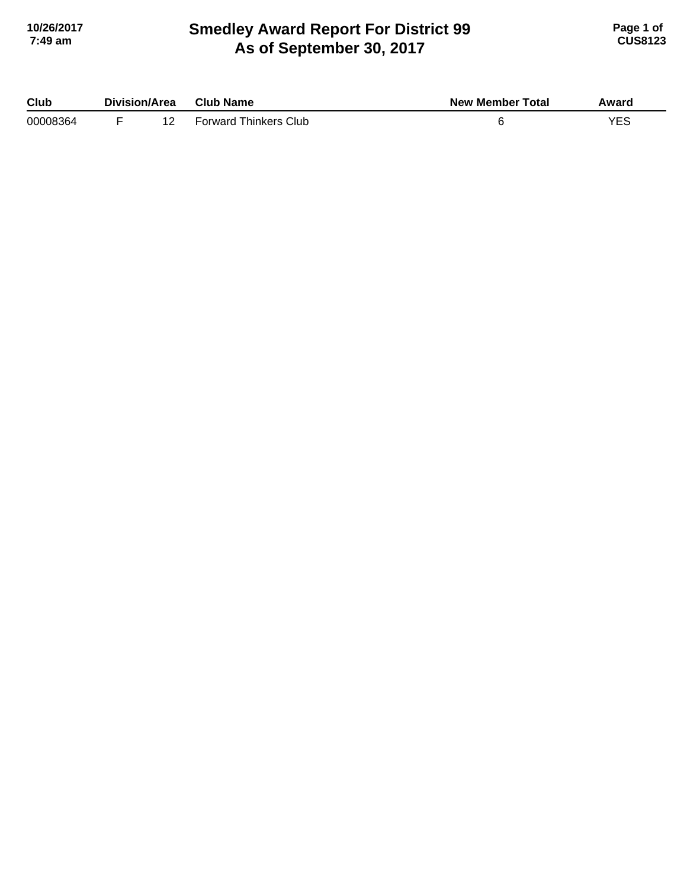## **Smedley Award Report For District 99 As of September 30, 2017 10/26/2017 Page 1 of 7:49 am CUS8123**

| Club     | Division/Area | <b>Club Name</b>             | <b>New Member Total</b> | Award |
|----------|---------------|------------------------------|-------------------------|-------|
| 00008364 | -             | <b>Forward Thinkers Club</b> |                         |       |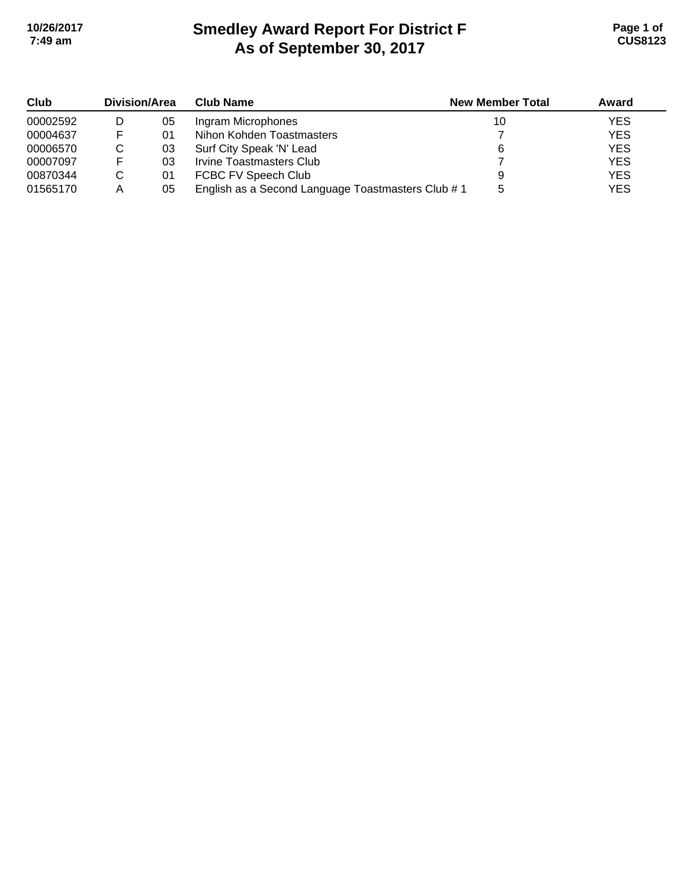# **Smedley Award Report For District F As of September 30, 2017 10/26/2017 Page 1 of 7:49 am CUS8123**

| Club     | <b>Division/Area</b> |    | <b>Club Name</b>                                  | <b>New Member Total</b> | Award      |
|----------|----------------------|----|---------------------------------------------------|-------------------------|------------|
| 00002592 |                      | 05 | Ingram Microphones                                | 10                      | <b>YES</b> |
| 00004637 |                      | 01 | Nihon Kohden Toastmasters                         |                         | <b>YES</b> |
| 00006570 | C                    | 03 | Surf City Speak 'N' Lead                          |                         | <b>YES</b> |
| 00007097 |                      | 03 | Irvine Toastmasters Club                          |                         | <b>YES</b> |
| 00870344 | C                    | 01 | FCBC FV Speech Club                               |                         | <b>YES</b> |
| 01565170 | Α                    | 05 | English as a Second Language Toastmasters Club #1 |                         | <b>YES</b> |